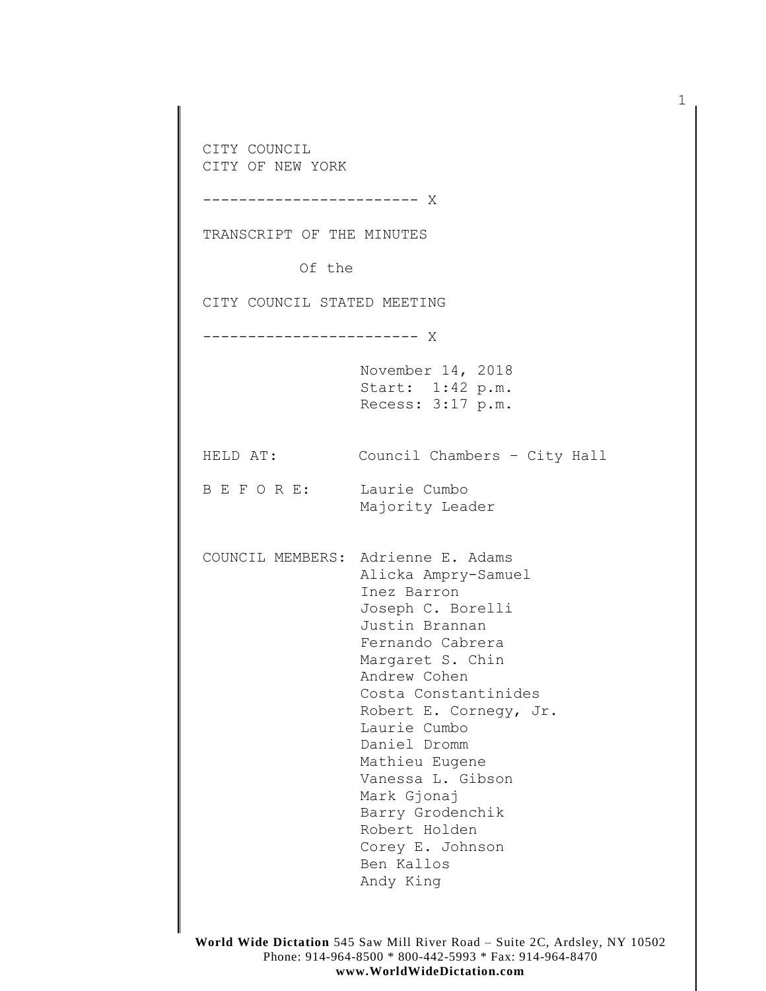CITY COUNCIL CITY OF NEW YORK ------------------------ X TRANSCRIPT OF THE MINUTES Of the CITY COUNCIL STATED MEETING ------------------------ X November 14, 2018 Start: 1:42 p.m. Recess: 3:17 p.m. HELD AT: Council Chambers – City Hall B E F O R E: Laurie Cumbo Majority Leader COUNCIL MEMBERS: Adrienne E. Adams Alicka Ampry-Samuel Inez Barron Joseph C. Borelli Justin Brannan Fernando Cabrera Margaret S. Chin Andrew Cohen Costa Constantinides Robert E. Cornegy, Jr. Laurie Cumbo Daniel Dromm Mathieu Eugene Vanessa L. Gibson Mark Gjonaj Barry Grodenchik Robert Holden Corey E. Johnson Ben Kallos Andy King

1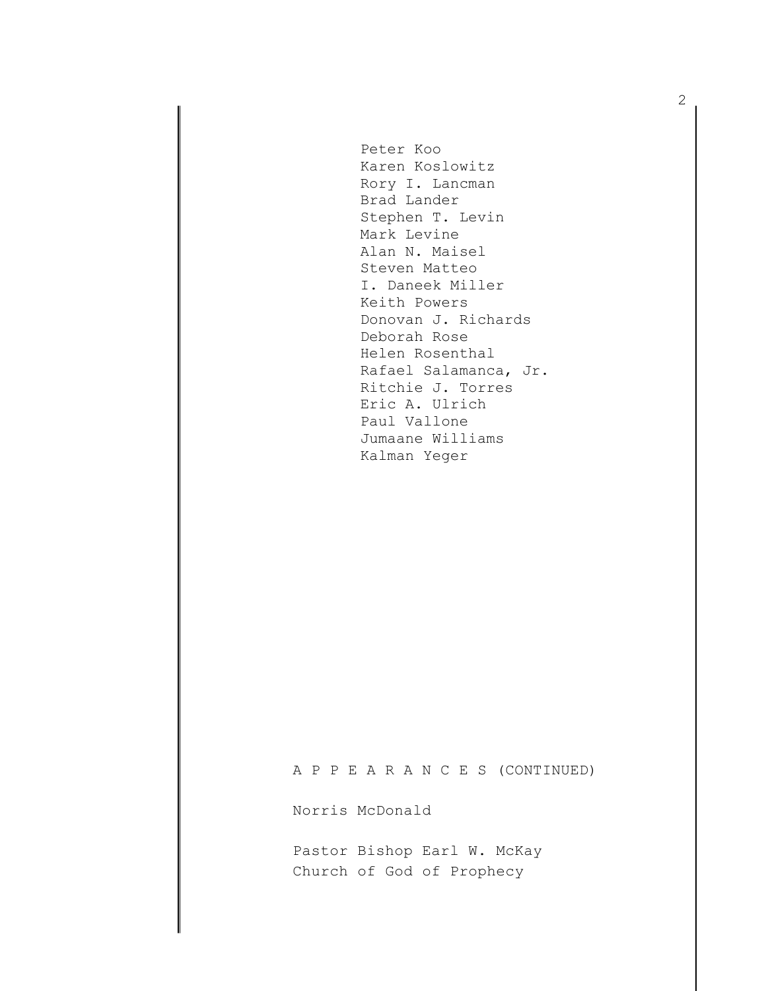Peter Koo Karen Koslowitz Rory I. Lancman Brad Lander Stephen T. Levin Mark Levine Alan N. Maisel Steven Matteo I. Daneek Miller Keith Powers Donovan J. Richards Deborah Rose Helen Rosenthal Rafael Salamanca, Jr. Ritchie J. Torres Eric A. Ulrich Paul Vallone Jumaane Williams Kalman Yeger

## A P P E A R A N C E S (CONTINUED)

Norris McDonald

Pastor Bishop Earl W. McKay Church of God of Prophecy

2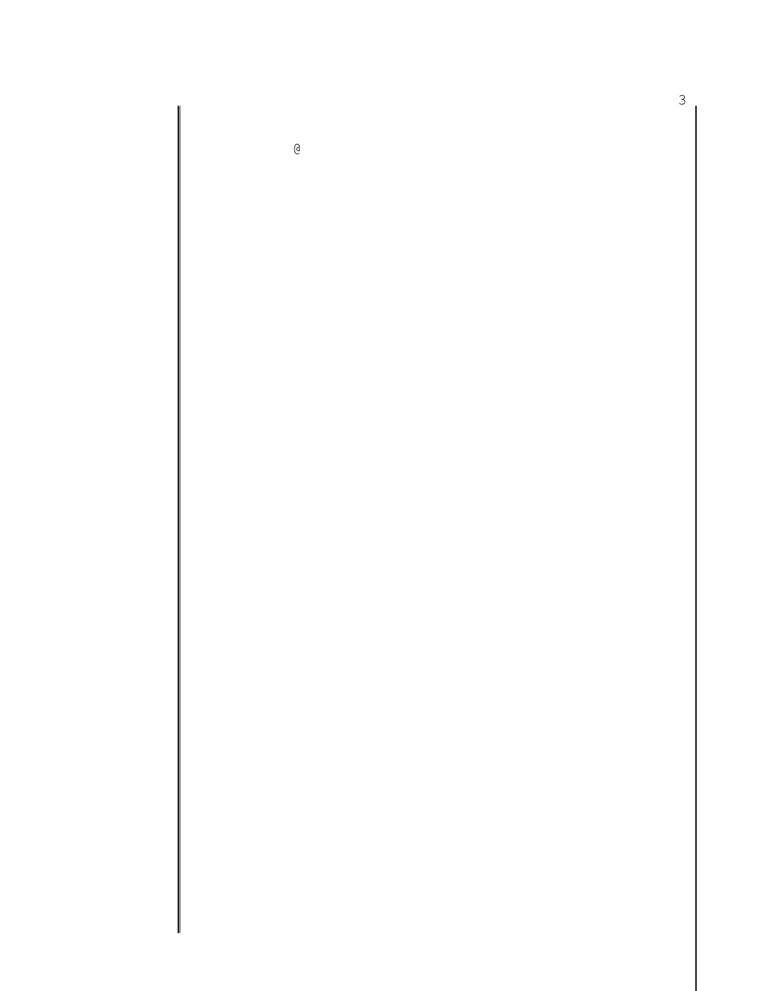@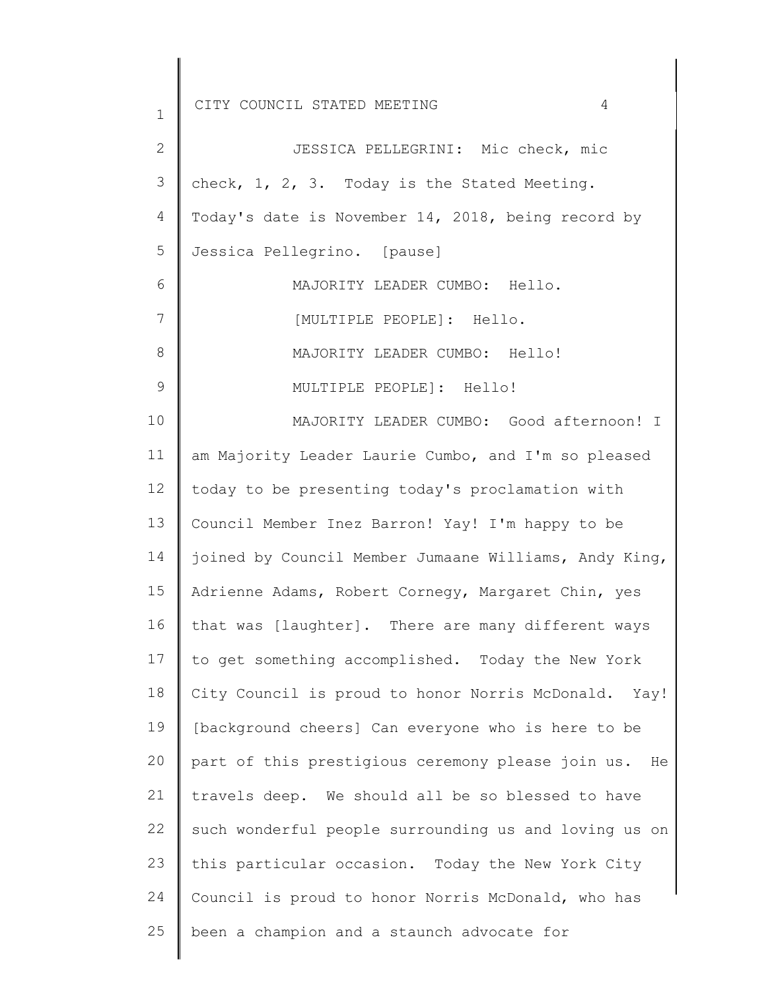| $\mathbf 1$ | $\overline{4}$<br>CITY COUNCIL STATED MEETING           |
|-------------|---------------------------------------------------------|
| 2           | JESSICA PELLEGRINI: Mic check, mic                      |
| 3           | check, 1, 2, 3. Today is the Stated Meeting.            |
| 4           | Today's date is November 14, 2018, being record by      |
| 5           | Jessica Pellegrino. [pause]                             |
| 6           | MAJORITY LEADER CUMBO: Hello.                           |
| 7           | [MULTIPLE PEOPLE]: Hello.                               |
| 8           | MAJORITY LEADER CUMBO: Hello!                           |
| 9           | MULTIPLE PEOPLE]: Hello!                                |
| 10          | MAJORITY LEADER CUMBO: Good afternoon! I                |
| 11          | am Majority Leader Laurie Cumbo, and I'm so pleased     |
| 12          | today to be presenting today's proclamation with        |
| 13          | Council Member Inez Barron! Yay! I'm happy to be        |
| 14          | joined by Council Member Jumaane Williams, Andy King,   |
| 15          | Adrienne Adams, Robert Cornegy, Margaret Chin, yes      |
| 16          | that was [laughter]. There are many different ways      |
| 17          | to get something accomplished. Today the New York       |
| 18          | City Council is proud to honor Norris McDonald. Yay!    |
| 19          | [background cheers] Can everyone who is here to be      |
| 20          | part of this prestigious ceremony please join us.<br>He |
| 21          | travels deep. We should all be so blessed to have       |
| 22          | such wonderful people surrounding us and loving us on   |
| 23          | this particular occasion. Today the New York City       |
| 24          | Council is proud to honor Norris McDonald, who has      |
| 25          | been a champion and a staunch advocate for              |

∥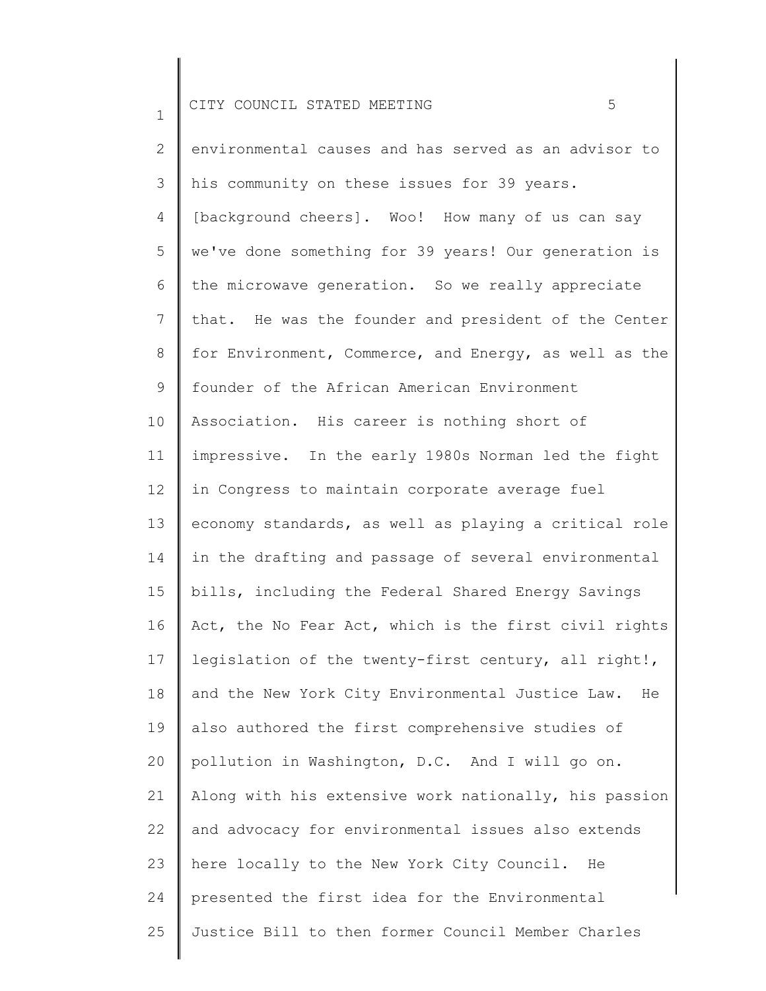| $\mathbf 1$ | 5<br>CITY COUNCIL STATED MEETING                       |
|-------------|--------------------------------------------------------|
| 2           | environmental causes and has served as an advisor to   |
| 3           | his community on these issues for 39 years.            |
| 4           | [background cheers]. Woo! How many of us can say       |
| 5           | we've done something for 39 years! Our generation is   |
| 6           | the microwave generation. So we really appreciate      |
| 7           | that. He was the founder and president of the Center   |
| 8           | for Environment, Commerce, and Energy, as well as the  |
| 9           | founder of the African American Environment            |
| 10          | Association. His career is nothing short of            |
| 11          | impressive. In the early 1980s Norman led the fight    |
| 12          | in Congress to maintain corporate average fuel         |
| 13          | economy standards, as well as playing a critical role  |
| 14          | in the drafting and passage of several environmental   |
| 15          | bills, including the Federal Shared Energy Savings     |
| 16          | Act, the No Fear Act, which is the first civil rights  |
| 17          | legislation of the twenty-first century, all right!,   |
| 18          | and the New York City Environmental Justice Law.<br>He |
| 19          | also authored the first comprehensive studies of       |
| 20          | pollution in Washington, D.C. And I will go on.        |
| 21          | Along with his extensive work nationally, his passion  |
| 22          | and advocacy for environmental issues also extends     |
| 23          | here locally to the New York City Council.<br>He       |
| 24          | presented the first idea for the Environmental         |
| 25          | Justice Bill to then former Council Member Charles     |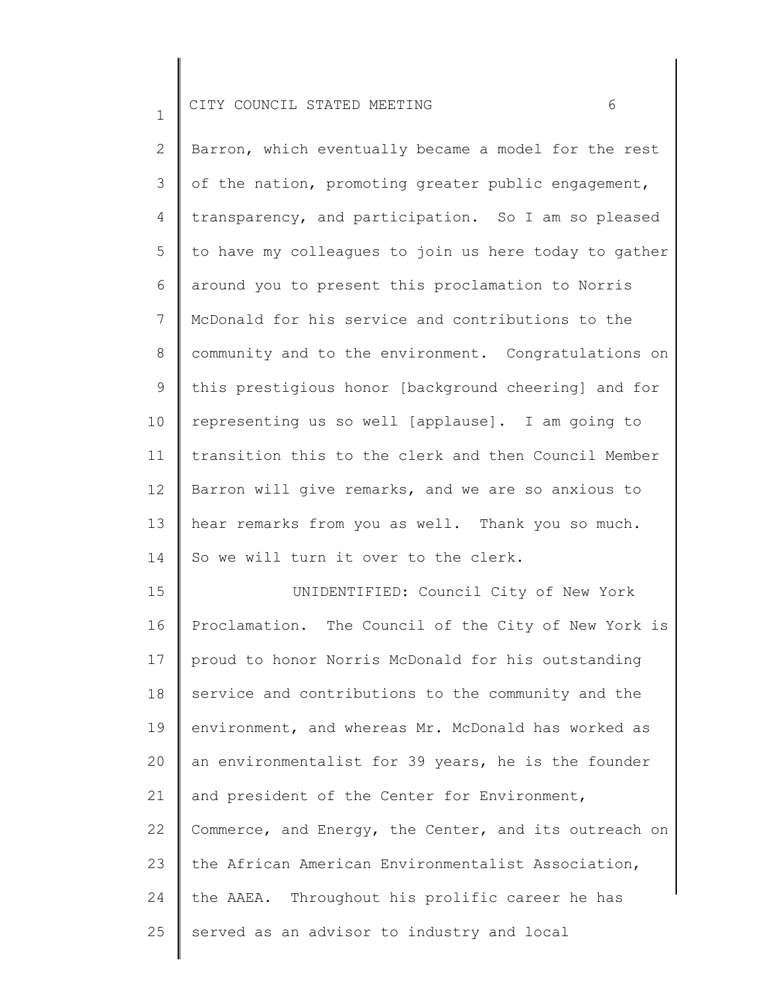2 3 4 5 6 7 8 9 10 11 12 13 14 Barron, which eventually became a model for the rest of the nation, promoting greater public engagement, transparency, and participation. So I am so pleased to have my colleagues to join us here today to gather around you to present this proclamation to Norris McDonald for his service and contributions to the community and to the environment. Congratulations on this prestigious honor [background cheering] and for representing us so well [applause]. I am going to transition this to the clerk and then Council Member Barron will give remarks, and we are so anxious to hear remarks from you as well. Thank you so much. So we will turn it over to the clerk.

15 16 17 18 19 20 21 22 23 24 25 UNIDENTIFIED: Council City of New York Proclamation. The Council of the City of New York is proud to honor Norris McDonald for his outstanding service and contributions to the community and the environment, and whereas Mr. McDonald has worked as an environmentalist for 39 years, he is the founder and president of the Center for Environment, Commerce, and Energy, the Center, and its outreach on the African American Environmentalist Association, the AAEA. Throughout his prolific career he has served as an advisor to industry and local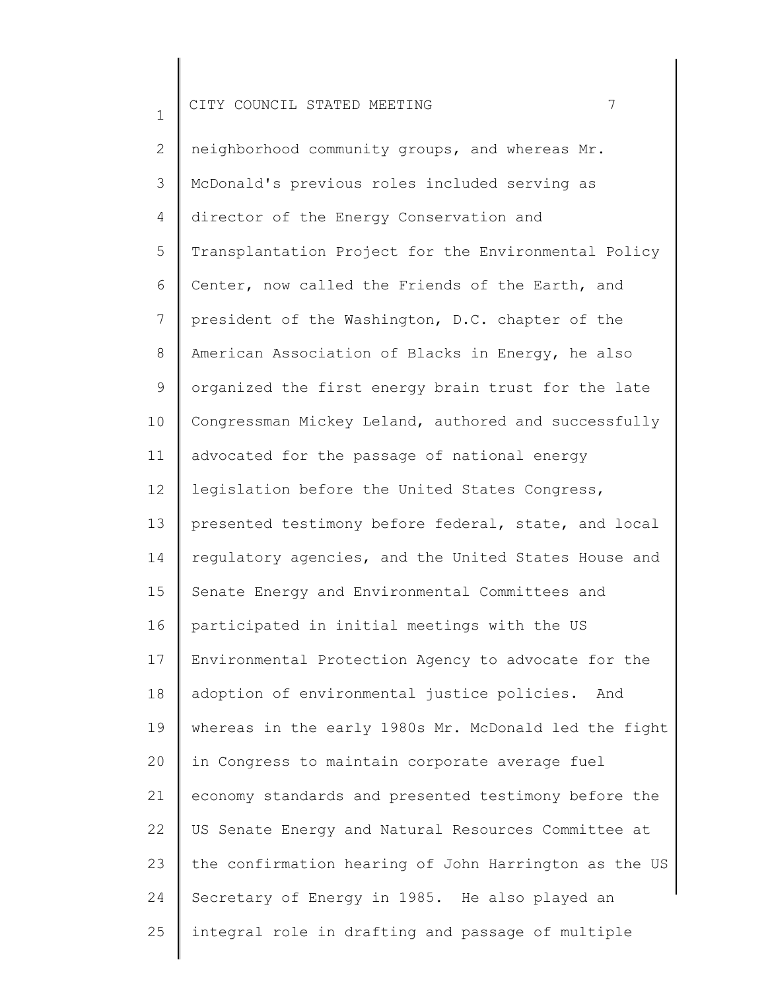1

2 3 4 5 6 7 8 9 10 11 12 13 14 15 16 17 18 19 20 21 22 23 24 25 neighborhood community groups, and whereas Mr. McDonald's previous roles included serving as director of the Energy Conservation and Transplantation Project for the Environmental Policy Center, now called the Friends of the Earth, and president of the Washington, D.C. chapter of the American Association of Blacks in Energy, he also organized the first energy brain trust for the late Congressman Mickey Leland, authored and successfully advocated for the passage of national energy legislation before the United States Congress, presented testimony before federal, state, and local regulatory agencies, and the United States House and Senate Energy and Environmental Committees and participated in initial meetings with the US Environmental Protection Agency to advocate for the adoption of environmental justice policies. And whereas in the early 1980s Mr. McDonald led the fight in Congress to maintain corporate average fuel economy standards and presented testimony before the US Senate Energy and Natural Resources Committee at the confirmation hearing of John Harrington as the US Secretary of Energy in 1985. He also played an integral role in drafting and passage of multiple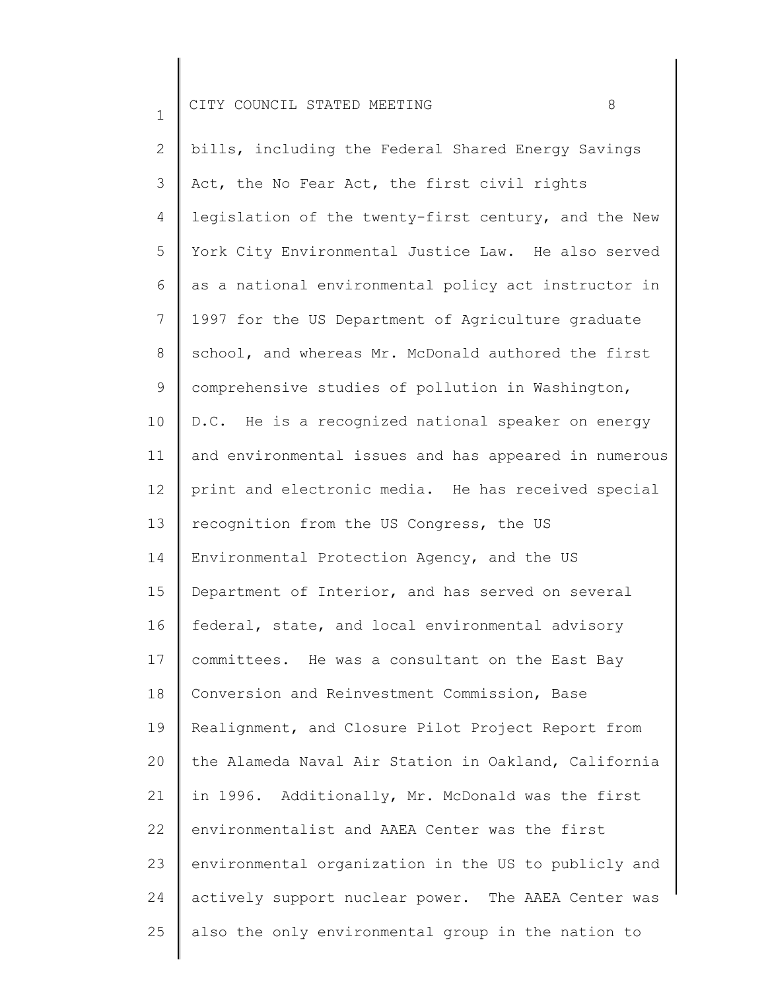1

2 3 4 5 6 7 8 9 10 11 12 13 14 15 16 17 18 19 20 21 22 23 24 25 bills, including the Federal Shared Energy Savings Act, the No Fear Act, the first civil rights legislation of the twenty-first century, and the New York City Environmental Justice Law. He also served as a national environmental policy act instructor in 1997 for the US Department of Agriculture graduate school, and whereas Mr. McDonald authored the first comprehensive studies of pollution in Washington, D.C. He is a recognized national speaker on energy and environmental issues and has appeared in numerous print and electronic media. He has received special recognition from the US Congress, the US Environmental Protection Agency, and the US Department of Interior, and has served on several federal, state, and local environmental advisory committees. He was a consultant on the East Bay Conversion and Reinvestment Commission, Base Realignment, and Closure Pilot Project Report from the Alameda Naval Air Station in Oakland, California in 1996. Additionally, Mr. McDonald was the first environmentalist and AAEA Center was the first environmental organization in the US to publicly and actively support nuclear power. The AAEA Center was also the only environmental group in the nation to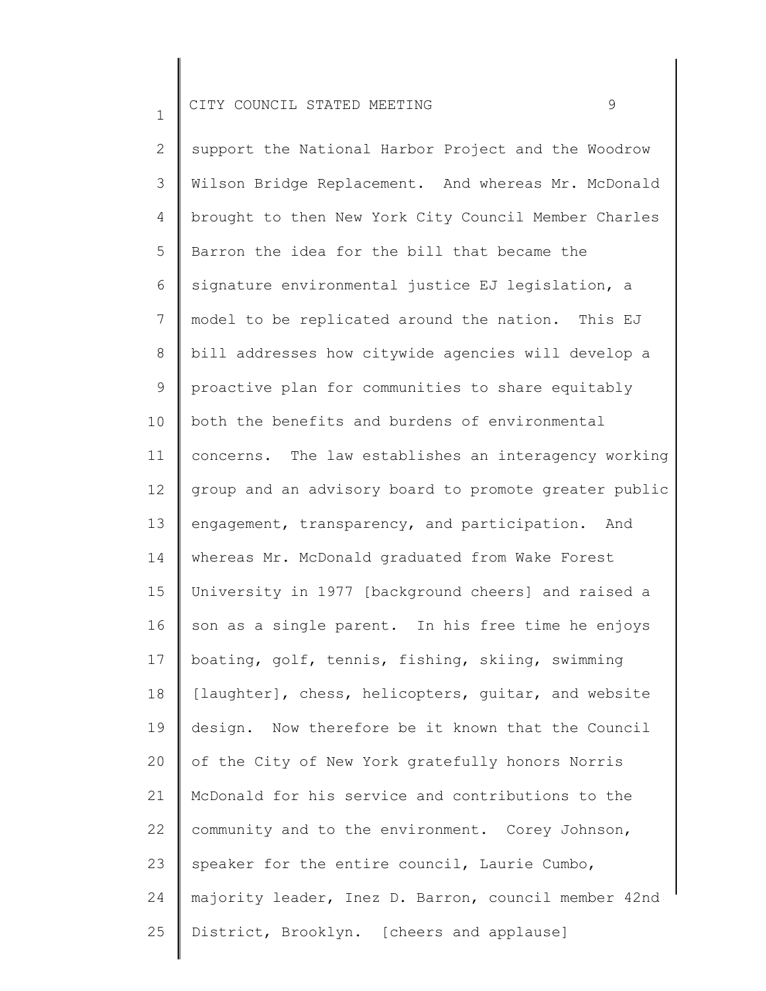2 3 4 5 6 7 8 9 10 11 12 13 14 15 16 17 18 19 20 21 22 23 24 25 support the National Harbor Project and the Woodrow Wilson Bridge Replacement. And whereas Mr. McDonald brought to then New York City Council Member Charles Barron the idea for the bill that became the signature environmental justice EJ legislation, a model to be replicated around the nation. This EJ bill addresses how citywide agencies will develop a proactive plan for communities to share equitably both the benefits and burdens of environmental concerns. The law establishes an interagency working group and an advisory board to promote greater public engagement, transparency, and participation. And whereas Mr. McDonald graduated from Wake Forest University in 1977 [background cheers] and raised a son as a single parent. In his free time he enjoys boating, golf, tennis, fishing, skiing, swimming [laughter], chess, helicopters, quitar, and website design. Now therefore be it known that the Council of the City of New York gratefully honors Norris McDonald for his service and contributions to the community and to the environment. Corey Johnson, speaker for the entire council, Laurie Cumbo, majority leader, Inez D. Barron, council member 42nd District, Brooklyn. [cheers and applause]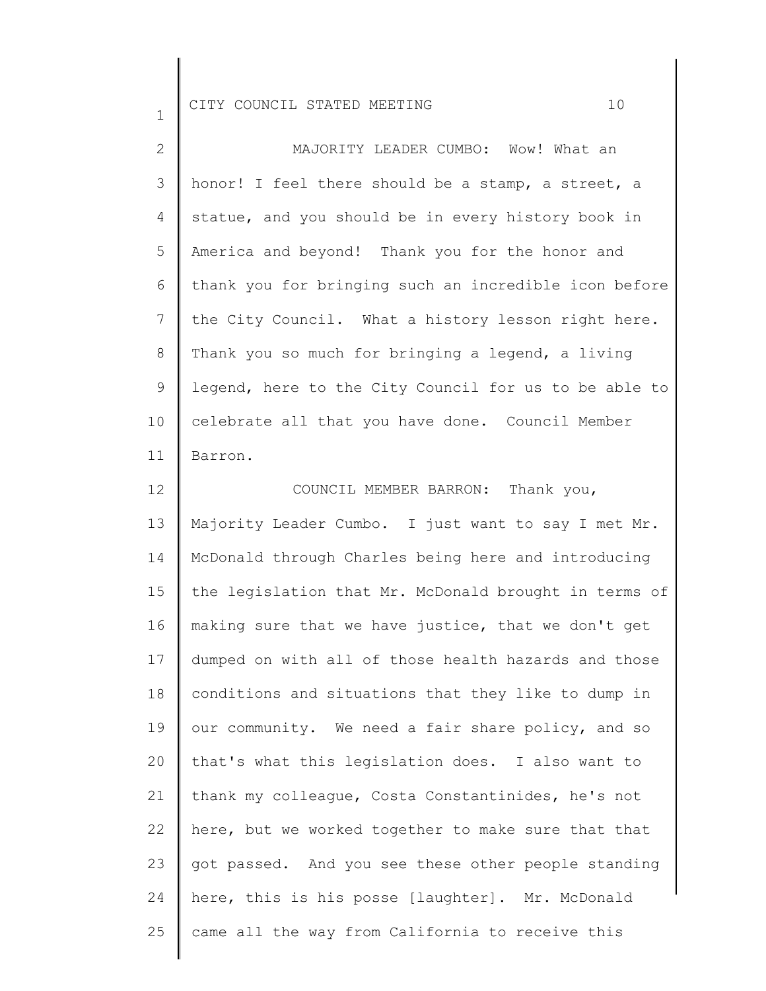1

2 3 4 5 6 7 8 9 10 11 12 13 14 15 16 17 18 19 20 21 22 23 24 25 MAJORITY LEADER CUMBO: Wow! What an honor! I feel there should be a stamp, a street, a statue, and you should be in every history book in America and beyond! Thank you for the honor and thank you for bringing such an incredible icon before the City Council. What a history lesson right here. Thank you so much for bringing a legend, a living legend, here to the City Council for us to be able to celebrate all that you have done. Council Member Barron. COUNCIL MEMBER BARRON: Thank you, Majority Leader Cumbo. I just want to say I met Mr. McDonald through Charles being here and introducing the legislation that Mr. McDonald brought in terms of making sure that we have justice, that we don't get dumped on with all of those health hazards and those conditions and situations that they like to dump in our community. We need a fair share policy, and so that's what this legislation does. I also want to thank my colleague, Costa Constantinides, he's not here, but we worked together to make sure that that got passed. And you see these other people standing here, this is his posse [laughter]. Mr. McDonald came all the way from California to receive this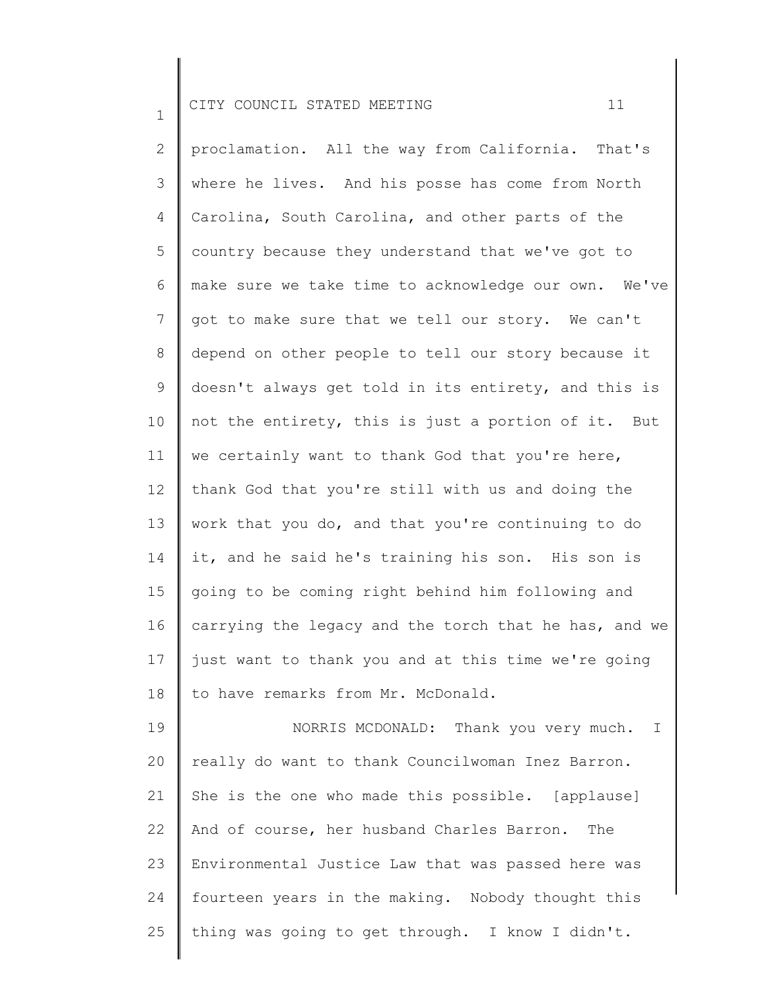1

2 3 4 5 6 7 8 9 10 11 12 13 14 15 16 17 18 proclamation. All the way from California. That's where he lives. And his posse has come from North Carolina, South Carolina, and other parts of the country because they understand that we've got to make sure we take time to acknowledge our own. We've got to make sure that we tell our story. We can't depend on other people to tell our story because it doesn't always get told in its entirety, and this is not the entirety, this is just a portion of it. But we certainly want to thank God that you're here, thank God that you're still with us and doing the work that you do, and that you're continuing to do it, and he said he's training his son. His son is going to be coming right behind him following and carrying the legacy and the torch that he has, and we just want to thank you and at this time we're going to have remarks from Mr. McDonald.

19 20 21 22 23 24 25 NORRIS MCDONALD: Thank you very much. I really do want to thank Councilwoman Inez Barron. She is the one who made this possible. [applause] And of course, her husband Charles Barron. The Environmental Justice Law that was passed here was fourteen years in the making. Nobody thought this thing was going to get through. I know I didn't.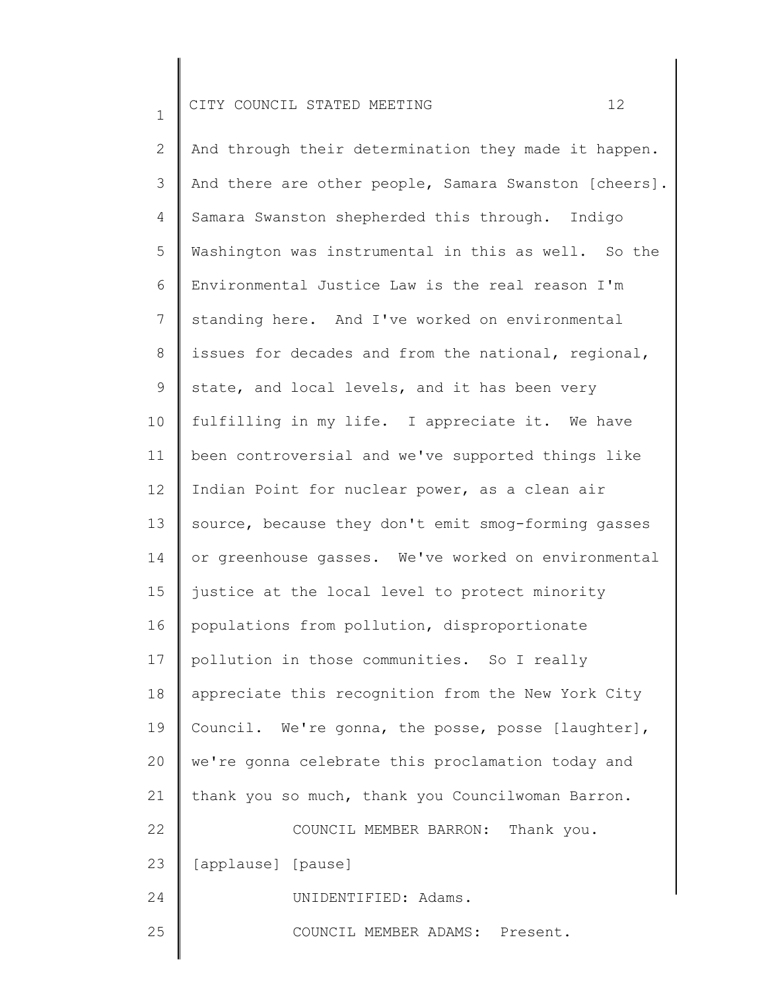2 3 4 5 6 7 8 9 10 11 12 13 14 15 16 17 18 19 20 21 22 23 24 25 And through their determination they made it happen. And there are other people, Samara Swanston [cheers]. Samara Swanston shepherded this through. Indigo Washington was instrumental in this as well. So the Environmental Justice Law is the real reason I'm standing here. And I've worked on environmental issues for decades and from the national, regional, state, and local levels, and it has been very fulfilling in my life. I appreciate it. We have been controversial and we've supported things like Indian Point for nuclear power, as a clean air source, because they don't emit smog-forming gasses or greenhouse gasses. We've worked on environmental justice at the local level to protect minority populations from pollution, disproportionate pollution in those communities. So I really appreciate this recognition from the New York City Council. We're gonna, the posse, posse [laughter], we're gonna celebrate this proclamation today and thank you so much, thank you Councilwoman Barron. COUNCIL MEMBER BARRON: Thank you. [applause] [pause] UNIDENTIFIED: Adams. COUNCIL MEMBER ADAMS: Present.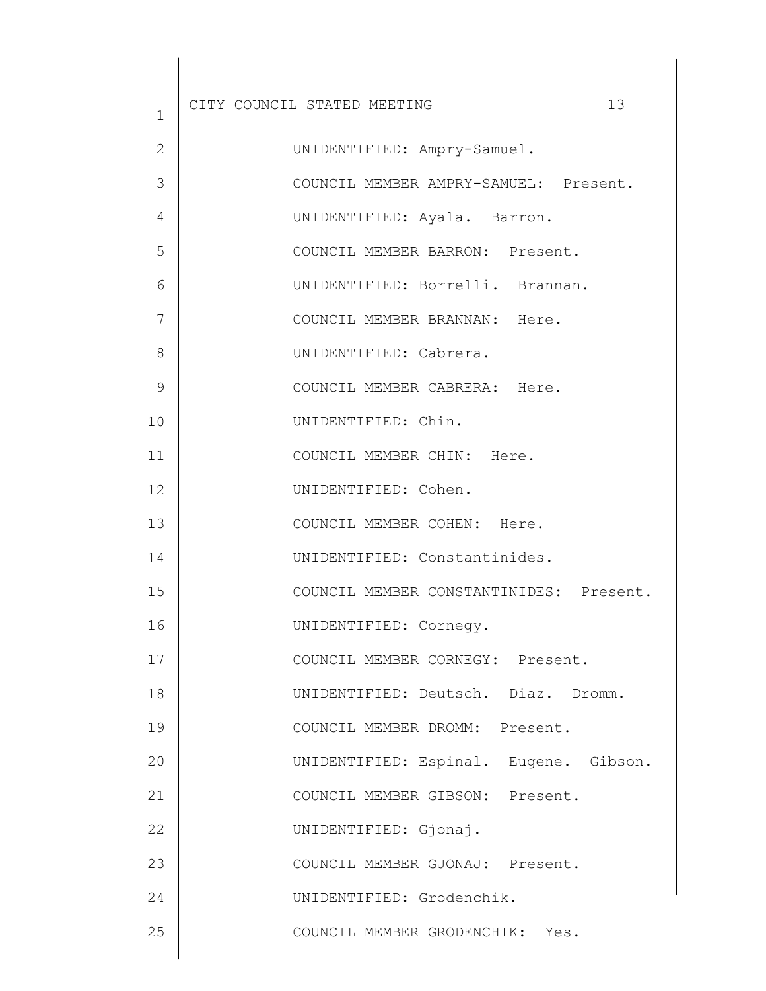| $\mathbf 1$  | CITY COUNCIL STATED MEETING<br>13       |
|--------------|-----------------------------------------|
| $\mathbf{2}$ | UNIDENTIFIED: Ampry-Samuel.             |
| 3            | COUNCIL MEMBER AMPRY-SAMUEL: Present.   |
| 4            | UNIDENTIFIED: Ayala. Barron.            |
| 5            | COUNCIL MEMBER BARRON: Present.         |
| 6            | UNIDENTIFIED: Borrelli. Brannan.        |
| 7            | COUNCIL MEMBER BRANNAN: Here.           |
| 8            | UNIDENTIFIED: Cabrera.                  |
| 9            | COUNCIL MEMBER CABRERA: Here.           |
| 10           | UNIDENTIFIED: Chin.                     |
| 11           | COUNCIL MEMBER CHIN: Here.              |
| 12           | UNIDENTIFIED: Cohen.                    |
| 13           | COUNCIL MEMBER COHEN: Here.             |
| 14           | UNIDENTIFIED: Constantinides.           |
| 15           | COUNCIL MEMBER CONSTANTINIDES: Present. |
| 16           | UNIDENTIFIED: Cornegy.                  |
| 17           | COUNCIL MEMBER CORNEGY: Present.        |
| 18           | UNIDENTIFIED: Deutsch. Diaz. Dromm.     |
| 19           | COUNCIL MEMBER DROMM: Present.          |
| 20           | UNIDENTIFIED: Espinal. Eugene. Gibson.  |
| 21           | COUNCIL MEMBER GIBSON: Present.         |
| 22           | UNIDENTIFIED: Gjonaj.                   |
| 23           | COUNCIL MEMBER GJONAJ: Present.         |
| 24           | UNIDENTIFIED: Grodenchik.               |
| 25           | COUNCIL MEMBER GRODENCHIK: Yes.         |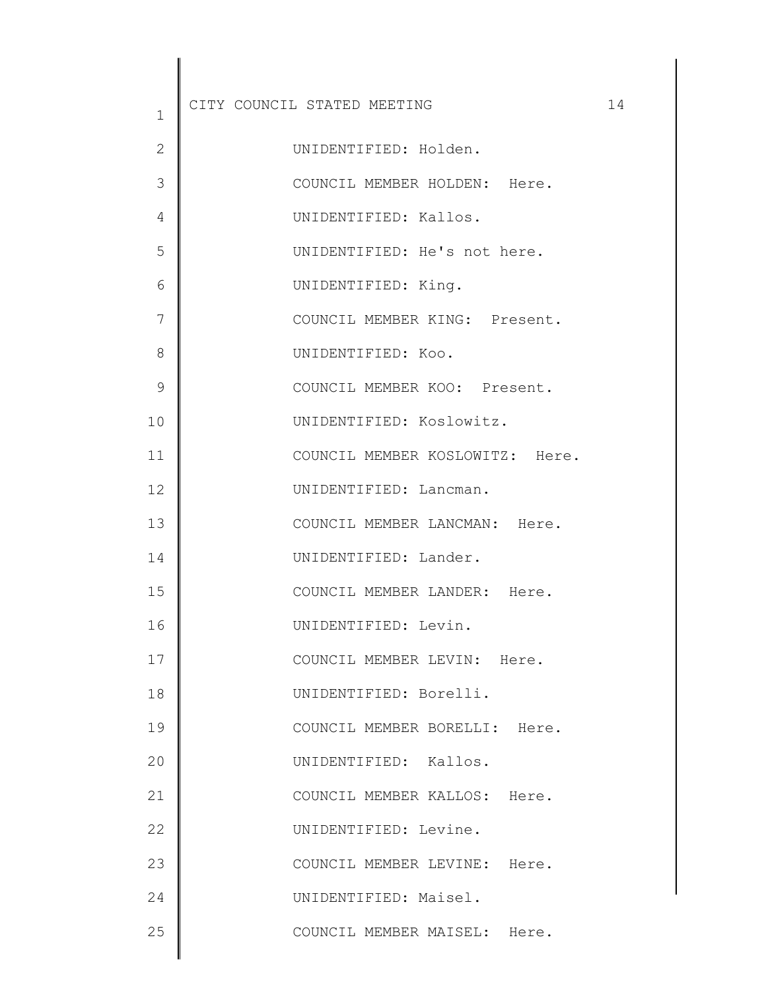| $\mathbf 1$   | CITY COUNCIL STATED MEETING     | 14 |
|---------------|---------------------------------|----|
| $\mathbf{2}$  | UNIDENTIFIED: Holden.           |    |
| 3             | COUNCIL MEMBER HOLDEN: Here.    |    |
| 4             | UNIDENTIFIED: Kallos.           |    |
| 5             | UNIDENTIFIED: He's not here.    |    |
| 6             | UNIDENTIFIED: King.             |    |
| 7             | COUNCIL MEMBER KING: Present.   |    |
| 8             | UNIDENTIFIED: KOO.              |    |
| $\mathcal{G}$ | COUNCIL MEMBER KOO: Present.    |    |
| 10            | UNIDENTIFIED: Koslowitz.        |    |
| 11            | COUNCIL MEMBER KOSLOWITZ: Here. |    |
| 12            | UNIDENTIFIED: Lancman.          |    |
| 13            | COUNCIL MEMBER LANCMAN: Here.   |    |
| 14            | UNIDENTIFIED: Lander.           |    |
| 15            | COUNCIL MEMBER LANDER: Here.    |    |
| 16            | UNIDENTIFIED: Levin.            |    |
| 17            | COUNCIL MEMBER LEVIN: Here.     |    |
| 18            | UNIDENTIFIED: Borelli.          |    |
| 19            | COUNCIL MEMBER BORELLI: Here.   |    |
| 20            | UNIDENTIFIED: Kallos.           |    |
| 21            | COUNCIL MEMBER KALLOS: Here.    |    |
| 22            | UNIDENTIFIED: Levine.           |    |
| 23            | COUNCIL MEMBER LEVINE: Here.    |    |
| 24            | UNIDENTIFIED: Maisel.           |    |
| 25            | COUNCIL MEMBER MAISEL: Here.    |    |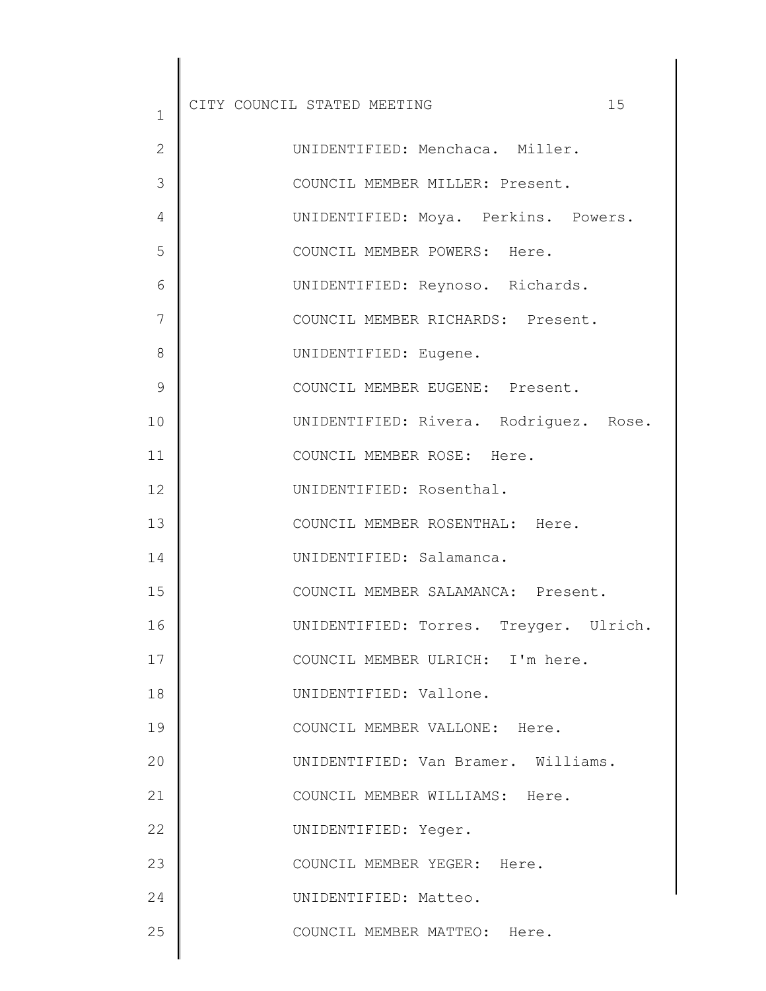| $\mathbf 1$   | 15<br>CITY COUNCIL STATED MEETING      |
|---------------|----------------------------------------|
| $\mathbf{2}$  | UNIDENTIFIED: Menchaca. Miller.        |
| 3             | COUNCIL MEMBER MILLER: Present.        |
| 4             | UNIDENTIFIED: Moya. Perkins. Powers.   |
| 5             | COUNCIL MEMBER POWERS: Here.           |
| 6             | UNIDENTIFIED: Reynoso. Richards.       |
| 7             | COUNCIL MEMBER RICHARDS: Present.      |
| 8             | UNIDENTIFIED: Eugene.                  |
| $\mathcal{G}$ | COUNCIL MEMBER EUGENE: Present.        |
| 10            | UNIDENTIFIED: Rivera. Rodriguez. Rose. |
| 11            | COUNCIL MEMBER ROSE: Here.             |
| 12            | UNIDENTIFIED: Rosenthal.               |
| 13            | COUNCIL MEMBER ROSENTHAL: Here.        |
| 14            | UNIDENTIFIED: Salamanca.               |
| 15            | COUNCIL MEMBER SALAMANCA: Present.     |
| 16            | UNIDENTIFIED: Torres. Treyger. Ulrich. |
| 17            | COUNCIL MEMBER ULRICH: I'm here.       |
| 18            | UNIDENTIFIED: Vallone.                 |
| 19            | COUNCIL MEMBER VALLONE: Here.          |
| 20            | UNIDENTIFIED: Van Bramer. Williams.    |
| 21            | COUNCIL MEMBER WILLIAMS: Here.         |
| 22            | UNIDENTIFIED: Yeger.                   |
| 23            | COUNCIL MEMBER YEGER: Here.            |
| 24            | UNIDENTIFIED: Matteo.                  |
| 25            | COUNCIL MEMBER MATTEO: Here.           |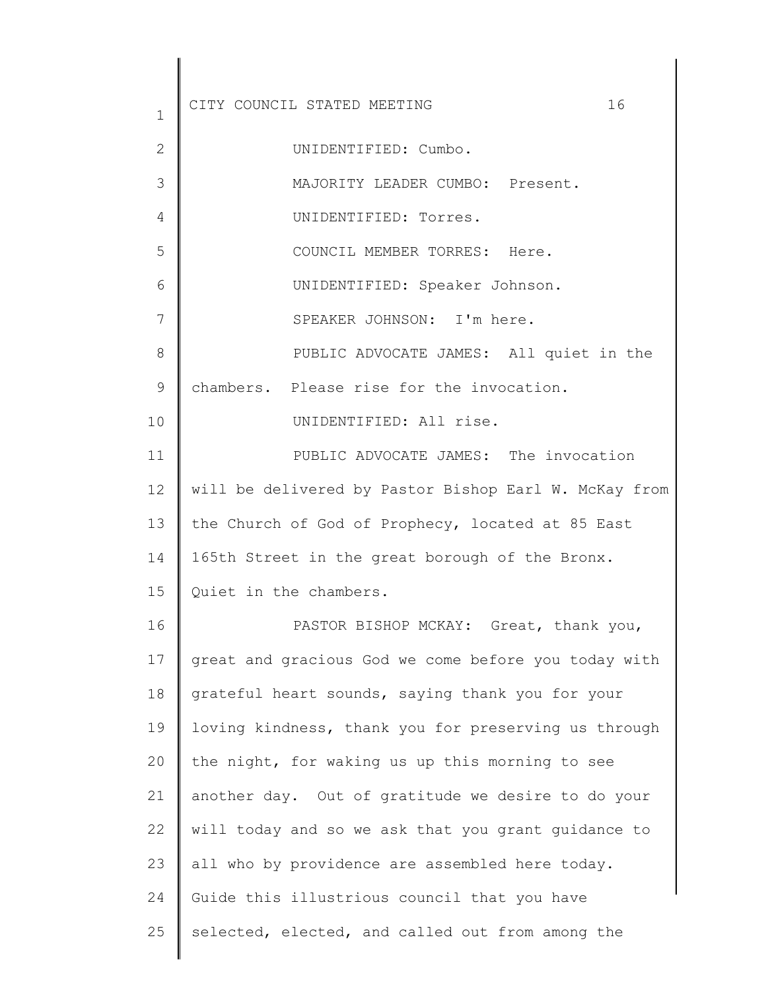1 2 3 4 5 6 7 8 9 10 11 12 13 14 15 16 17 18 19 20 21 22 23 24 25 CITY COUNCIL STATED MEETING 16 UNIDENTIFIED: Cumbo. MAJORITY LEADER CUMBO: Present. UNIDENTIFIED: Torres. COUNCIL MEMBER TORRES: Here. UNIDENTIFIED: Speaker Johnson. SPEAKER JOHNSON: I'm here. PUBLIC ADVOCATE JAMES: All quiet in the chambers. Please rise for the invocation. UNIDENTIFIED: All rise. PUBLIC ADVOCATE JAMES: The invocation will be delivered by Pastor Bishop Earl W. McKay from the Church of God of Prophecy, located at 85 East 165th Street in the great borough of the Bronx. Quiet in the chambers. PASTOR BISHOP MCKAY: Great, thank you, great and gracious God we come before you today with grateful heart sounds, saying thank you for your loving kindness, thank you for preserving us through the night, for waking us up this morning to see another day. Out of gratitude we desire to do your will today and so we ask that you grant guidance to all who by providence are assembled here today. Guide this illustrious council that you have selected, elected, and called out from among the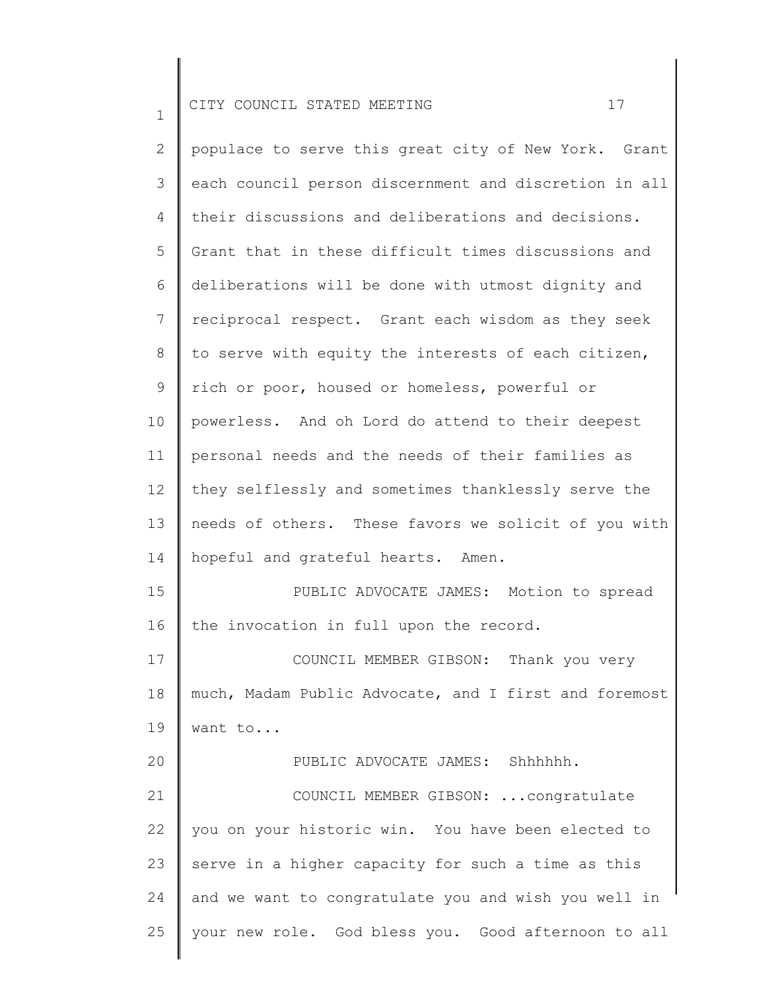2 3 4 5 6 7 8 9 10 11 12 13 14 15 16 17 18 19 20 21 22 23 24 25 populace to serve this great city of New York. Grant each council person discernment and discretion in all their discussions and deliberations and decisions. Grant that in these difficult times discussions and deliberations will be done with utmost dignity and reciprocal respect. Grant each wisdom as they seek to serve with equity the interests of each citizen, rich or poor, housed or homeless, powerful or powerless. And oh Lord do attend to their deepest personal needs and the needs of their families as they selflessly and sometimes thanklessly serve the needs of others. These favors we solicit of you with hopeful and grateful hearts. Amen. PUBLIC ADVOCATE JAMES: Motion to spread the invocation in full upon the record. COUNCIL MEMBER GIBSON: Thank you very much, Madam Public Advocate, and I first and foremost want to... PUBLIC ADVOCATE JAMES: Shhhhhh. COUNCIL MEMBER GIBSON: ...congratulate you on your historic win. You have been elected to serve in a higher capacity for such a time as this and we want to congratulate you and wish you well in your new role. God bless you. Good afternoon to all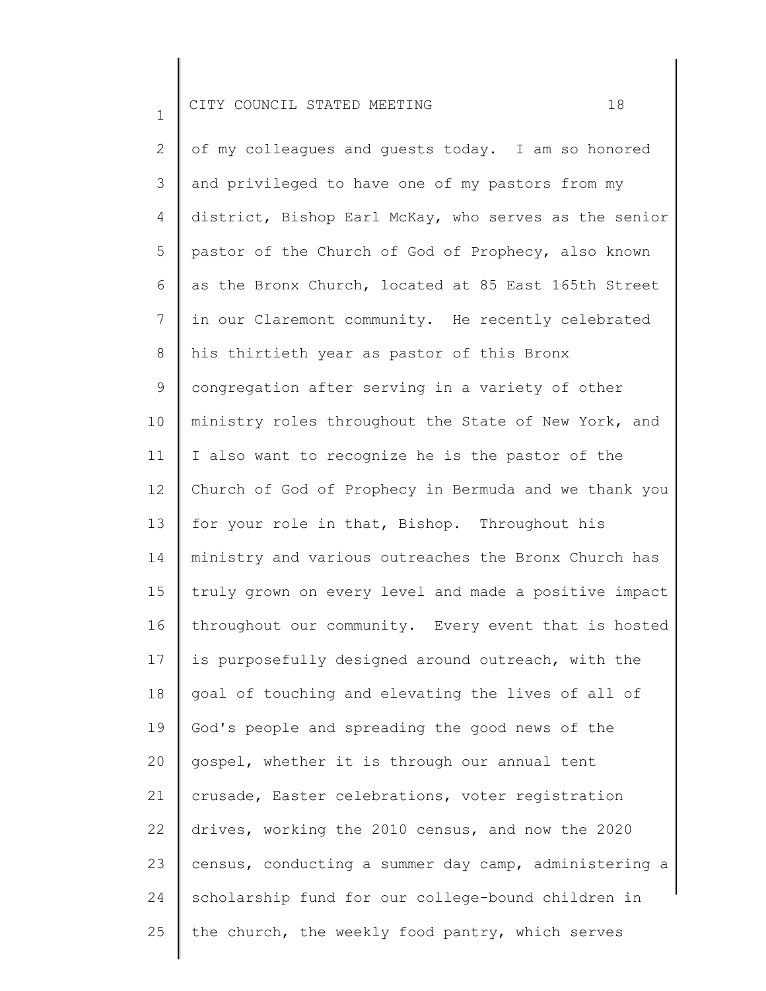|  | CITY COUNCIL STATED MEETING |  |  |
|--|-----------------------------|--|--|
|  |                             |  |  |

2 3 4 5 6 7 8 9 10 11 12 13 14 15 16 17 18 19 20 21 22 23 24 25 of my colleagues and guests today. I am so honored and privileged to have one of my pastors from my district, Bishop Earl McKay, who serves as the senior pastor of the Church of God of Prophecy, also known as the Bronx Church, located at 85 East 165th Street in our Claremont community. He recently celebrated his thirtieth year as pastor of this Bronx congregation after serving in a variety of other ministry roles throughout the State of New York, and I also want to recognize he is the pastor of the Church of God of Prophecy in Bermuda and we thank you for your role in that, Bishop. Throughout his ministry and various outreaches the Bronx Church has truly grown on every level and made a positive impact throughout our community. Every event that is hosted is purposefully designed around outreach, with the goal of touching and elevating the lives of all of God's people and spreading the good news of the gospel, whether it is through our annual tent crusade, Easter celebrations, voter registration drives, working the 2010 census, and now the 2020 census, conducting a summer day camp, administering a scholarship fund for our college-bound children in the church, the weekly food pantry, which serves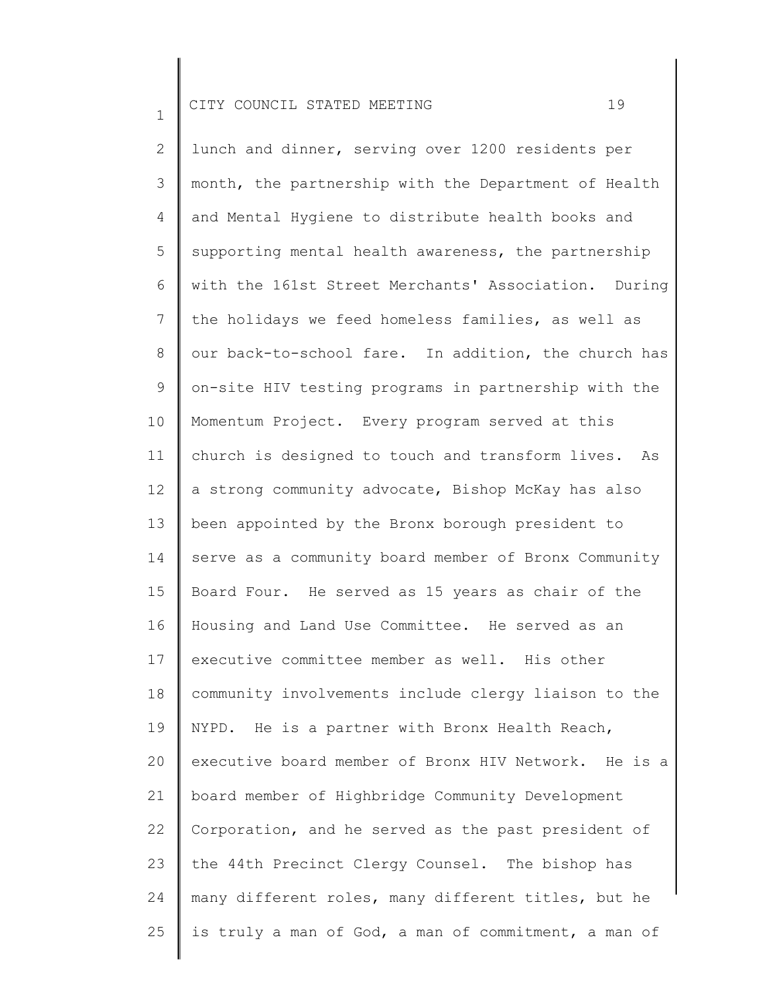2 3 4 5 6 7 8 9 10 11 12 13 14 15 16 17 18 19 20 21 22 23 24 25 lunch and dinner, serving over 1200 residents per month, the partnership with the Department of Health and Mental Hygiene to distribute health books and supporting mental health awareness, the partnership with the 161st Street Merchants' Association. During the holidays we feed homeless families, as well as our back-to-school fare. In addition, the church has on-site HIV testing programs in partnership with the Momentum Project. Every program served at this church is designed to touch and transform lives. As a strong community advocate, Bishop McKay has also been appointed by the Bronx borough president to serve as a community board member of Bronx Community Board Four. He served as 15 years as chair of the Housing and Land Use Committee. He served as an executive committee member as well. His other community involvements include clergy liaison to the NYPD. He is a partner with Bronx Health Reach, executive board member of Bronx HIV Network. He is a board member of Highbridge Community Development Corporation, and he served as the past president of the 44th Precinct Clergy Counsel. The bishop has many different roles, many different titles, but he is truly a man of God, a man of commitment, a man of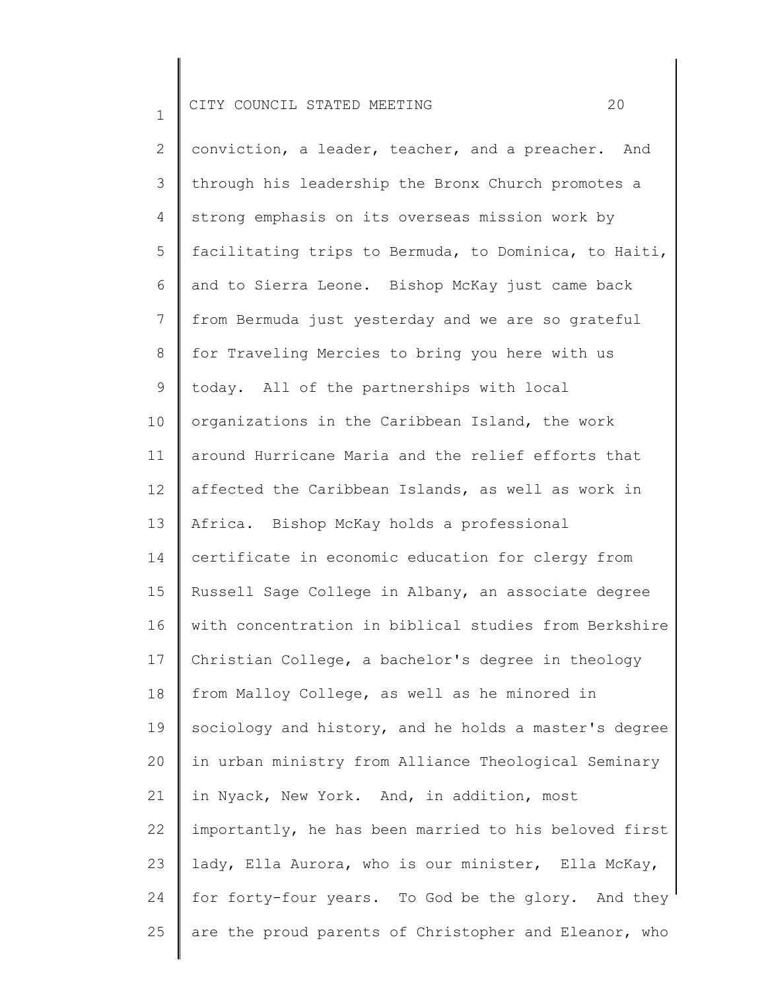2 3 4 5 6 7 8 9 10 11 12 13 14 15 16 17 18 19 20 21 22 23 24 25 conviction, a leader, teacher, and a preacher. And through his leadership the Bronx Church promotes a strong emphasis on its overseas mission work by facilitating trips to Bermuda, to Dominica, to Haiti, and to Sierra Leone. Bishop McKay just came back from Bermuda just yesterday and we are so grateful for Traveling Mercies to bring you here with us today. All of the partnerships with local organizations in the Caribbean Island, the work around Hurricane Maria and the relief efforts that affected the Caribbean Islands, as well as work in Africa. Bishop McKay holds a professional certificate in economic education for clergy from Russell Sage College in Albany, an associate degree with concentration in biblical studies from Berkshire Christian College, a bachelor's degree in theology from Malloy College, as well as he minored in sociology and history, and he holds a master's degree in urban ministry from Alliance Theological Seminary in Nyack, New York. And, in addition, most importantly, he has been married to his beloved first lady, Ella Aurora, who is our minister, Ella McKay, for forty-four years. To God be the glory. And they are the proud parents of Christopher and Eleanor, who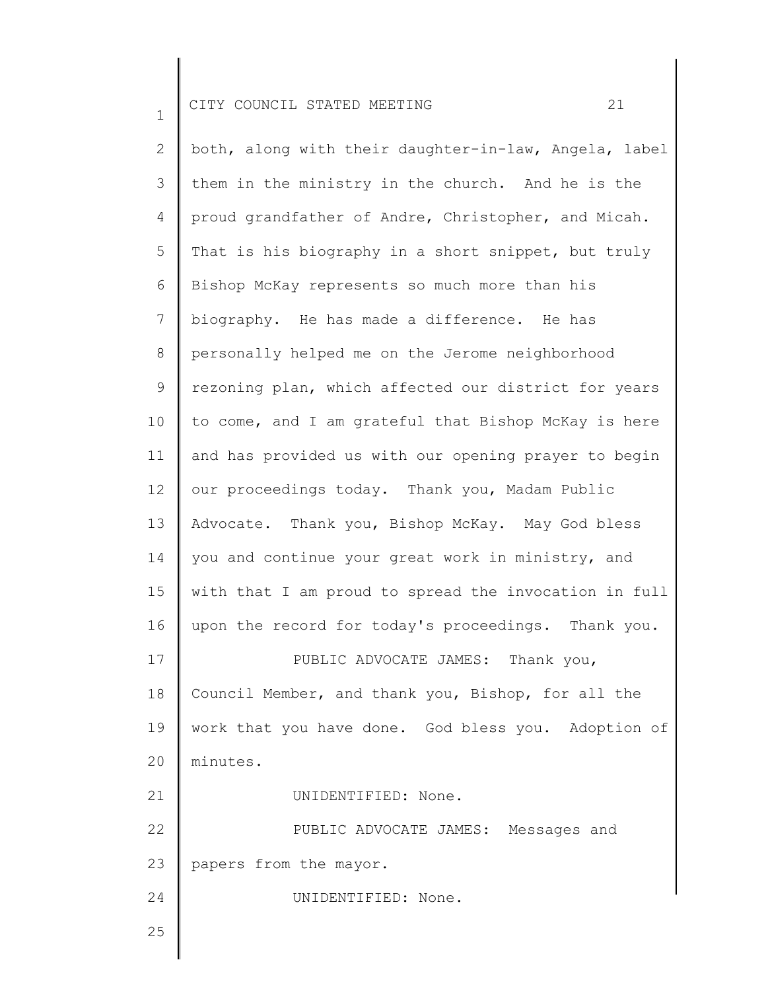2 3 4 5 6 7 8 9 10 11 12 13 14 15 16 17 18 19 20 21 22 23 24 25 both, along with their daughter-in-law, Angela, label them in the ministry in the church. And he is the proud grandfather of Andre, Christopher, and Micah. That is his biography in a short snippet, but truly Bishop McKay represents so much more than his biography. He has made a difference. He has personally helped me on the Jerome neighborhood rezoning plan, which affected our district for years to come, and I am grateful that Bishop McKay is here and has provided us with our opening prayer to begin our proceedings today. Thank you, Madam Public Advocate. Thank you, Bishop McKay. May God bless you and continue your great work in ministry, and with that I am proud to spread the invocation in full upon the record for today's proceedings. Thank you. PUBLIC ADVOCATE JAMES: Thank you, Council Member, and thank you, Bishop, for all the work that you have done. God bless you. Adoption of minutes. UNIDENTIFIED: None. PUBLIC ADVOCATE JAMES: Messages and papers from the mayor. UNIDENTIFIED: None.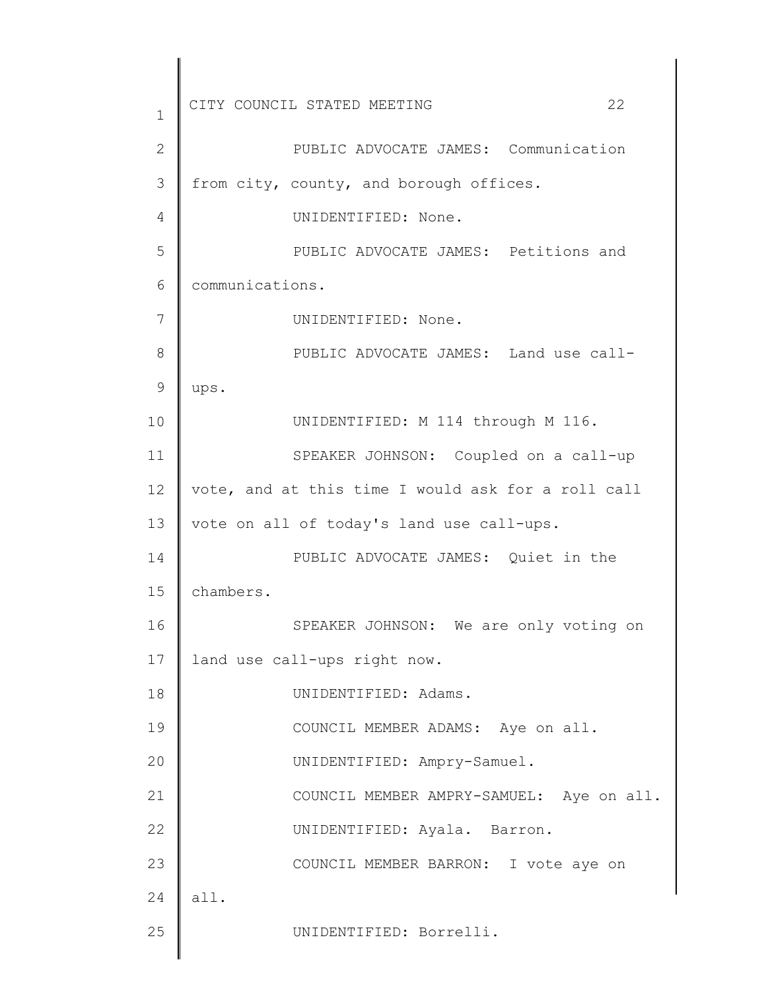1 2 3 4 5 6 7 8 9 10 11 12 13 14 15 16 17 18 19 20 21 22 23 24 25 CITY COUNCIL STATED MEETING 22 PUBLIC ADVOCATE JAMES: Communication from city, county, and borough offices. UNIDENTIFIED: None. PUBLIC ADVOCATE JAMES: Petitions and communications. UNIDENTIFIED: None. PUBLIC ADVOCATE JAMES: Land use callups. UNIDENTIFIED: M 114 through M 116. SPEAKER JOHNSON: Coupled on a call-up vote, and at this time I would ask for a roll call vote on all of today's land use call-ups. PUBLIC ADVOCATE JAMES: Quiet in the chambers. SPEAKER JOHNSON: We are only voting on land use call-ups right now. UNIDENTIFIED: Adams. COUNCIL MEMBER ADAMS: Aye on all. UNIDENTIFIED: Ampry-Samuel. COUNCIL MEMBER AMPRY-SAMUEL: Aye on all. UNIDENTIFIED: Ayala. Barron. COUNCIL MEMBER BARRON: I vote aye on all. UNIDENTIFIED: Borrelli.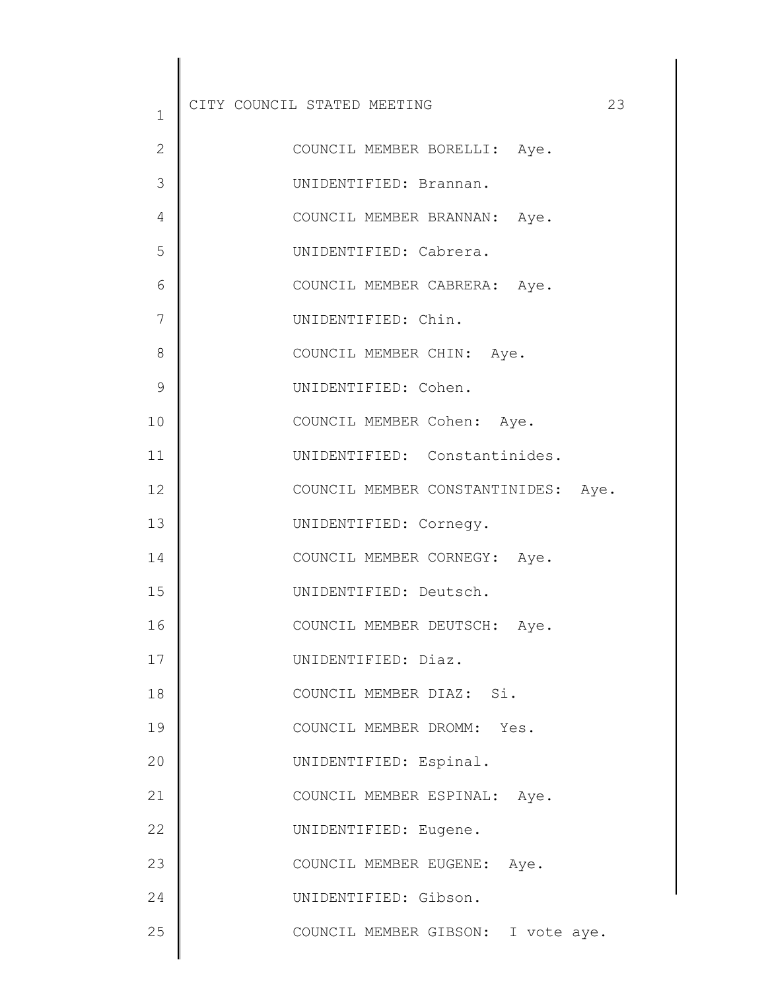| $\mathbf 1$  | CITY COUNCIL STATED MEETING<br>23   |
|--------------|-------------------------------------|
| $\mathbf{2}$ | COUNCIL MEMBER BORELLI: Aye.        |
| 3            | UNIDENTIFIED: Brannan.              |
| 4            | COUNCIL MEMBER BRANNAN: Aye.        |
| 5            | UNIDENTIFIED: Cabrera.              |
| 6            | COUNCIL MEMBER CABRERA: Aye.        |
| 7            | UNIDENTIFIED: Chin.                 |
| 8            | COUNCIL MEMBER CHIN: Aye.           |
| 9            | UNIDENTIFIED: Cohen.                |
| 10           | COUNCIL MEMBER Cohen: Aye.          |
| 11           | UNIDENTIFIED: Constantinides.       |
| 12           | COUNCIL MEMBER CONSTANTINIDES: Aye. |
| 13           | UNIDENTIFIED: Cornegy.              |
| 14           | COUNCIL MEMBER CORNEGY: Aye.        |
| 15           | UNIDENTIFIED: Deutsch.              |
| 16           | COUNCIL MEMBER DEUTSCH: Aye.        |
| 17           | UNIDENTIFIED: Diaz.                 |
| 18           | COUNCIL MEMBER DIAZ: Si.            |
| 19           | COUNCIL MEMBER DROMM: Yes.          |
| 20           | UNIDENTIFIED: Espinal.              |
| 21           | COUNCIL MEMBER ESPINAL: Aye.        |
| 22           | UNIDENTIFIED: Eugene.               |
| 23           | COUNCIL MEMBER EUGENE: Aye.         |
| 24           | UNIDENTIFIED: Gibson.               |
| 25           | COUNCIL MEMBER GIBSON: I vote aye.  |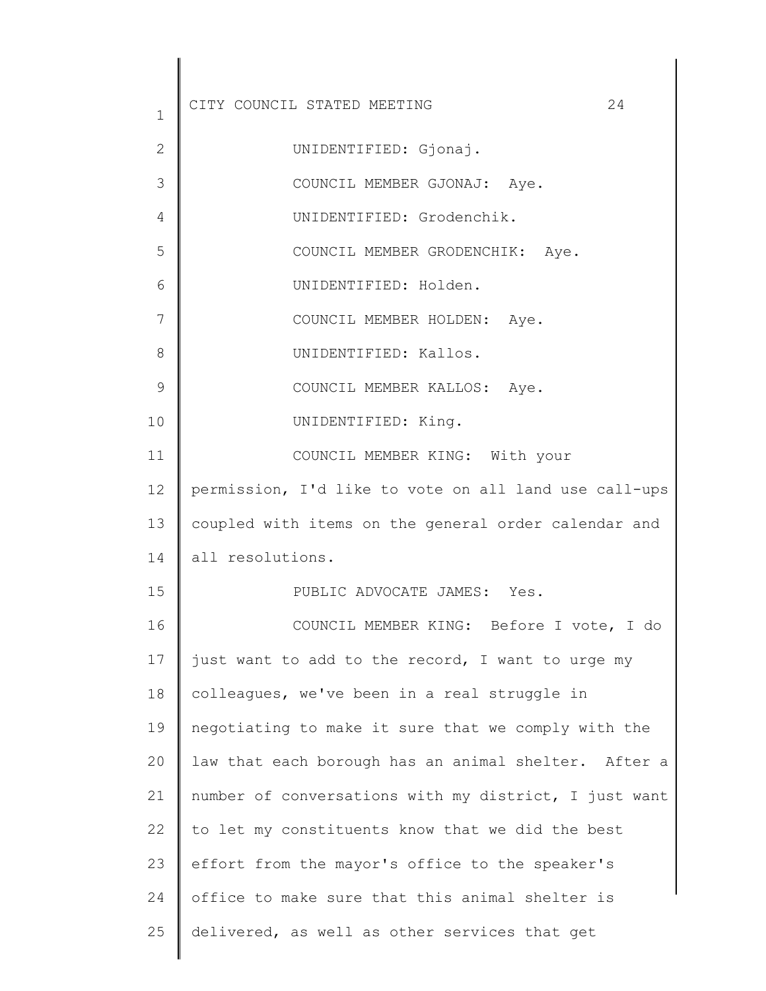| $\mathbf 1$  | 24<br>CITY COUNCIL STATED MEETING                     |
|--------------|-------------------------------------------------------|
| $\mathbf{2}$ | UNIDENTIFIED: Gjonaj.                                 |
| 3            | COUNCIL MEMBER GJONAJ: Aye.                           |
| 4            | UNIDENTIFIED: Grodenchik.                             |
| 5            | COUNCIL MEMBER GRODENCHIK: Aye.                       |
| 6            | UNIDENTIFIED: Holden.                                 |
| 7            | COUNCIL MEMBER HOLDEN: Aye.                           |
| 8            | UNIDENTIFIED: Kallos.                                 |
| 9            | COUNCIL MEMBER KALLOS: Aye.                           |
| 10           | UNIDENTIFIED: King.                                   |
| 11           | COUNCIL MEMBER KING: With your                        |
| 12           | permission, I'd like to vote on all land use call-ups |
| 13           | coupled with items on the general order calendar and  |
| 14           | all resolutions.                                      |
| 15           | PUBLIC ADVOCATE JAMES: Yes.                           |
| 16           | COUNCIL MEMBER KING: Before I vote, I do              |
| 17           | just want to add to the record, I want to urge my     |
| 18           | colleagues, we've been in a real struggle in          |
| 19           | negotiating to make it sure that we comply with the   |
| 20           | law that each borough has an animal shelter. After a  |
| 21           | number of conversations with my district, I just want |
| 22           | to let my constituents know that we did the best      |
| 23           | effort from the mayor's office to the speaker's       |
| 24           | office to make sure that this animal shelter is       |
| 25           | delivered, as well as other services that get         |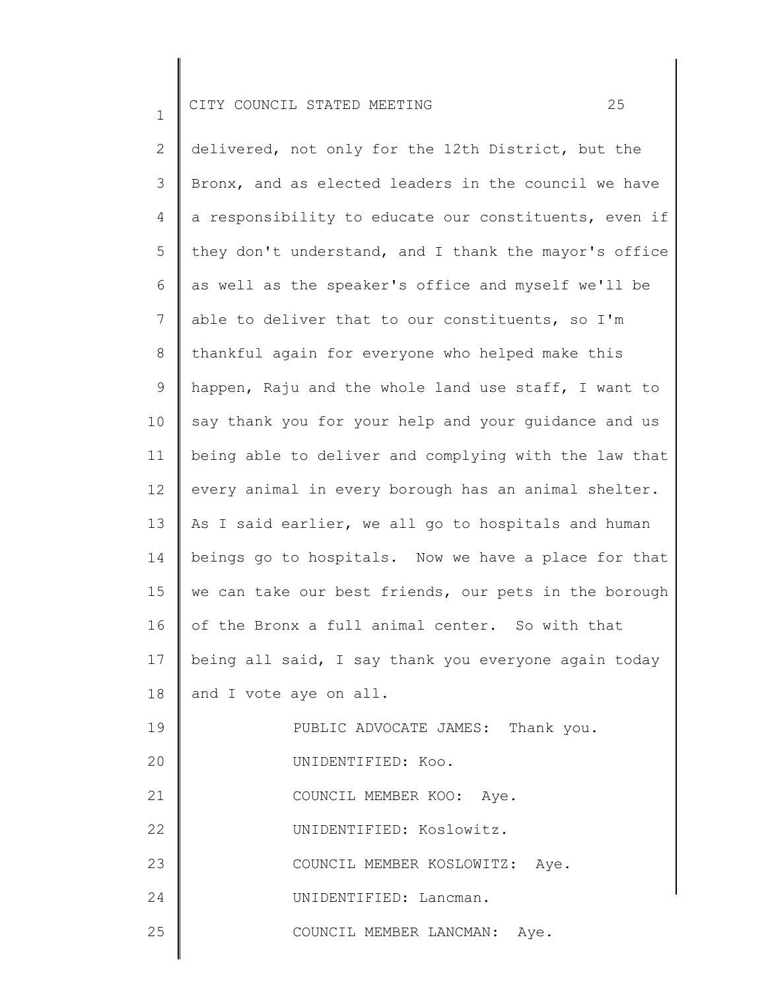2 3 4 5 6 7 8 9 10 11 12 13 14 15 16 17 18 19 20 21 22 23 24 25 delivered, not only for the 12th District, but the Bronx, and as elected leaders in the council we have a responsibility to educate our constituents, even if they don't understand, and I thank the mayor's office as well as the speaker's office and myself we'll be able to deliver that to our constituents, so I'm thankful again for everyone who helped make this happen, Raju and the whole land use staff, I want to say thank you for your help and your guidance and us being able to deliver and complying with the law that every animal in every borough has an animal shelter. As I said earlier, we all go to hospitals and human beings go to hospitals. Now we have a place for that we can take our best friends, our pets in the borough of the Bronx a full animal center. So with that being all said, I say thank you everyone again today and I vote aye on all. PUBLIC ADVOCATE JAMES: Thank you. UNIDENTIFIED: Koo. COUNCIL MEMBER KOO: Aye. UNIDENTIFIED: Koslowitz. COUNCIL MEMBER KOSLOWITZ: Aye. UNIDENTIFIED: Lancman. COUNCIL MEMBER LANCMAN: Aye.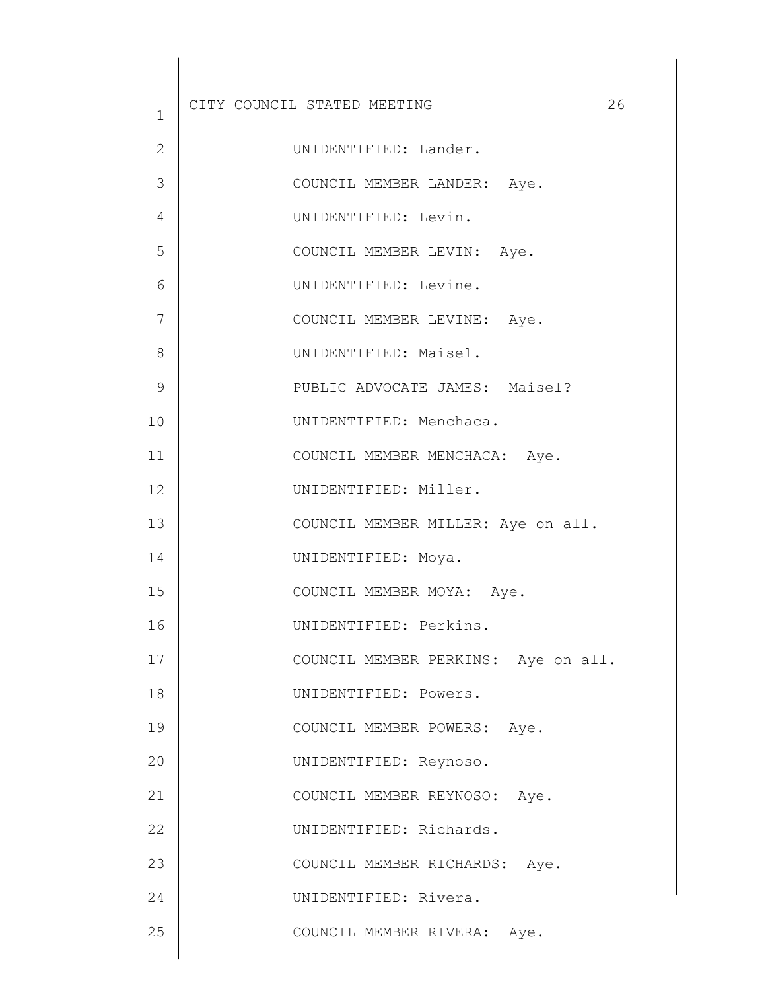| $\mathbf 1$  | 26<br>CITY COUNCIL STATED MEETING   |
|--------------|-------------------------------------|
| $\mathbf{2}$ | UNIDENTIFIED: Lander.               |
| 3            | COUNCIL MEMBER LANDER: Aye.         |
| 4            | UNIDENTIFIED: Levin.                |
| 5            | COUNCIL MEMBER LEVIN: Aye.          |
| 6            | UNIDENTIFIED: Levine.               |
| 7            | COUNCIL MEMBER LEVINE: Aye.         |
| 8            | UNIDENTIFIED: Maisel.               |
| 9            | PUBLIC ADVOCATE JAMES: Maisel?      |
| 10           | UNIDENTIFIED: Menchaca.             |
| 11           | COUNCIL MEMBER MENCHACA: Aye.       |
| 12           | UNIDENTIFIED: Miller.               |
| 13           | COUNCIL MEMBER MILLER: Aye on all.  |
| 14           | UNIDENTIFIED: Moya.                 |
| 15           | COUNCIL MEMBER MOYA: Aye.           |
| 16           | UNIDENTIFIED: Perkins.              |
| 17           | COUNCIL MEMBER PERKINS: Aye on all. |
| 18           | UNIDENTIFIED: Powers.               |
| 19           | COUNCIL MEMBER POWERS: Aye.         |
| 20           | UNIDENTIFIED: Reynoso.              |
| 21           | COUNCIL MEMBER REYNOSO: Aye.        |
| 22           | UNIDENTIFIED: Richards.             |
| 23           | COUNCIL MEMBER RICHARDS: Aye.       |
| 24           | UNIDENTIFIED: Rivera.               |
| 25           | COUNCIL MEMBER RIVERA: Aye.         |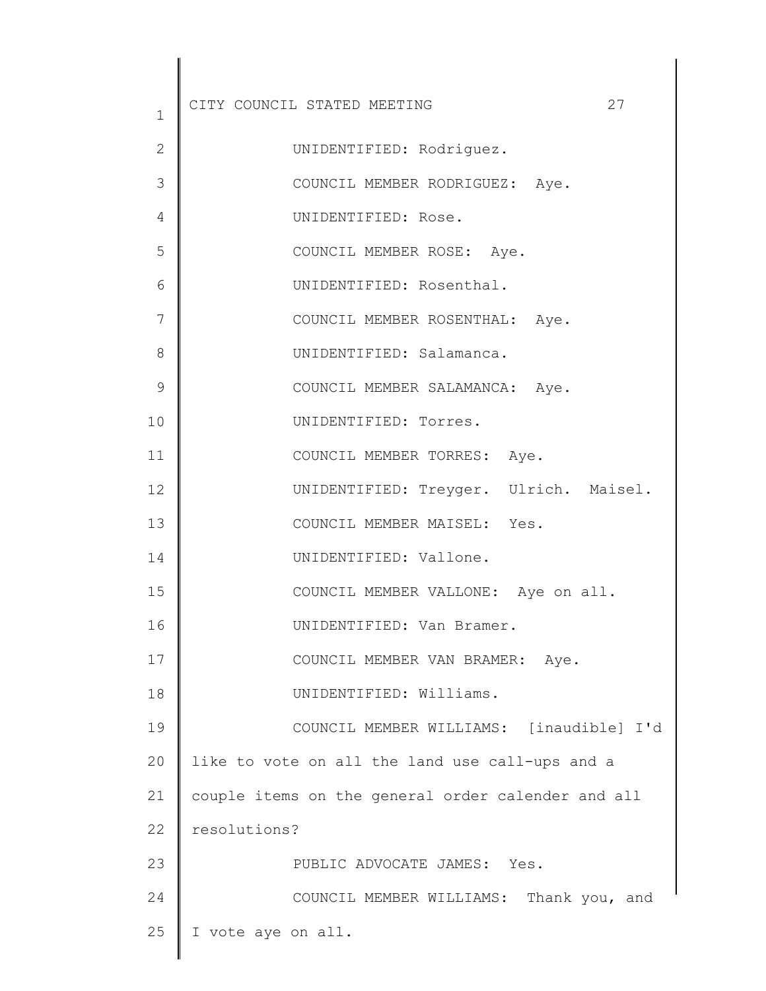| 1            | 27<br>CITY COUNCIL STATED MEETING                  |
|--------------|----------------------------------------------------|
| $\mathbf{2}$ | UNIDENTIFIED: Rodriguez.                           |
| 3            | COUNCIL MEMBER RODRIGUEZ: Aye.                     |
| 4            | UNIDENTIFIED: Rose.                                |
| 5            | COUNCIL MEMBER ROSE: Aye.                          |
| 6            | UNIDENTIFIED: Rosenthal.                           |
| 7            | COUNCIL MEMBER ROSENTHAL: Aye.                     |
| 8            | UNIDENTIFIED: Salamanca.                           |
| 9            | COUNCIL MEMBER SALAMANCA: Aye.                     |
| 10           | UNIDENTIFIED: Torres.                              |
| 11           | COUNCIL MEMBER TORRES: Aye.                        |
| 12           | UNIDENTIFIED: Treyger. Ulrich. Maisel.             |
| 13           | COUNCIL MEMBER MAISEL: Yes.                        |
| 14           | UNIDENTIFIED: Vallone.                             |
| 15           | COUNCIL MEMBER VALLONE: Aye on all.                |
| 16           | UNIDENTIFIED: Van Bramer.                          |
| 17           | COUNCIL MEMBER VAN BRAMER: Aye.                    |
| 18           | UNIDENTIFIED: Williams.                            |
| 19           | COUNCIL MEMBER WILLIAMS: [inaudible] I'd           |
| 20           | like to vote on all the land use call-ups and a    |
| 21           | couple items on the general order calender and all |
| 22           | resolutions?                                       |
| 23           | PUBLIC ADVOCATE JAMES: Yes.                        |
| 24           | COUNCIL MEMBER WILLIAMS: Thank you, and            |
| 25           | I vote aye on all.                                 |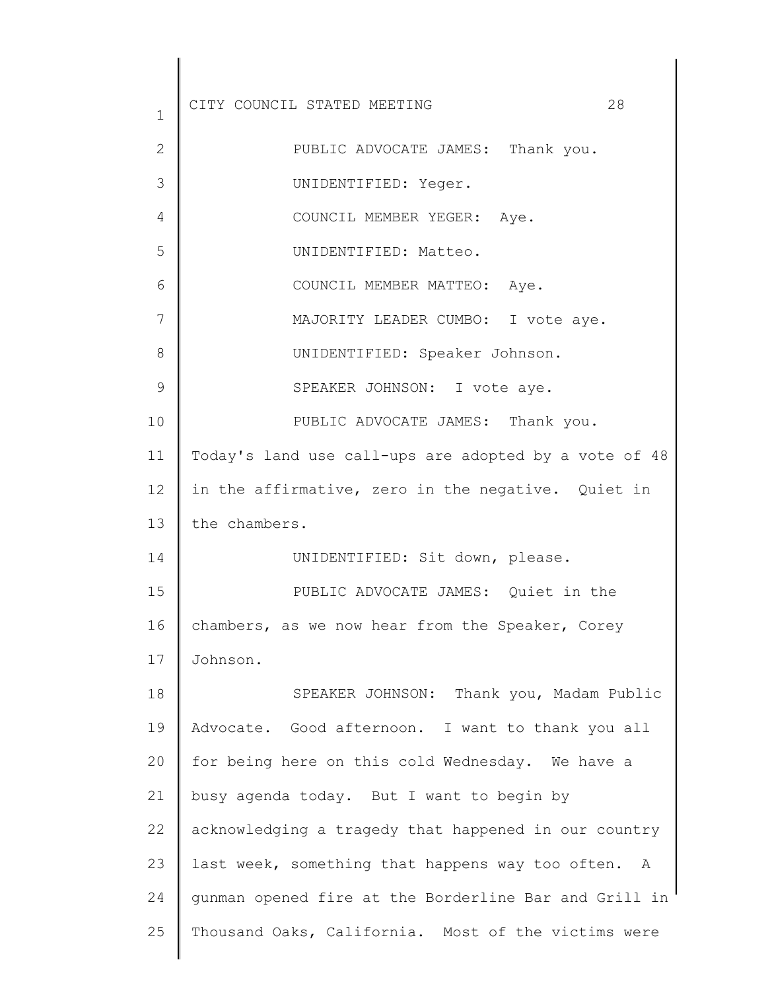1 2 3 4 5 6 7 8 9 10 11 12 13 14 15 16 17 18 19 20 21 22 23 24 25 CITY COUNCIL STATED MEETING 28 PUBLIC ADVOCATE JAMES: Thank you. UNIDENTIFIED: Yeger. COUNCIL MEMBER YEGER: Aye. UNIDENTIFIED: Matteo. COUNCIL MEMBER MATTEO: Aye. MAJORITY LEADER CUMBO: I vote aye. UNIDENTIFIED: Speaker Johnson. SPEAKER JOHNSON: I vote aye. PUBLIC ADVOCATE JAMES: Thank you. Today's land use call-ups are adopted by a vote of 48 in the affirmative, zero in the negative. Quiet in the chambers. UNIDENTIFIED: Sit down, please. PUBLIC ADVOCATE JAMES: Quiet in the chambers, as we now hear from the Speaker, Corey Johnson. SPEAKER JOHNSON: Thank you, Madam Public Advocate. Good afternoon. I want to thank you all for being here on this cold Wednesday. We have a busy agenda today. But I want to begin by acknowledging a tragedy that happened in our country last week, something that happens way too often. A gunman opened fire at the Borderline Bar and Grill in Thousand Oaks, California. Most of the victims were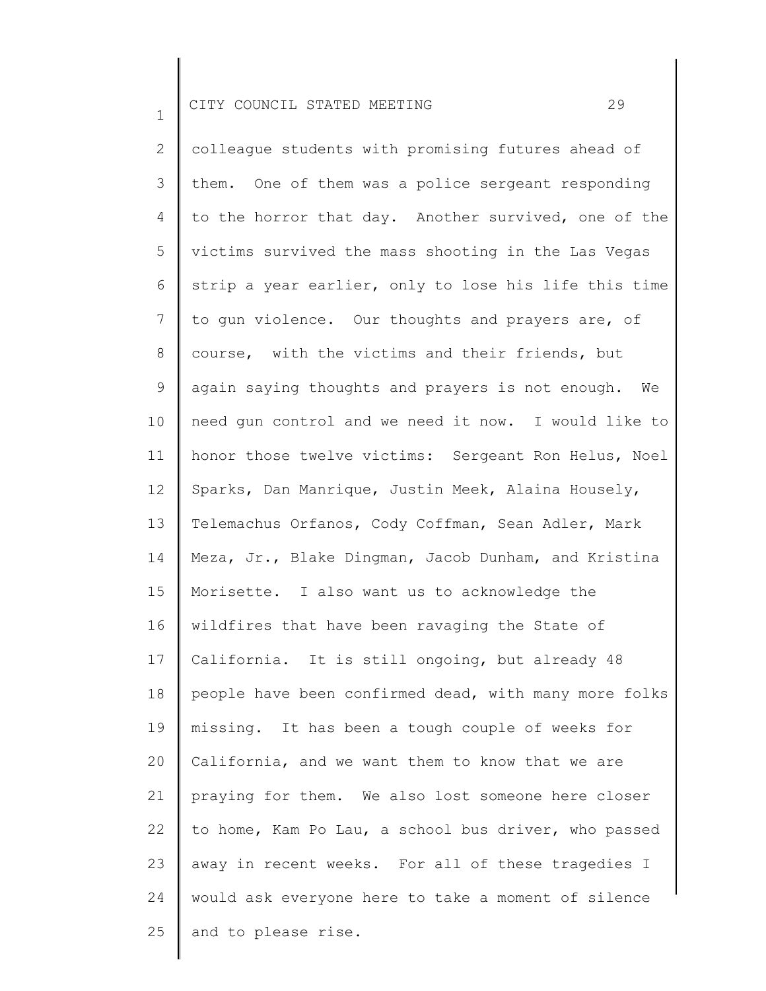2 3 4 5 6 7 8 9 10 11 12 13 14 15 16 17 18 19 20 21 22 23 24 25 colleague students with promising futures ahead of them. One of them was a police sergeant responding to the horror that day. Another survived, one of the victims survived the mass shooting in the Las Vegas strip a year earlier, only to lose his life this time to gun violence. Our thoughts and prayers are, of course, with the victims and their friends, but again saying thoughts and prayers is not enough. We need gun control and we need it now. I would like to honor those twelve victims: Sergeant Ron Helus, Noel Sparks, Dan Manrique, Justin Meek, Alaina Housely, Telemachus Orfanos, Cody Coffman, Sean Adler, Mark Meza, Jr., Blake Dingman, Jacob Dunham, and Kristina Morisette. I also want us to acknowledge the wildfires that have been ravaging the State of California. It is still ongoing, but already 48 people have been confirmed dead, with many more folks missing. It has been a tough couple of weeks for California, and we want them to know that we are praying for them. We also lost someone here closer to home, Kam Po Lau, a school bus driver, who passed away in recent weeks. For all of these tragedies I would ask everyone here to take a moment of silence and to please rise.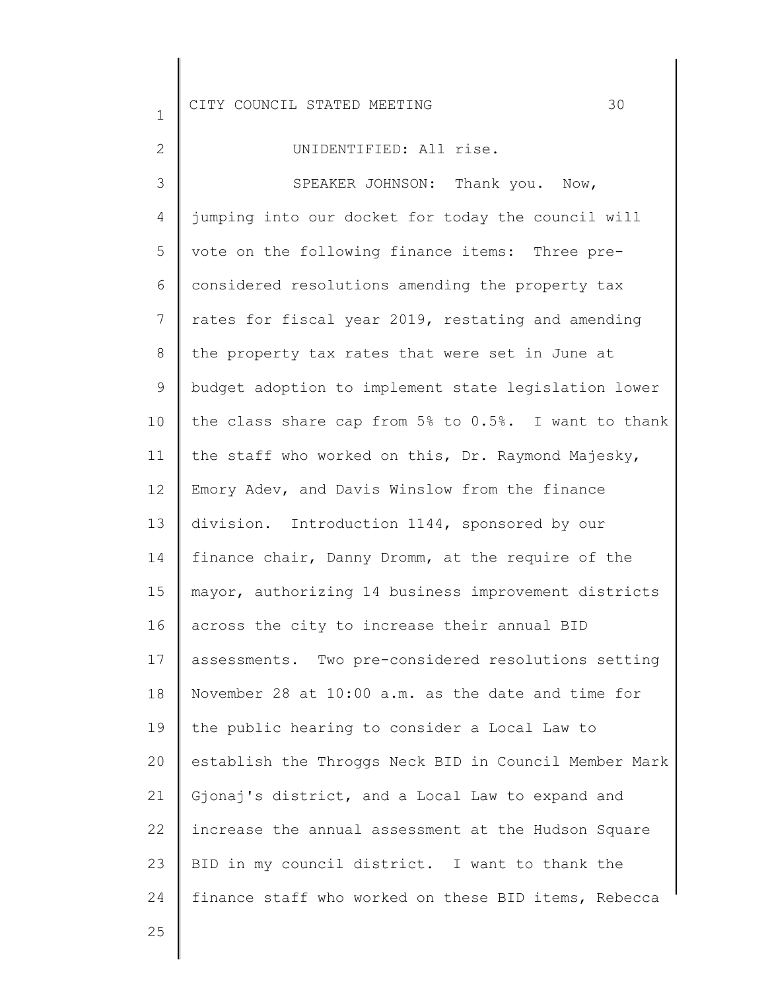1

2

UNIDENTIFIED: All rise.

3 4 5 6 7 8 9 10 11 12 13 14 15 16 17 18 19 20 21 22 23 24 SPEAKER JOHNSON: Thank you. Now, jumping into our docket for today the council will vote on the following finance items: Three preconsidered resolutions amending the property tax rates for fiscal year 2019, restating and amending the property tax rates that were set in June at budget adoption to implement state legislation lower the class share cap from 5% to 0.5%. I want to thank the staff who worked on this, Dr. Raymond Majesky, Emory Adev, and Davis Winslow from the finance division. Introduction 1144, sponsored by our finance chair, Danny Dromm, at the require of the mayor, authorizing 14 business improvement districts across the city to increase their annual BID assessments. Two pre-considered resolutions setting November 28 at 10:00 a.m. as the date and time for the public hearing to consider a Local Law to establish the Throggs Neck BID in Council Member Mark Gjonaj's district, and a Local Law to expand and increase the annual assessment at the Hudson Square BID in my council district. I want to thank the finance staff who worked on these BID items, Rebecca

25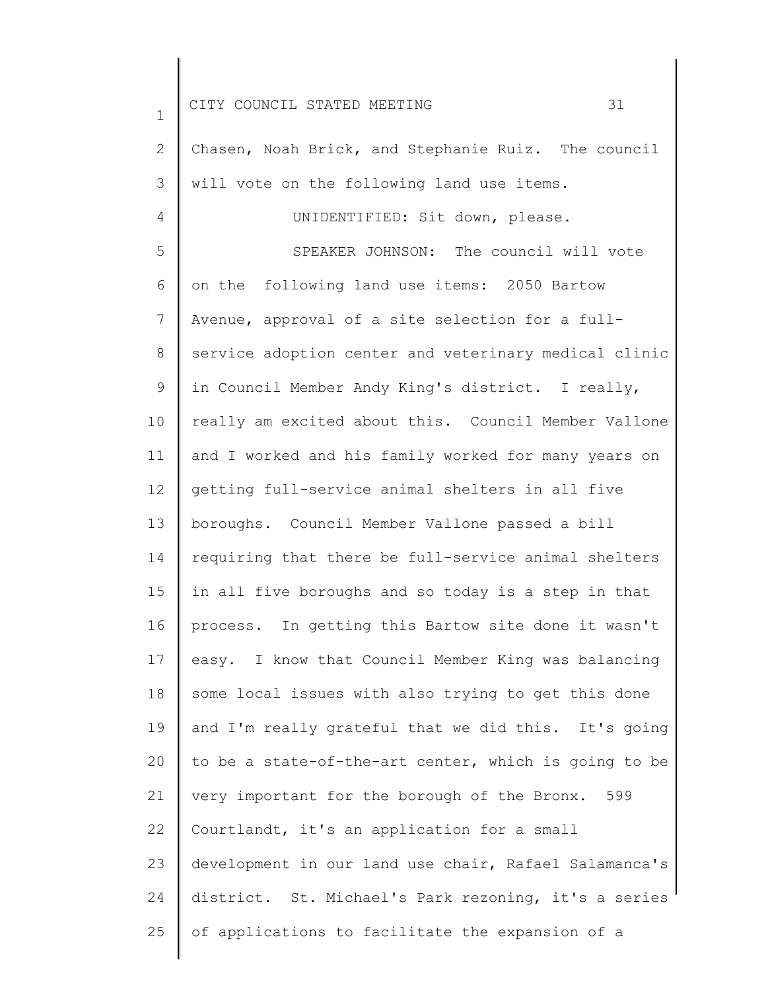| $\mathbf 1$ | 31<br>CITY COUNCIL STATED MEETING                     |
|-------------|-------------------------------------------------------|
| 2           | Chasen, Noah Brick, and Stephanie Ruiz. The council   |
| 3           | will vote on the following land use items.            |
| 4           | UNIDENTIFIED: Sit down, please.                       |
| 5           | SPEAKER JOHNSON: The council will vote                |
| 6           | on the following land use items: 2050 Bartow          |
| 7           | Avenue, approval of a site selection for a full-      |
| 8           | service adoption center and veterinary medical clinic |
| $\mathsf 9$ | in Council Member Andy King's district. I really,     |
| 10          | really am excited about this. Council Member Vallone  |
| 11          | and I worked and his family worked for many years on  |
| 12          | getting full-service animal shelters in all five      |
| 13          | boroughs. Council Member Vallone passed a bill        |
| 14          | requiring that there be full-service animal shelters  |
| 15          | in all five boroughs and so today is a step in that   |
| 16          | process. In getting this Bartow site done it wasn't   |
| 17          | easy. I know that Council Member King was balancing   |
| 18          | some local issues with also trying to get this done   |
| 19          | and I'm really grateful that we did this. It's going  |
| 20          | to be a state-of-the-art center, which is going to be |
| 21          | very important for the borough of the Bronx. 599      |
| 22          | Courtlandt, it's an application for a small           |
| 23          | development in our land use chair, Rafael Salamanca's |
| 24          | district. St. Michael's Park rezoning, it's a series  |
| 25          | of applications to facilitate the expansion of a      |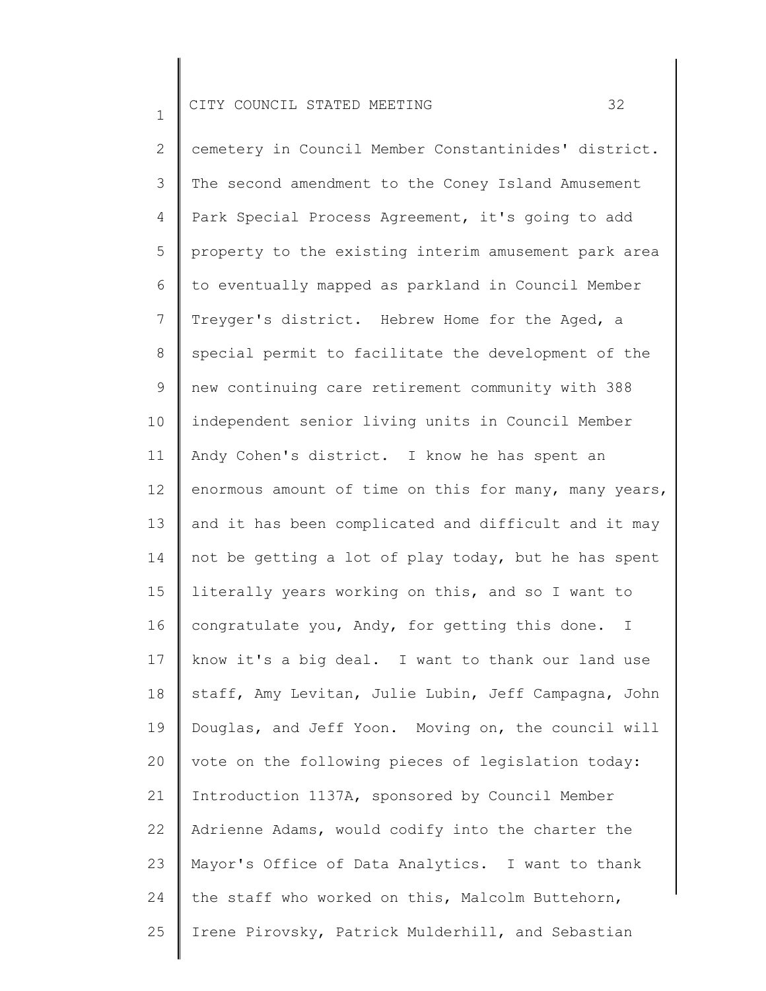2 3 4 5 6 7 8 9 10 11 12 13 14 15 16 17 18 19 20 21 22 23 24 25 cemetery in Council Member Constantinides' district. The second amendment to the Coney Island Amusement Park Special Process Agreement, it's going to add property to the existing interim amusement park area to eventually mapped as parkland in Council Member Treyger's district. Hebrew Home for the Aged, a special permit to facilitate the development of the new continuing care retirement community with 388 independent senior living units in Council Member Andy Cohen's district. I know he has spent an enormous amount of time on this for many, many years, and it has been complicated and difficult and it may not be getting a lot of play today, but he has spent literally years working on this, and so I want to congratulate you, Andy, for getting this done. I know it's a big deal. I want to thank our land use staff, Amy Levitan, Julie Lubin, Jeff Campagna, John Douglas, and Jeff Yoon. Moving on, the council will vote on the following pieces of legislation today: Introduction 1137A, sponsored by Council Member Adrienne Adams, would codify into the charter the Mayor's Office of Data Analytics. I want to thank the staff who worked on this, Malcolm Buttehorn, Irene Pirovsky, Patrick Mulderhill, and Sebastian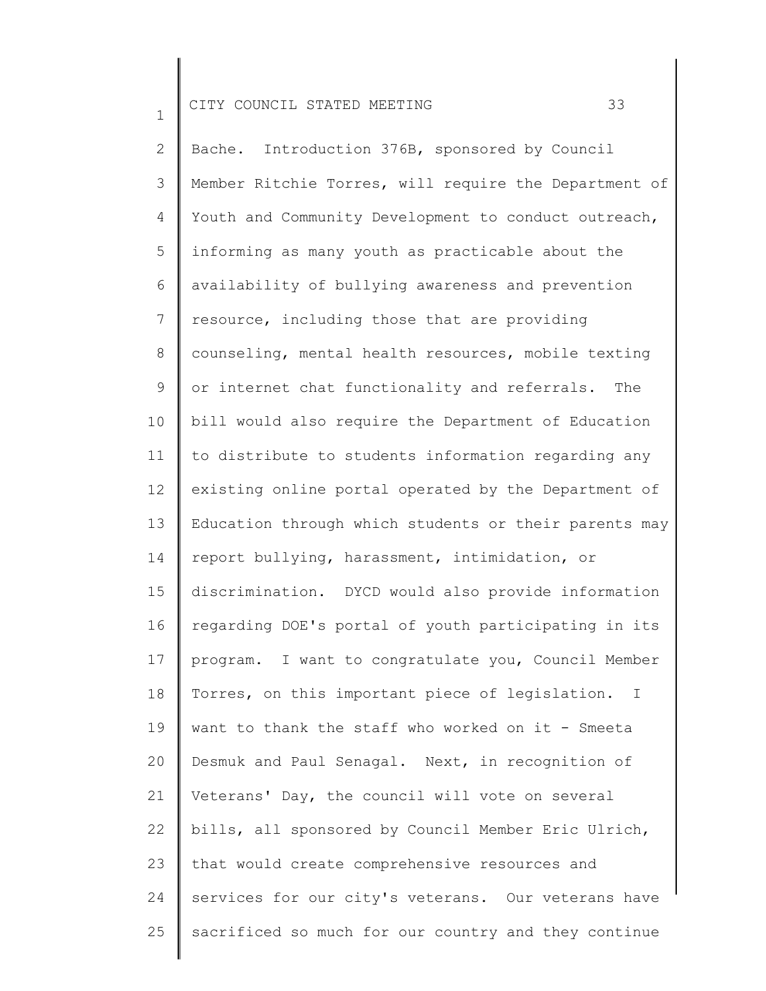1

2 3 4 5 6 7 8 9 10 11 12 13 14 15 16 17 18 19 20 21 22 23 24 25 Bache. Introduction 376B, sponsored by Council Member Ritchie Torres, will require the Department of Youth and Community Development to conduct outreach, informing as many youth as practicable about the availability of bullying awareness and prevention resource, including those that are providing counseling, mental health resources, mobile texting or internet chat functionality and referrals. The bill would also require the Department of Education to distribute to students information regarding any existing online portal operated by the Department of Education through which students or their parents may report bullying, harassment, intimidation, or discrimination. DYCD would also provide information regarding DOE's portal of youth participating in its program. I want to congratulate you, Council Member Torres, on this important piece of legislation. I want to thank the staff who worked on it - Smeeta Desmuk and Paul Senagal. Next, in recognition of Veterans' Day, the council will vote on several bills, all sponsored by Council Member Eric Ulrich, that would create comprehensive resources and services for our city's veterans. Our veterans have sacrificed so much for our country and they continue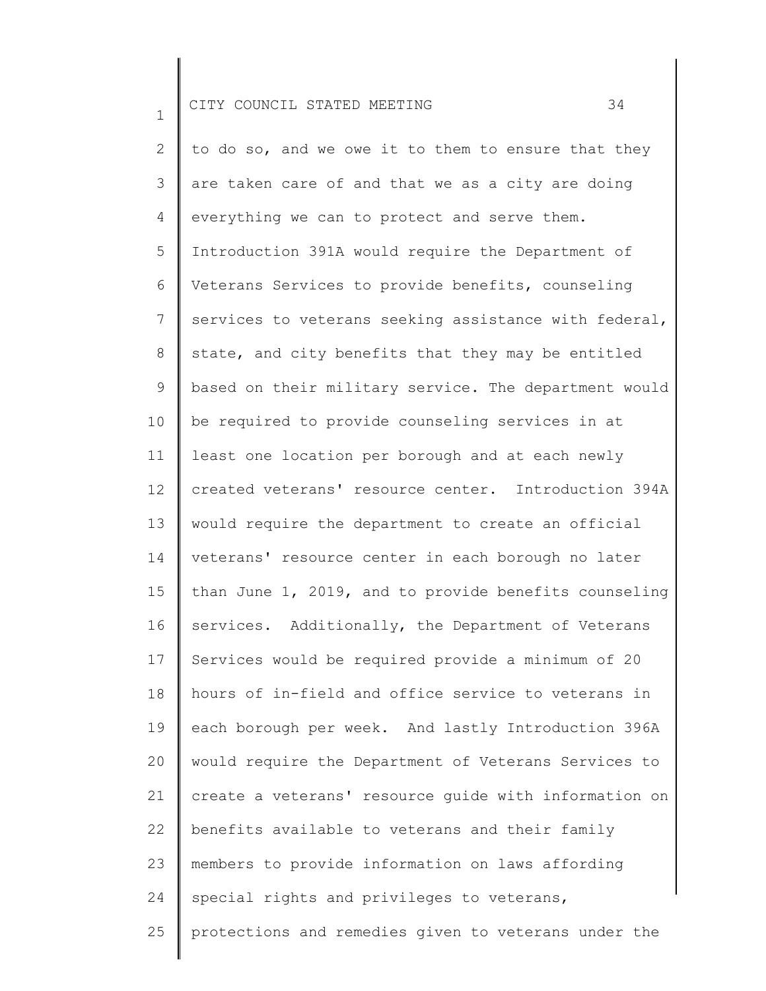1

2 3 4 5 6 7 8 9 10 11 12 13 14 15 16 17 18 19 20 21 22 23 24 25 to do so, and we owe it to them to ensure that they are taken care of and that we as a city are doing everything we can to protect and serve them. Introduction 391A would require the Department of Veterans Services to provide benefits, counseling services to veterans seeking assistance with federal, state, and city benefits that they may be entitled based on their military service. The department would be required to provide counseling services in at least one location per borough and at each newly created veterans' resource center. Introduction 394A would require the department to create an official veterans' resource center in each borough no later than June 1, 2019, and to provide benefits counseling services. Additionally, the Department of Veterans Services would be required provide a minimum of 20 hours of in-field and office service to veterans in each borough per week. And lastly Introduction 396A would require the Department of Veterans Services to create a veterans' resource guide with information on benefits available to veterans and their family members to provide information on laws affording special rights and privileges to veterans, protections and remedies given to veterans under the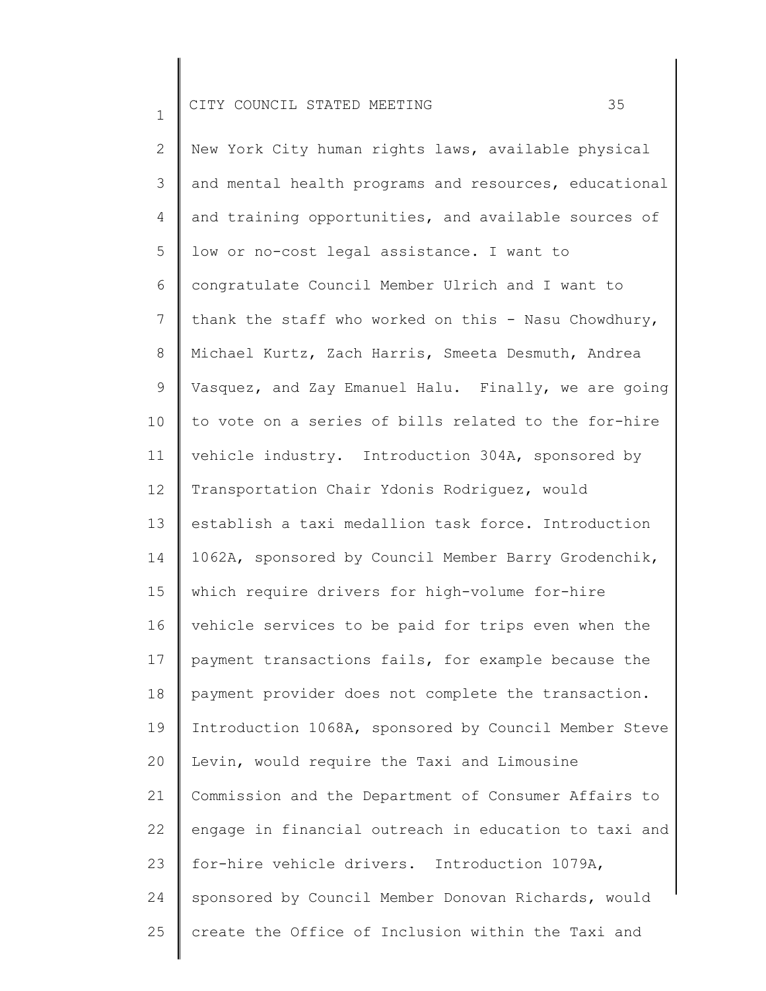2 3 4 5 6 7 8 9 10 11 12 13 14 15 16 17 18 19 20 21 22 23 24 25 New York City human rights laws, available physical and mental health programs and resources, educational and training opportunities, and available sources of low or no-cost legal assistance. I want to congratulate Council Member Ulrich and I want to thank the staff who worked on this - Nasu Chowdhury, Michael Kurtz, Zach Harris, Smeeta Desmuth, Andrea Vasquez, and Zay Emanuel Halu. Finally, we are going to vote on a series of bills related to the for-hire vehicle industry. Introduction 304A, sponsored by Transportation Chair Ydonis Rodriguez, would establish a taxi medallion task force. Introduction 1062A, sponsored by Council Member Barry Grodenchik, which require drivers for high-volume for-hire vehicle services to be paid for trips even when the payment transactions fails, for example because the payment provider does not complete the transaction. Introduction 1068A, sponsored by Council Member Steve Levin, would require the Taxi and Limousine Commission and the Department of Consumer Affairs to engage in financial outreach in education to taxi and for-hire vehicle drivers. Introduction 1079A, sponsored by Council Member Donovan Richards, would create the Office of Inclusion within the Taxi and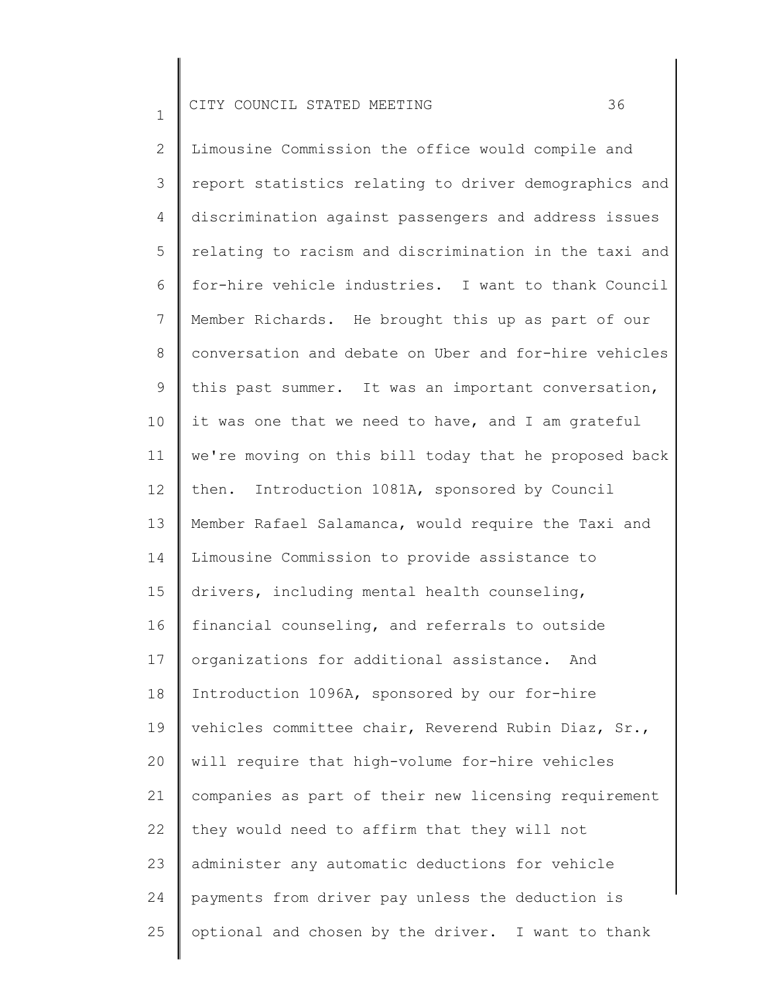1

2 3 4 5 6 7 8 9 10 11 12 13 14 15 16 17 18 19 20 21 22 23 24 25 Limousine Commission the office would compile and report statistics relating to driver demographics and discrimination against passengers and address issues relating to racism and discrimination in the taxi and for-hire vehicle industries. I want to thank Council Member Richards. He brought this up as part of our conversation and debate on Uber and for-hire vehicles this past summer. It was an important conversation, it was one that we need to have, and I am grateful we're moving on this bill today that he proposed back then. Introduction 1081A, sponsored by Council Member Rafael Salamanca, would require the Taxi and Limousine Commission to provide assistance to drivers, including mental health counseling, financial counseling, and referrals to outside organizations for additional assistance. And Introduction 1096A, sponsored by our for-hire vehicles committee chair, Reverend Rubin Diaz, Sr., will require that high-volume for-hire vehicles companies as part of their new licensing requirement they would need to affirm that they will not administer any automatic deductions for vehicle payments from driver pay unless the deduction is optional and chosen by the driver. I want to thank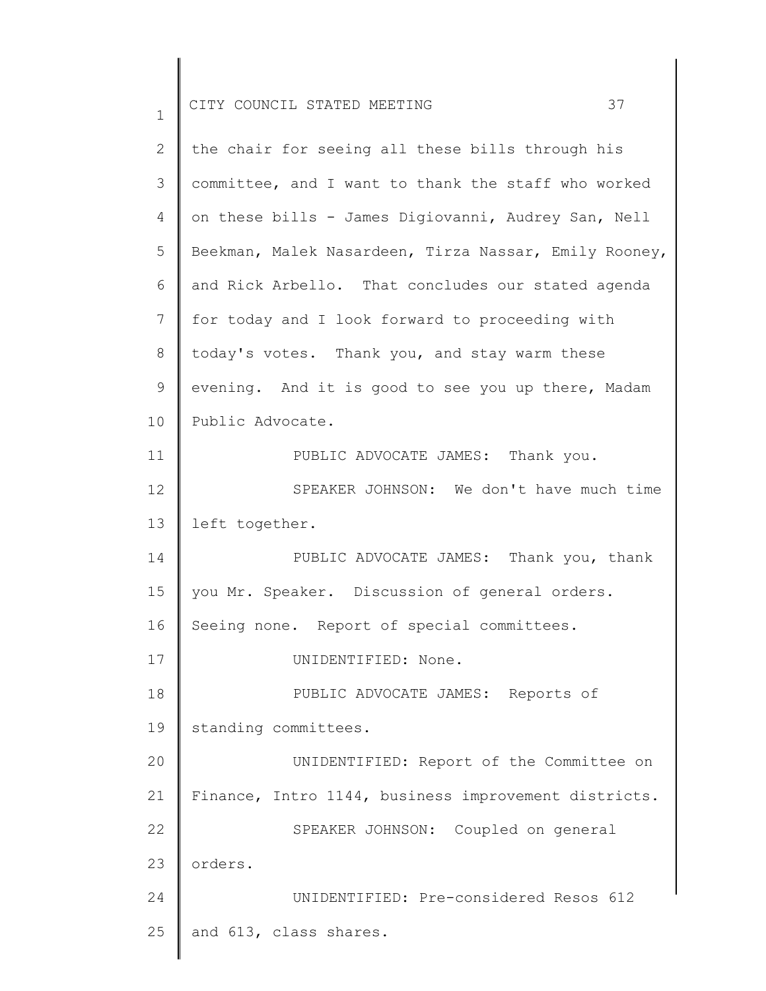1 2 3 4 5 6 7 8 9 10 11 12 13 14 15 16 17 18 19 20 21 22 23 24 25 CITY COUNCIL STATED MEETING 37 the chair for seeing all these bills through his committee, and I want to thank the staff who worked on these bills - James Digiovanni, Audrey San, Nell Beekman, Malek Nasardeen, Tirza Nassar, Emily Rooney, and Rick Arbello. That concludes our stated agenda for today and I look forward to proceeding with today's votes. Thank you, and stay warm these evening. And it is good to see you up there, Madam Public Advocate. PUBLIC ADVOCATE JAMES: Thank you. SPEAKER JOHNSON: We don't have much time left together. PUBLIC ADVOCATE JAMES: Thank you, thank you Mr. Speaker. Discussion of general orders. Seeing none. Report of special committees. UNIDENTIFIED: None. PUBLIC ADVOCATE JAMES: Reports of standing committees. UNIDENTIFIED: Report of the Committee on Finance, Intro 1144, business improvement districts. SPEAKER JOHNSON: Coupled on general orders. UNIDENTIFIED: Pre-considered Resos 612 and 613, class shares.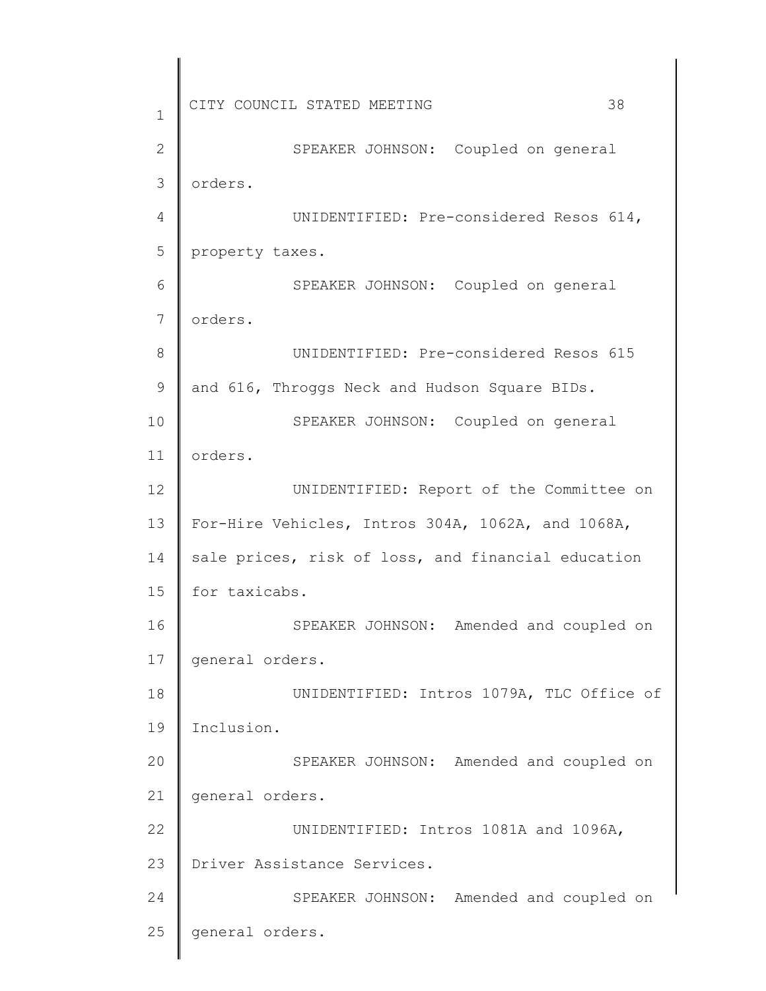1 2 3 4 5 6 7 8 9 10 11 12 13 14 15 16 17 18 19 20 21 22 23 24 25 CITY COUNCIL STATED MEETING 38 SPEAKER JOHNSON: Coupled on general orders. UNIDENTIFIED: Pre-considered Resos 614, property taxes. SPEAKER JOHNSON: Coupled on general orders. UNIDENTIFIED: Pre-considered Resos 615 and 616, Throggs Neck and Hudson Square BIDs. SPEAKER JOHNSON: Coupled on general orders. UNIDENTIFIED: Report of the Committee on For-Hire Vehicles, Intros 304A, 1062A, and 1068A, sale prices, risk of loss, and financial education for taxicabs. SPEAKER JOHNSON: Amended and coupled on general orders. UNIDENTIFIED: Intros 1079A, TLC Office of Inclusion. SPEAKER JOHNSON: Amended and coupled on general orders. UNIDENTIFIED: Intros 1081A and 1096A, Driver Assistance Services. SPEAKER JOHNSON: Amended and coupled on general orders.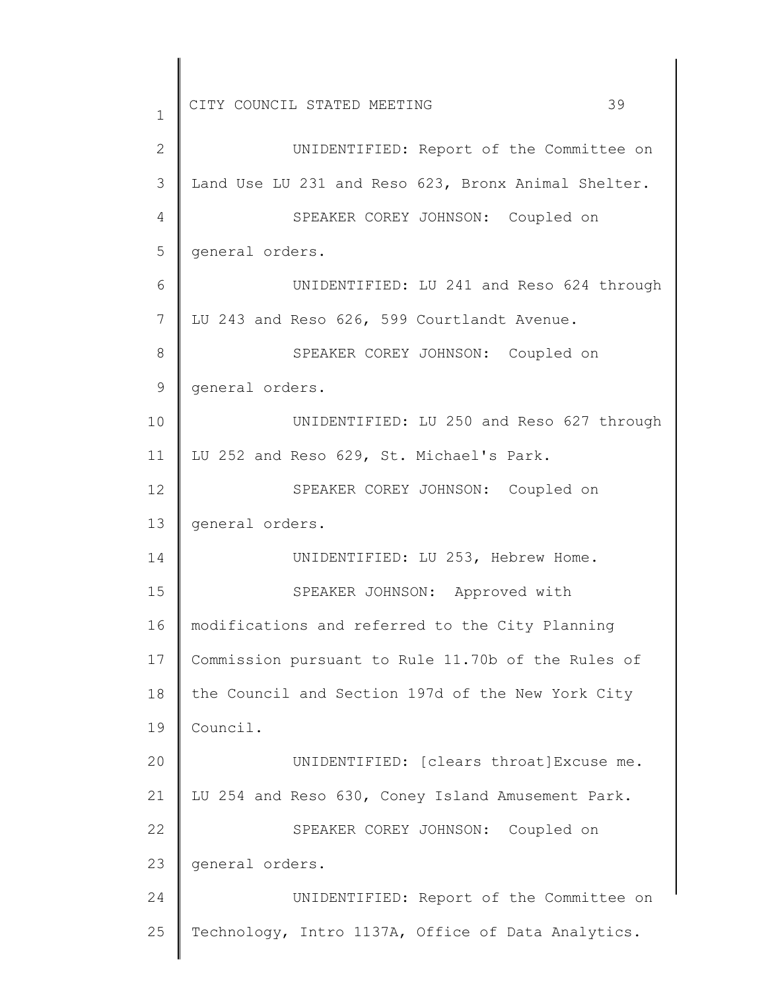1 2 3 4 5 6 7 8 9 10 11 12 13 14 15 16 17 18 19 20 21 22 23 24 25 CITY COUNCIL STATED MEETING 39 UNIDENTIFIED: Report of the Committee on Land Use LU 231 and Reso 623, Bronx Animal Shelter. SPEAKER COREY JOHNSON: Coupled on general orders. UNIDENTIFIED: LU 241 and Reso 624 through LU 243 and Reso 626, 599 Courtlandt Avenue. SPEAKER COREY JOHNSON: Coupled on general orders. UNIDENTIFIED: LU 250 and Reso 627 through LU 252 and Reso 629, St. Michael's Park. SPEAKER COREY JOHNSON: Coupled on general orders. UNIDENTIFIED: LU 253, Hebrew Home. SPEAKER JOHNSON: Approved with modifications and referred to the City Planning Commission pursuant to Rule 11.70b of the Rules of the Council and Section 197d of the New York City Council. UNIDENTIFIED: [clears throat]Excuse me. LU 254 and Reso 630, Coney Island Amusement Park. SPEAKER COREY JOHNSON: Coupled on general orders. UNIDENTIFIED: Report of the Committee on Technology, Intro 1137A, Office of Data Analytics.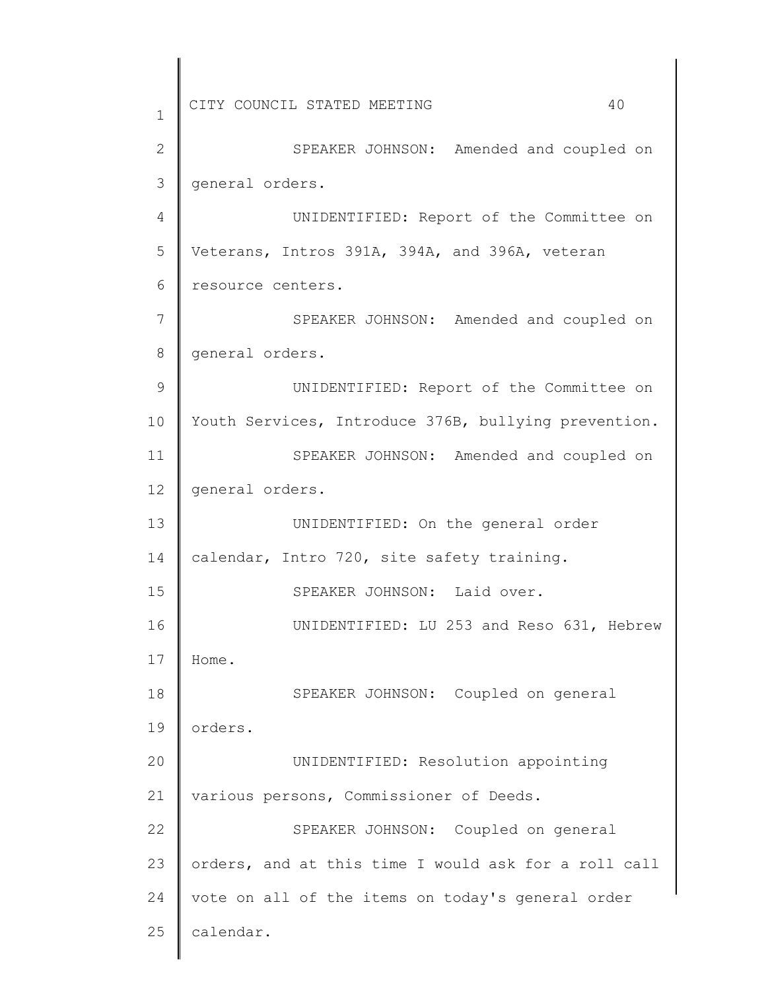| $\mathbf 1$  | 40<br>CITY COUNCIL STATED MEETING                    |
|--------------|------------------------------------------------------|
| $\mathbf{2}$ | SPEAKER JOHNSON: Amended and coupled on              |
| 3            | general orders.                                      |
| 4            | UNIDENTIFIED: Report of the Committee on             |
| 5            | Veterans, Intros 391A, 394A, and 396A, veteran       |
| 6            | resource centers.                                    |
| 7            | SPEAKER JOHNSON: Amended and coupled on              |
| 8            | general orders.                                      |
| 9            | UNIDENTIFIED: Report of the Committee on             |
| 10           | Youth Services, Introduce 376B, bullying prevention. |
| 11           | SPEAKER JOHNSON: Amended and coupled on              |
| 12           | general orders.                                      |
| 13           | UNIDENTIFIED: On the general order                   |
| 14           | calendar, Intro 720, site safety training.           |
| 15           | SPEAKER JOHNSON: Laid over.                          |
| 16           | UNIDENTIFIED: LU 253 and Reso 631, Hebrew            |
| 17           | Home.                                                |
| 18           | SPEAKER JOHNSON: Coupled on general                  |
| 19           | orders.                                              |
| 20           | UNIDENTIFIED: Resolution appointing                  |
| 21           | various persons, Commissioner of Deeds.              |
| 22           | SPEAKER JOHNSON: Coupled on general                  |
| 23           | orders, and at this time I would ask for a roll call |
| 24           | vote on all of the items on today's general order    |
| 25           | calendar.                                            |
|              |                                                      |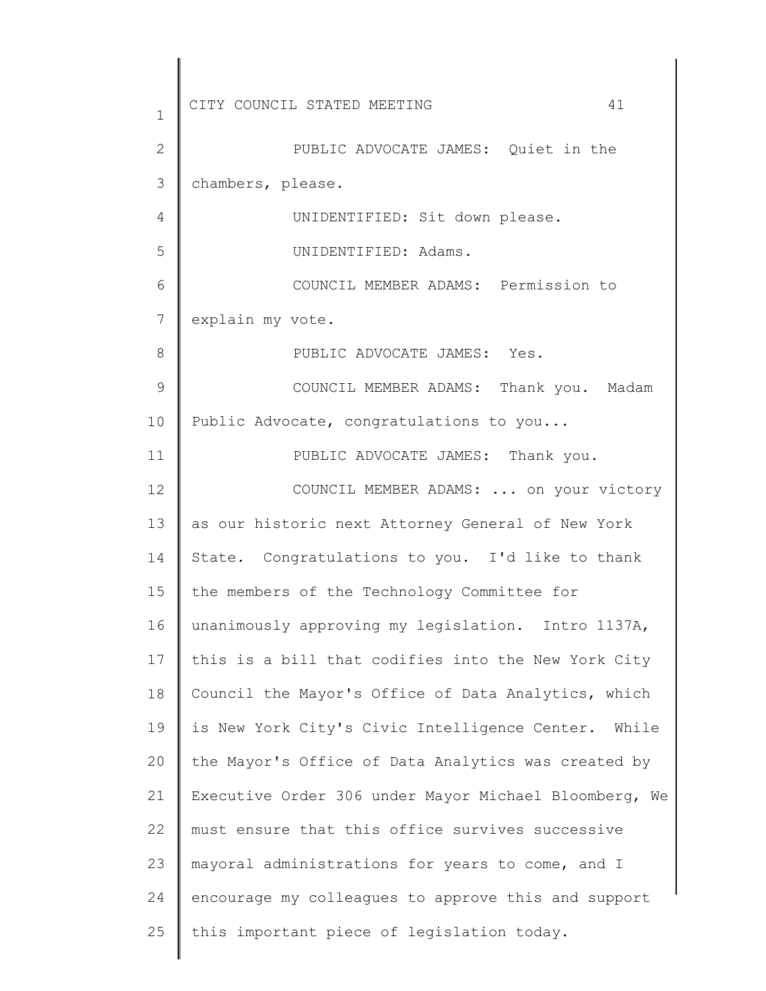| $\mathbf{1}$ | 41<br>CITY COUNCIL STATED MEETING                     |
|--------------|-------------------------------------------------------|
| $\mathbf{2}$ | PUBLIC ADVOCATE JAMES: Quiet in the                   |
| 3            | chambers, please.                                     |
| 4            | UNIDENTIFIED: Sit down please.                        |
| 5            | UNIDENTIFIED: Adams.                                  |
| 6            | COUNCIL MEMBER ADAMS: Permission to                   |
| 7            | explain my vote.                                      |
| 8            | PUBLIC ADVOCATE JAMES: Yes.                           |
| 9            | COUNCIL MEMBER ADAMS: Thank you. Madam                |
| 10           | Public Advocate, congratulations to you               |
| 11           | PUBLIC ADVOCATE JAMES: Thank you.                     |
| 12           | COUNCIL MEMBER ADAMS:  on your victory                |
| 13           | as our historic next Attorney General of New York     |
| 14           | State. Congratulations to you. I'd like to thank      |
| 15           | the members of the Technology Committee for           |
| 16           | unanimously approving my legislation. Intro 1137A,    |
| 17           | this is a bill that codifies into the New York City   |
| 18           | Council the Mayor's Office of Data Analytics, which   |
| 19           | is New York City's Civic Intelligence Center. While   |
| 20           | the Mayor's Office of Data Analytics was created by   |
| 21           | Executive Order 306 under Mayor Michael Bloomberg, We |
| 22           | must ensure that this office survives successive      |
| 23           | mayoral administrations for years to come, and I      |
| 24           | encourage my colleagues to approve this and support   |
| 25           | this important piece of legislation today.            |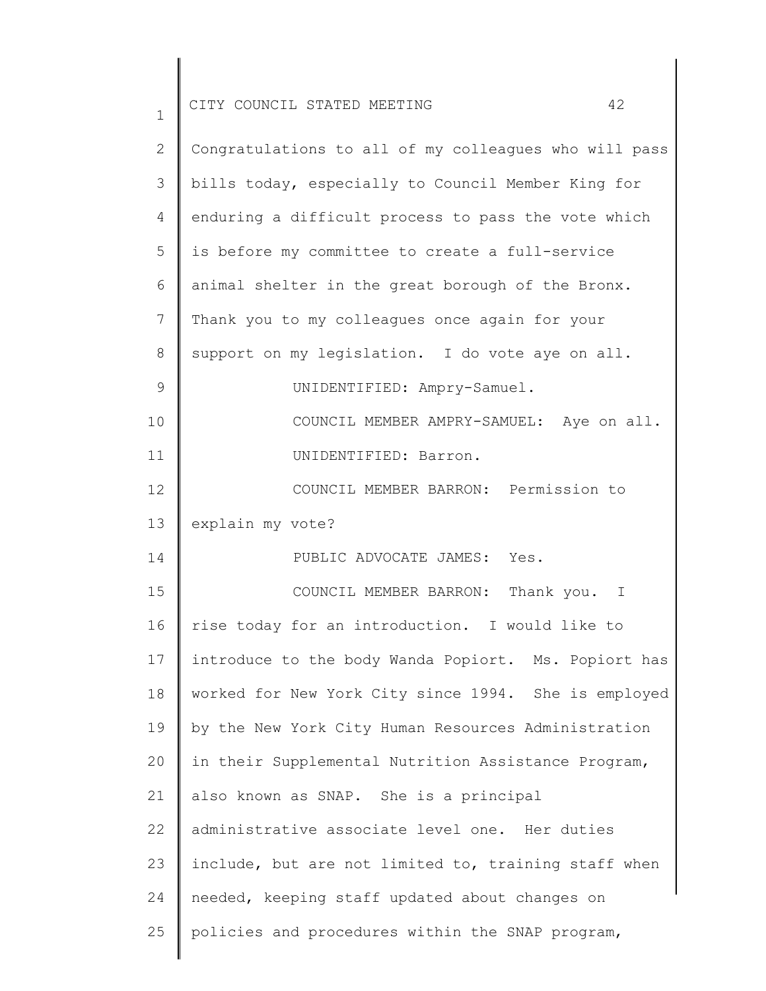| $\mathbf 1$    | 42<br>CITY COUNCIL STATED MEETING                     |
|----------------|-------------------------------------------------------|
| $\mathbf{2}$   | Congratulations to all of my colleagues who will pass |
| 3              | bills today, especially to Council Member King for    |
| $\overline{4}$ | enduring a difficult process to pass the vote which   |
| 5              | is before my committee to create a full-service       |
| 6              | animal shelter in the great borough of the Bronx.     |
| 7              | Thank you to my colleagues once again for your        |
| $\,8\,$        | support on my legislation. I do vote aye on all.      |
| $\mathcal{G}$  | UNIDENTIFIED: Ampry-Samuel.                           |
| 10             | COUNCIL MEMBER AMPRY-SAMUEL: Aye on all.              |
| 11             | UNIDENTIFIED: Barron.                                 |
| 12             | COUNCIL MEMBER BARRON: Permission to                  |
| 13             | explain my vote?                                      |
| 14             | PUBLIC ADVOCATE JAMES: Yes.                           |
| 15             | COUNCIL MEMBER BARRON: Thank you. I                   |
| 16             | rise today for an introduction. I would like to       |
| 17             | introduce to the body Wanda Popiort. Ms. Popiort has  |
| 18             | worked for New York City since 1994. She is employed  |
| 19             | by the New York City Human Resources Administration   |
| 20             | in their Supplemental Nutrition Assistance Program,   |
| 21             | also known as SNAP. She is a principal                |
| 22             | administrative associate level one. Her duties        |
| 23             | include, but are not limited to, training staff when  |
| 24             | needed, keeping staff updated about changes on        |
| 25             | policies and procedures within the SNAP program,      |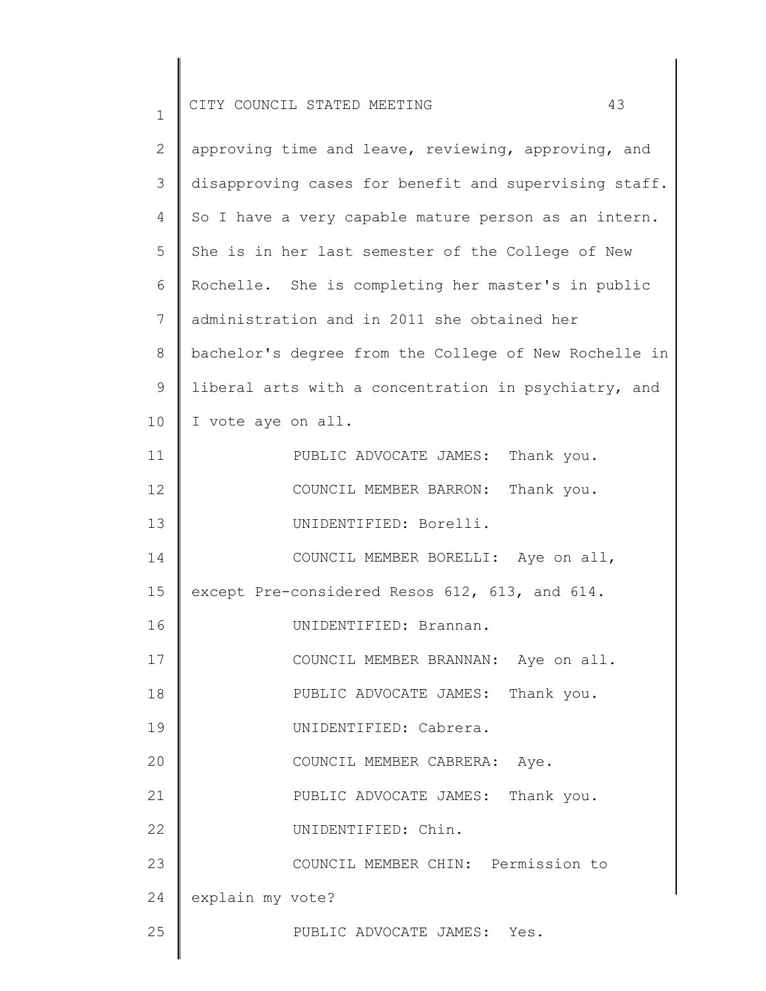| $\mathbf 1$  | 43<br>CITY COUNCIL STATED MEETING                     |
|--------------|-------------------------------------------------------|
| $\mathbf{2}$ | approving time and leave, reviewing, approving, and   |
| 3            | disapproving cases for benefit and supervising staff. |
| 4            | So I have a very capable mature person as an intern.  |
| 5            | She is in her last semester of the College of New     |
| 6            | Rochelle. She is completing her master's in public    |
| 7            | administration and in 2011 she obtained her           |
| $\,8\,$      | bachelor's degree from the College of New Rochelle in |
| $\mathsf 9$  | liberal arts with a concentration in psychiatry, and  |
| 10           | I vote aye on all.                                    |
| 11           | PUBLIC ADVOCATE JAMES: Thank you.                     |
| 12           | COUNCIL MEMBER BARRON: Thank you.                     |
| 13           | UNIDENTIFIED: Borelli.                                |
| 14           | COUNCIL MEMBER BORELLI: Aye on all,                   |
| 15           | except Pre-considered Resos 612, 613, and 614.        |
| 16           | UNIDENTIFIED: Brannan.                                |
| 17           | COUNCIL MEMBER BRANNAN: Aye on all.                   |
| 18           | PUBLIC ADVOCATE JAMES: Thank you.                     |
| 19           | UNIDENTIFIED: Cabrera.                                |
| 20           | COUNCIL MEMBER CABRERA: Aye.                          |
| 21           | PUBLIC ADVOCATE JAMES: Thank you.                     |
| 22           | UNIDENTIFIED: Chin.                                   |
| 23           | COUNCIL MEMBER CHIN: Permission to                    |
| 24           | explain my vote?                                      |
| 25           | PUBLIC ADVOCATE JAMES: Yes.                           |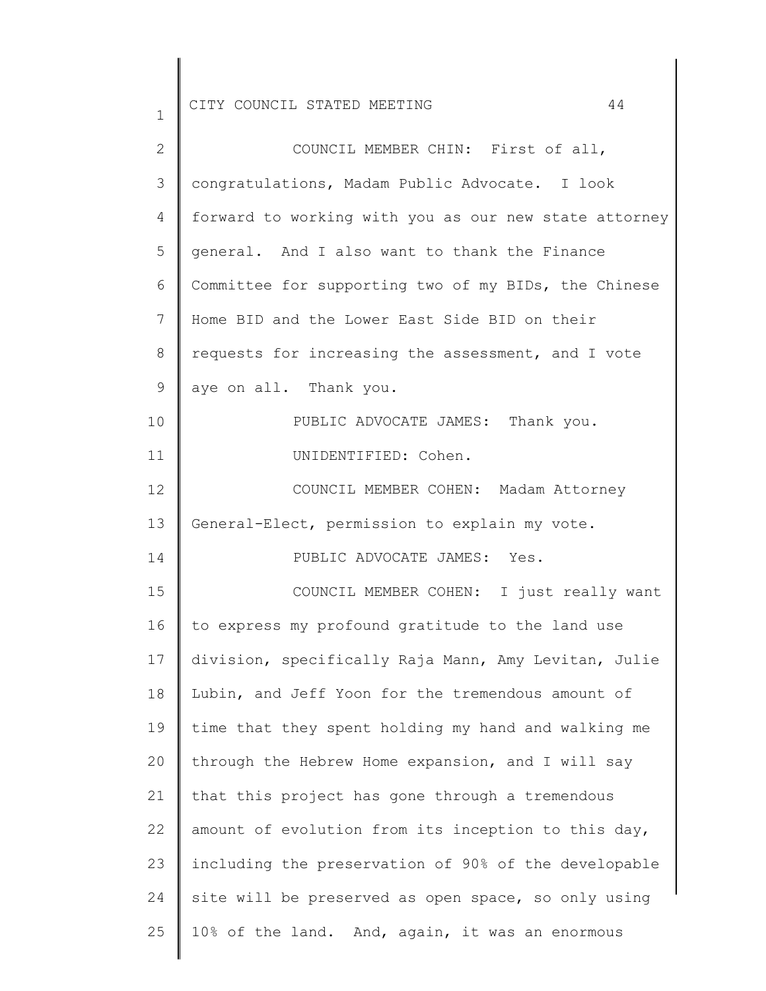| $\overline{2}$ | COUNCIL MEMBER CHIN: First of all,                    |
|----------------|-------------------------------------------------------|
| 3              | congratulations, Madam Public Advocate. I look        |
| 4              | forward to working with you as our new state attorney |
| 5              | general. And I also want to thank the Finance         |
| 6              | Committee for supporting two of my BIDs, the Chinese  |
| 7              | Home BID and the Lower East Side BID on their         |
| 8              | requests for increasing the assessment, and I vote    |
| 9              | aye on all. Thank you.                                |
| 10             | PUBLIC ADVOCATE JAMES: Thank you.                     |
| 11             | UNIDENTIFIED: Cohen.                                  |
| 12             | COUNCIL MEMBER COHEN: Madam Attorney                  |
| 13             | General-Elect, permission to explain my vote.         |
| 14             | PUBLIC ADVOCATE JAMES: Yes.                           |
| 15             | COUNCIL MEMBER COHEN: I just really want              |
| 16             | to express my profound gratitude to the land use      |
| 17             | division, specifically Raja Mann, Amy Levitan, Julie  |
| 18             | Lubin, and Jeff Yoon for the tremendous amount of     |
| 19             | time that they spent holding my hand and walking me   |
| 20             | through the Hebrew Home expansion, and I will say     |
| 21             | that this project has gone through a tremendous       |
| 22             | amount of evolution from its inception to this day,   |
| 23             | including the preservation of 90% of the developable  |
| 24             | site will be preserved as open space, so only using   |
| 25             | 10% of the land. And, again, it was an enormous       |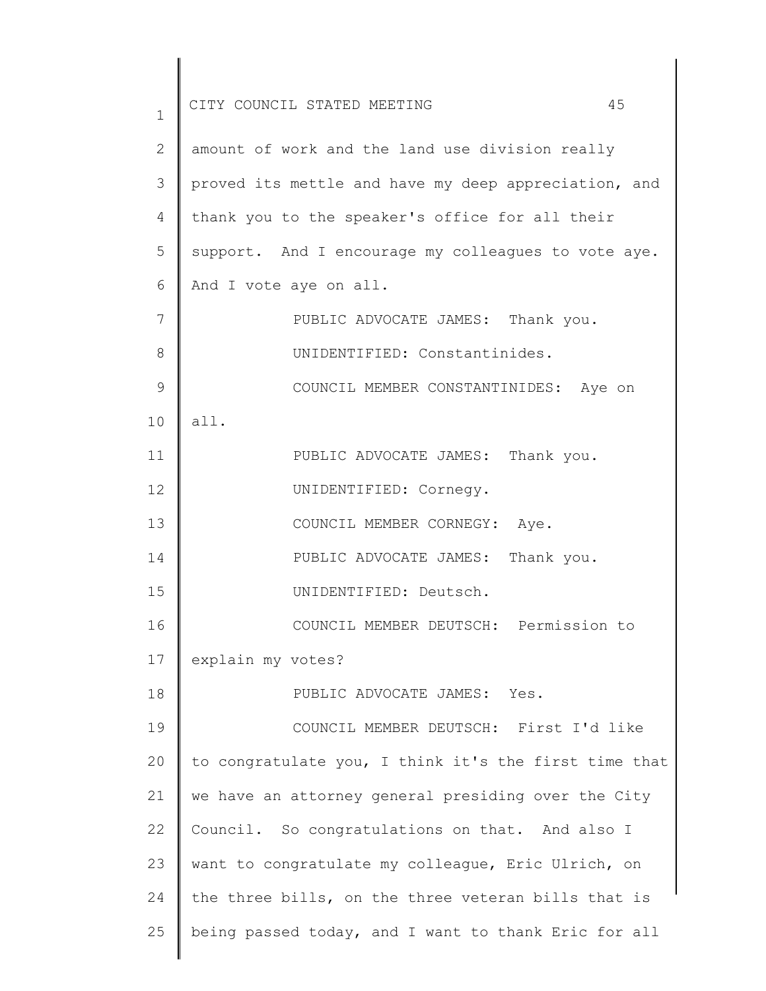| $\mathbf 1$     | CITY COUNCIL STATED MEETING<br>45                     |
|-----------------|-------------------------------------------------------|
| $\overline{2}$  | amount of work and the land use division really       |
| 3               | proved its mettle and have my deep appreciation, and  |
| 4               | thank you to the speaker's office for all their       |
| 5               | support. And I encourage my colleagues to vote aye.   |
| 6               | And I vote aye on all.                                |
| 7               | PUBLIC ADVOCATE JAMES: Thank you.                     |
| 8               | UNIDENTIFIED: Constantinides.                         |
| 9               | COUNCIL MEMBER CONSTANTINIDES: Aye on                 |
| 10              | all.                                                  |
| 11              | PUBLIC ADVOCATE JAMES: Thank you.                     |
| 12 <sup>°</sup> | UNIDENTIFIED: Cornegy.                                |
| 13              | COUNCIL MEMBER CORNEGY: Aye.                          |
| 14              | PUBLIC ADVOCATE JAMES: Thank you.                     |
| 15              | UNIDENTIFIED: Deutsch.                                |
| 16              | COUNCIL MEMBER DEUTSCH: Permission to                 |
| 17              | explain my votes?                                     |
| 18              | PUBLIC ADVOCATE JAMES: Yes.                           |
| 19              | COUNCIL MEMBER DEUTSCH: First I'd like                |
| 20              | to congratulate you, I think it's the first time that |
| 21              | we have an attorney general presiding over the City   |
| 22              | Council. So congratulations on that. And also I       |
| 23              | want to congratulate my colleague, Eric Ulrich, on    |
| 24              | the three bills, on the three veteran bills that is   |
| 25              | being passed today, and I want to thank Eric for all  |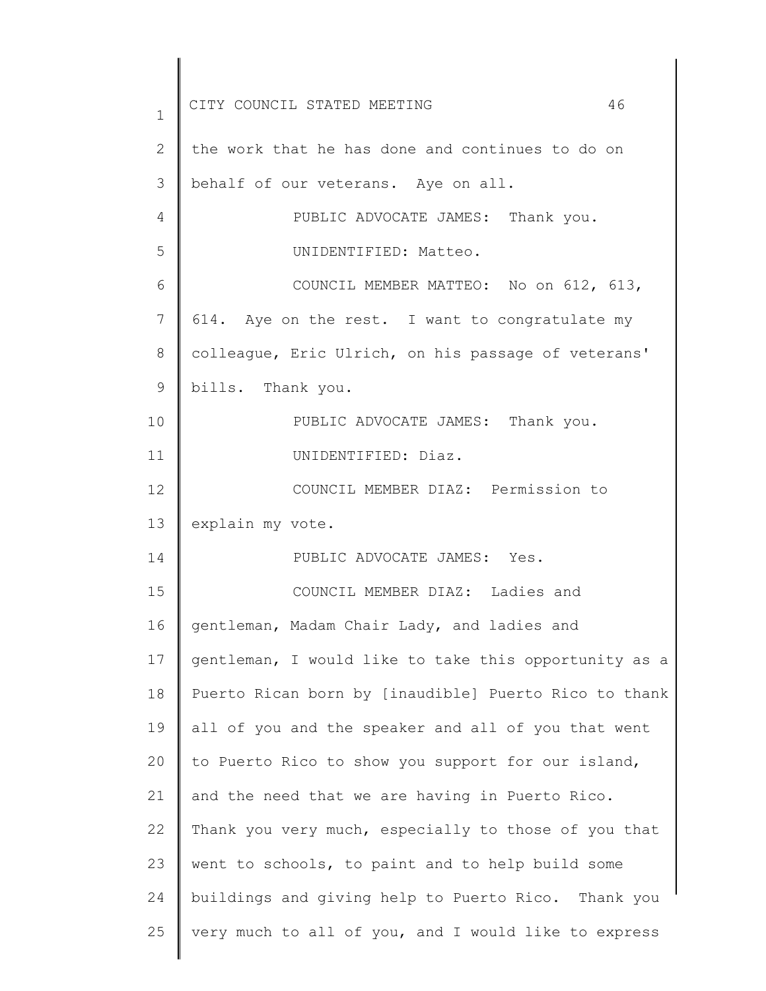1 2 3 4 5 6 7 8 9 10 11 12 13 14 15 16 17 18 19 20 21 22 23 24 25 CITY COUNCIL STATED MEETING 46 the work that he has done and continues to do on behalf of our veterans. Aye on all. PUBLIC ADVOCATE JAMES: Thank you. UNIDENTIFIED: Matteo. COUNCIL MEMBER MATTEO: No on 612, 613, 614. Aye on the rest. I want to congratulate my colleague, Eric Ulrich, on his passage of veterans' bills. Thank you. PUBLIC ADVOCATE JAMES: Thank you. UNIDENTIFIED: Diaz. COUNCIL MEMBER DIAZ: Permission to explain my vote. PUBLIC ADVOCATE JAMES: Yes. COUNCIL MEMBER DIAZ: Ladies and gentleman, Madam Chair Lady, and ladies and gentleman, I would like to take this opportunity as a Puerto Rican born by [inaudible] Puerto Rico to thank all of you and the speaker and all of you that went to Puerto Rico to show you support for our island, and the need that we are having in Puerto Rico. Thank you very much, especially to those of you that went to schools, to paint and to help build some buildings and giving help to Puerto Rico. Thank you very much to all of you, and I would like to express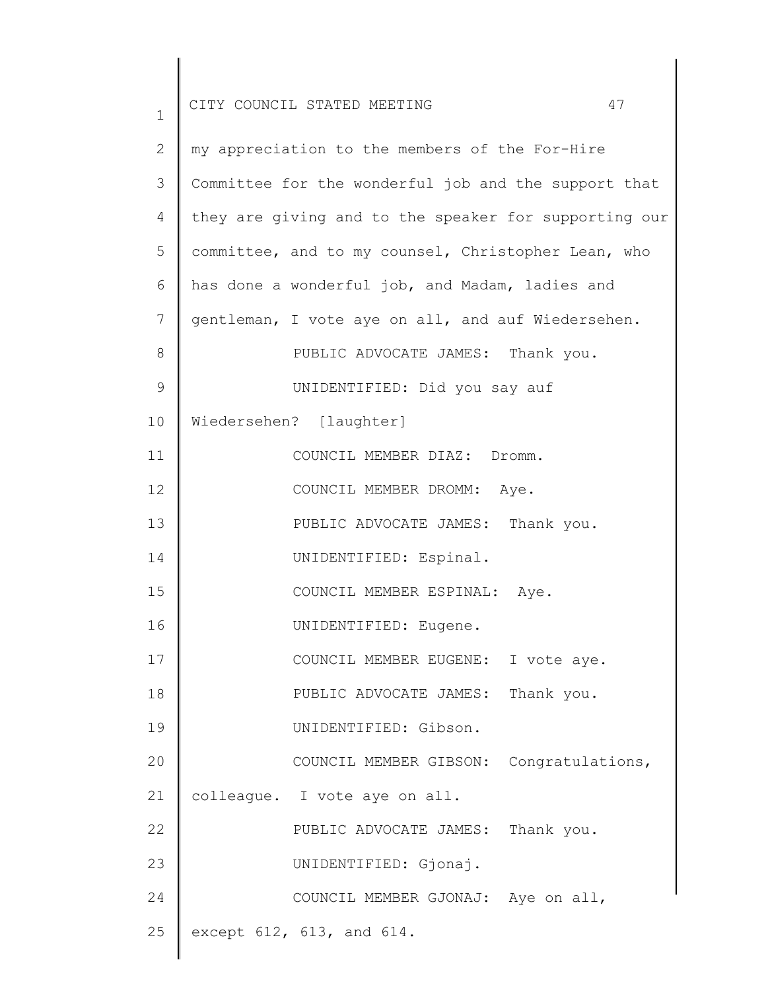| $\mathbf 1$ | 47<br>CITY COUNCIL STATED MEETING                     |
|-------------|-------------------------------------------------------|
| 2           | my appreciation to the members of the For-Hire        |
| 3           | Committee for the wonderful job and the support that  |
| 4           | they are giving and to the speaker for supporting our |
| 5           | committee, and to my counsel, Christopher Lean, who   |
| 6           | has done a wonderful job, and Madam, ladies and       |
| 7           | gentleman, I vote aye on all, and auf Wiedersehen.    |
| 8           | PUBLIC ADVOCATE JAMES: Thank you.                     |
| 9           | UNIDENTIFIED: Did you say auf                         |
| 10          | Wiedersehen? [laughter]                               |
| 11          | COUNCIL MEMBER DIAZ: Dromm.                           |
| 12          | COUNCIL MEMBER DROMM: Aye.                            |
| 13          | PUBLIC ADVOCATE JAMES: Thank you.                     |
| 14          | UNIDENTIFIED: Espinal.                                |
| 15          | COUNCIL MEMBER ESPINAL: Aye.                          |
| 16          | UNIDENTIFIED: Eugene.                                 |
| 17          | COUNCIL MEMBER EUGENE: I vote aye.                    |
| 18          | PUBLIC ADVOCATE JAMES: Thank you.                     |
| 19          | UNIDENTIFIED: Gibson.                                 |
| 20          | COUNCIL MEMBER GIBSON: Congratulations,               |
| 21          | colleaque. I vote aye on all.                         |
| 22          | PUBLIC ADVOCATE JAMES: Thank you.                     |
| 23          | UNIDENTIFIED: Gjonaj.                                 |
| 24          | COUNCIL MEMBER GJONAJ: Aye on all,                    |
| 25          | except 612, 613, and 614.                             |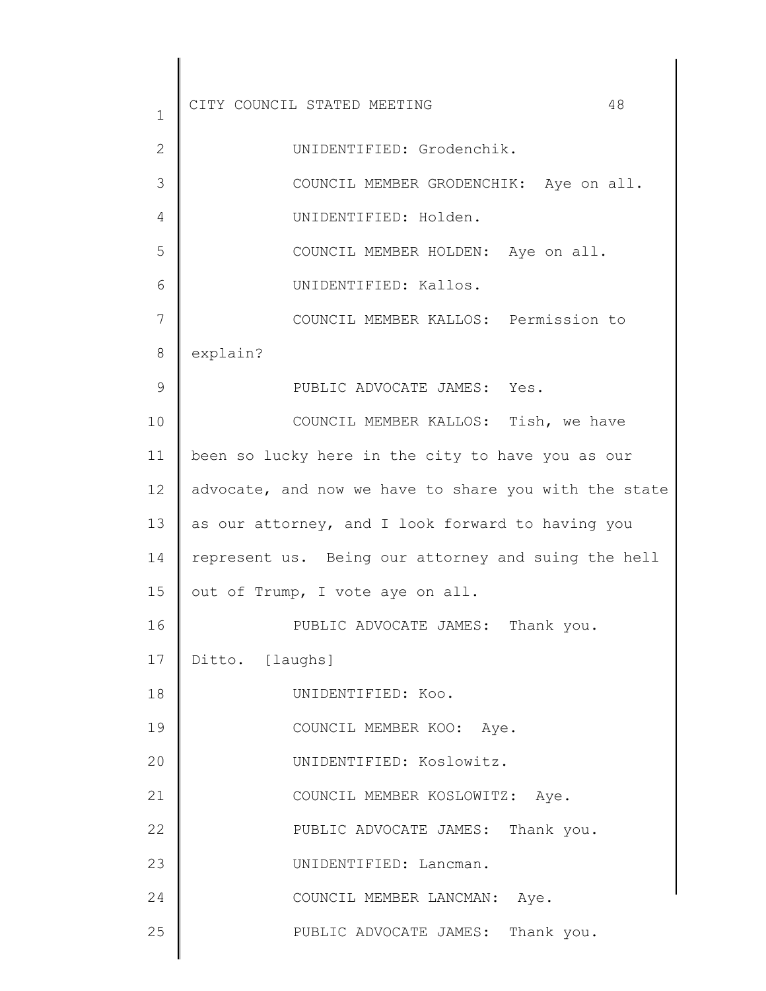| $\mathbf 1$ | 48<br>CITY COUNCIL STATED MEETING                     |
|-------------|-------------------------------------------------------|
| 2           | UNIDENTIFIED: Grodenchik.                             |
| 3           | COUNCIL MEMBER GRODENCHIK: Aye on all.                |
| 4           | UNIDENTIFIED: Holden.                                 |
| 5           | COUNCIL MEMBER HOLDEN: Aye on all.                    |
| 6           | UNIDENTIFIED: Kallos.                                 |
| 7           | COUNCIL MEMBER KALLOS: Permission to                  |
| $8\,$       | explain?                                              |
| 9           | PUBLIC ADVOCATE JAMES: Yes.                           |
| 10          | COUNCIL MEMBER KALLOS: Tish, we have                  |
| 11          | been so lucky here in the city to have you as our     |
| 12          | advocate, and now we have to share you with the state |
| 13          | as our attorney, and I look forward to having you     |
| 14          | represent us. Being our attorney and suing the hell   |
| 15          | out of Trump, I vote aye on all.                      |
| 16          | PUBLIC ADVOCATE JAMES: Thank you.                     |
| 17          | Ditto. [laughs]                                       |
| 18          | UNIDENTIFIED: Koo.                                    |
| 19          | COUNCIL MEMBER KOO: Aye.                              |
| 20          | UNIDENTIFIED: Koslowitz.                              |
| 21          | COUNCIL MEMBER KOSLOWITZ: Aye.                        |
| 22          | PUBLIC ADVOCATE JAMES: Thank you.                     |
| 23          | UNIDENTIFIED: Lancman.                                |
| 24          | COUNCIL MEMBER LANCMAN: Aye.                          |
| 25          | PUBLIC ADVOCATE JAMES: Thank you.                     |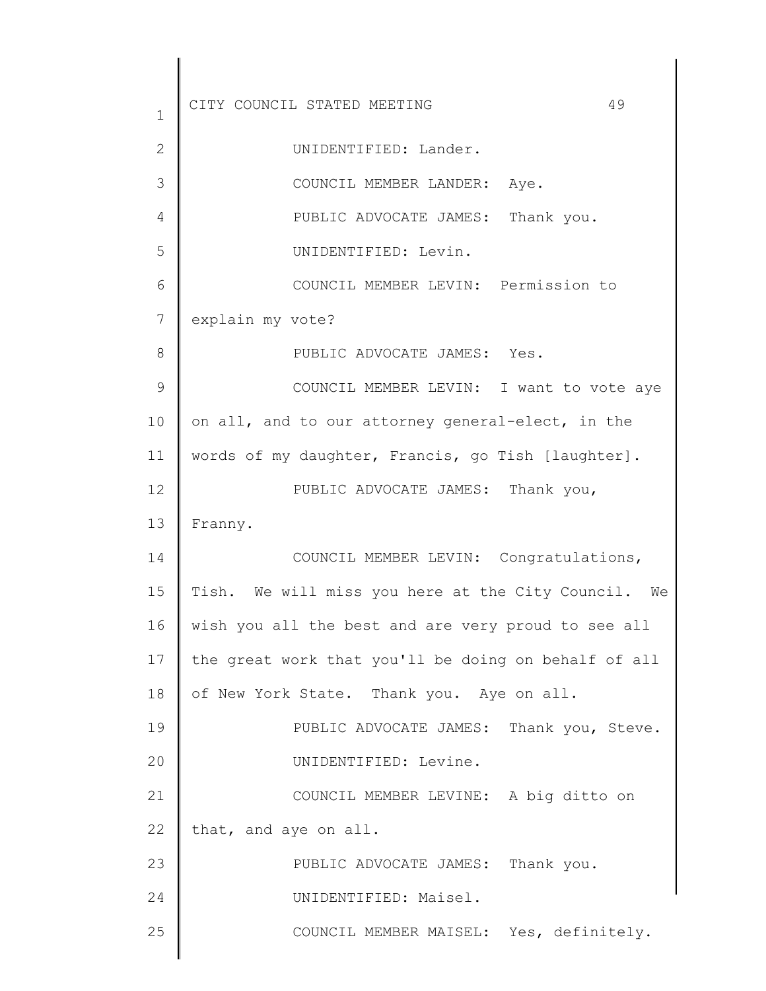| $\mathbf 1$  | 49<br>CITY COUNCIL STATED MEETING                    |
|--------------|------------------------------------------------------|
| $\mathbf{2}$ | UNIDENTIFIED: Lander.                                |
| 3            | COUNCIL MEMBER LANDER: Aye.                          |
| 4            | PUBLIC ADVOCATE JAMES: Thank you.                    |
| 5            | UNIDENTIFIED: Levin.                                 |
| 6            | COUNCIL MEMBER LEVIN: Permission to                  |
| 7            | explain my vote?                                     |
| 8            | PUBLIC ADVOCATE JAMES: Yes.                          |
| 9            | COUNCIL MEMBER LEVIN: I want to vote aye             |
| 10           | on all, and to our attorney general-elect, in the    |
| 11           | words of my daughter, Francis, go Tish [laughter].   |
| 12           | PUBLIC ADVOCATE JAMES: Thank you,                    |
| 13           | Franny.                                              |
| 14           | COUNCIL MEMBER LEVIN: Congratulations,               |
| 15           | Tish. We will miss you here at the City Council. We  |
| 16           | wish you all the best and are very proud to see all  |
| 17           | the great work that you'll be doing on behalf of all |
| 18           | of New York State. Thank you. Aye on all.            |
| 19           | PUBLIC ADVOCATE JAMES: Thank you, Steve.             |
| 20           | UNIDENTIFIED: Levine.                                |
| 21           | COUNCIL MEMBER LEVINE: A big ditto on                |
| 22           | that, and aye on all.                                |
| 23           | PUBLIC ADVOCATE JAMES: Thank you.                    |
| 24           | UNIDENTIFIED: Maisel.                                |
| 25           | COUNCIL MEMBER MAISEL: Yes, definitely.              |
|              |                                                      |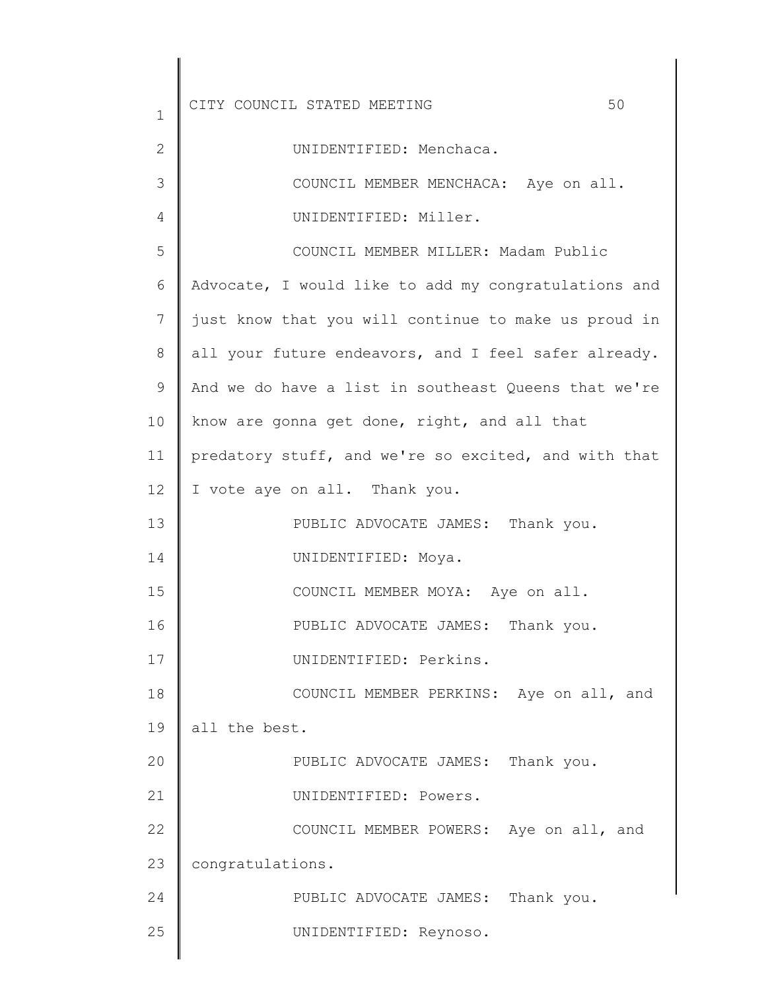| $\mathbf 1$    | 50<br>CITY COUNCIL STATED MEETING                    |
|----------------|------------------------------------------------------|
| $\mathbf{2}$   | UNIDENTIFIED: Menchaca.                              |
| $\mathcal{S}$  | COUNCIL MEMBER MENCHACA: Aye on all.                 |
| $\overline{4}$ | UNIDENTIFIED: Miller.                                |
| 5              | COUNCIL MEMBER MILLER: Madam Public                  |
| 6              | Advocate, I would like to add my congratulations and |
| $\overline{7}$ | just know that you will continue to make us proud in |
| 8              | all your future endeavors, and I feel safer already. |
| 9              | And we do have a list in southeast Queens that we're |
| 10             | know are gonna get done, right, and all that         |
| 11             | predatory stuff, and we're so excited, and with that |
| 12             | I vote aye on all. Thank you.                        |
| 13             | PUBLIC ADVOCATE JAMES: Thank you.                    |
| 14             | UNIDENTIFIED: Moya.                                  |
| 15             | COUNCIL MEMBER MOYA: Aye on all.                     |
| 16             | PUBLIC ADVOCATE JAMES: Thank you.                    |
| 17             | UNIDENTIFIED: Perkins.                               |
| 18             | COUNCIL MEMBER PERKINS: Aye on all, and              |
| 19             | all the best.                                        |
| 20             | PUBLIC ADVOCATE JAMES: Thank you.                    |
| 21             | UNIDENTIFIED: Powers.                                |
| 22             | COUNCIL MEMBER POWERS: Aye on all, and               |
| 23             | congratulations.                                     |
| 24             | PUBLIC ADVOCATE JAMES: Thank you.                    |
| 25             | UNIDENTIFIED: Reynoso.                               |
|                |                                                      |

 $\parallel$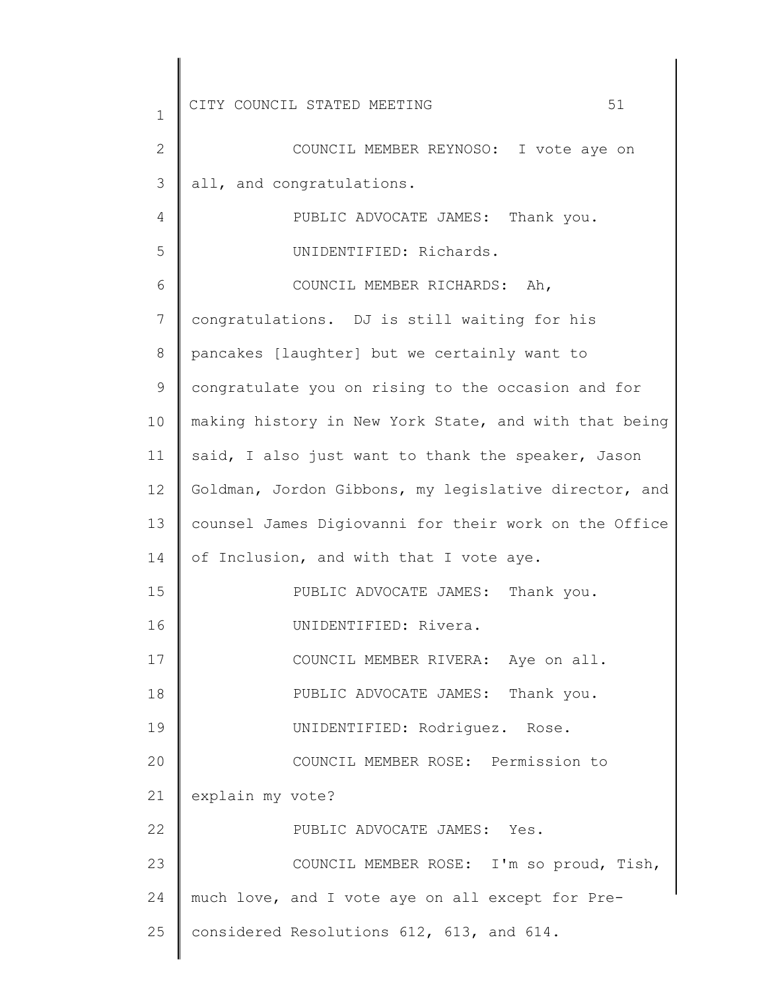| $\mathbf{1}$ | 51<br>CITY COUNCIL STATED MEETING                     |
|--------------|-------------------------------------------------------|
| $\mathbf{2}$ | COUNCIL MEMBER REYNOSO: I vote aye on                 |
| 3            | all, and congratulations.                             |
| 4            | PUBLIC ADVOCATE JAMES: Thank you.                     |
| 5            | UNIDENTIFIED: Richards.                               |
| 6            | COUNCIL MEMBER RICHARDS: Ah,                          |
| 7            | congratulations. DJ is still waiting for his          |
| 8            | pancakes [laughter] but we certainly want to          |
| 9            | congratulate you on rising to the occasion and for    |
| 10           | making history in New York State, and with that being |
| 11           | said, I also just want to thank the speaker, Jason    |
| 12           | Goldman, Jordon Gibbons, my legislative director, and |
| 13           | counsel James Digiovanni for their work on the Office |
| 14           | of Inclusion, and with that I vote aye.               |
| 15           | PUBLIC ADVOCATE JAMES: Thank you.                     |
| 16           | UNIDENTIFIED: Rivera.                                 |
| 17           | COUNCIL MEMBER RIVERA: Aye on all.                    |
| 18           | PUBLIC ADVOCATE JAMES: Thank you.                     |
| 19           | UNIDENTIFIED: Rodriguez. Rose.                        |
| 20           | COUNCIL MEMBER ROSE: Permission to                    |
| 21           | explain my vote?                                      |
| 22           | PUBLIC ADVOCATE JAMES: Yes.                           |
| 23           | COUNCIL MEMBER ROSE: I'm so proud, Tish,              |
| 24           | much love, and I vote aye on all except for Pre-      |
| 25           | considered Resolutions 612, 613, and 614.             |
|              |                                                       |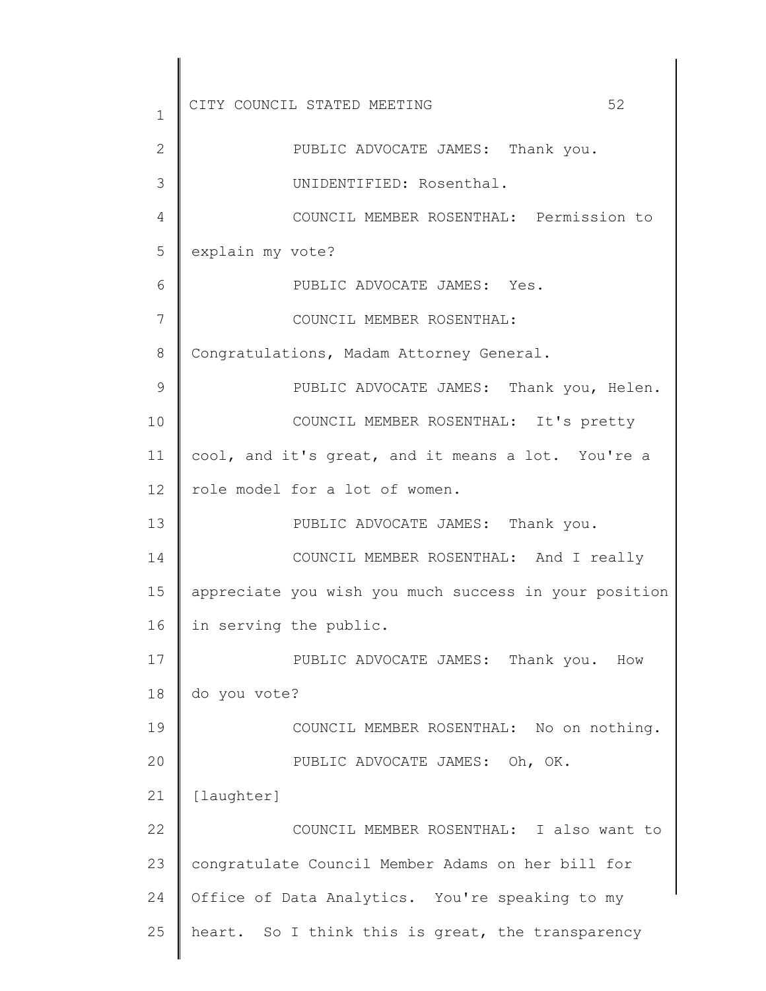1 2 3 4 5 6 7 8 9 10 11 12 13 14 15 16 17 18 19 20 21 22 23 24 25 CITY COUNCIL STATED MEETING 62 PUBLIC ADVOCATE JAMES: Thank you. UNIDENTIFIED: Rosenthal. COUNCIL MEMBER ROSENTHAL: Permission to explain my vote? PUBLIC ADVOCATE JAMES: Yes. COUNCIL MEMBER ROSENTHAL: Congratulations, Madam Attorney General. PUBLIC ADVOCATE JAMES: Thank you, Helen. COUNCIL MEMBER ROSENTHAL: It's pretty cool, and it's great, and it means a lot. You're a role model for a lot of women. PUBLIC ADVOCATE JAMES: Thank you. COUNCIL MEMBER ROSENTHAL: And I really appreciate you wish you much success in your position in serving the public. PUBLIC ADVOCATE JAMES: Thank you. How do you vote? COUNCIL MEMBER ROSENTHAL: No on nothing. PUBLIC ADVOCATE JAMES: Oh, OK. [laughter] COUNCIL MEMBER ROSENTHAL: I also want to congratulate Council Member Adams on her bill for Office of Data Analytics. You're speaking to my heart. So I think this is great, the transparency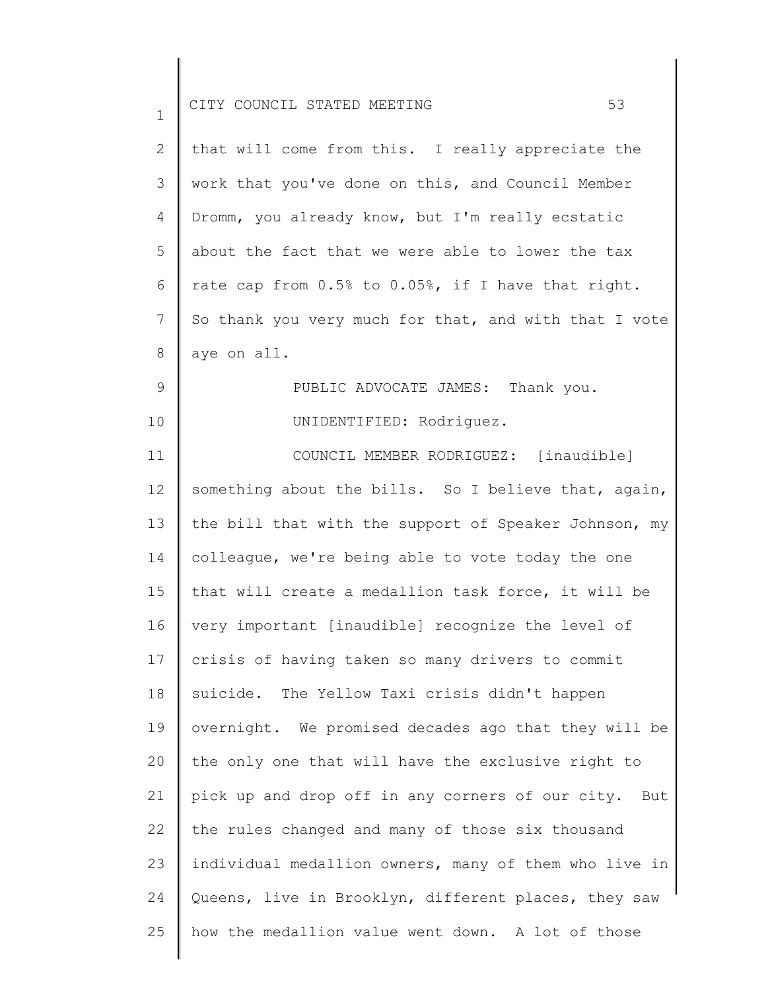| $\mathbf 1$    | 53<br>CITY COUNCIL STATED MEETING                       |
|----------------|---------------------------------------------------------|
| $\mathbf{2}$   | that will come from this. I really appreciate the       |
| 3              | work that you've done on this, and Council Member       |
| $\overline{4}$ | Dromm, you already know, but I'm really ecstatic        |
| 5              | about the fact that we were able to lower the tax       |
| 6              | rate cap from 0.5% to 0.05%, if I have that right.      |
| 7              | So thank you very much for that, and with that I vote   |
| 8              | aye on all.                                             |
| $\mathsf 9$    | PUBLIC ADVOCATE JAMES: Thank you.                       |
| 10             | UNIDENTIFIED: Rodriguez.                                |
| 11             | COUNCIL MEMBER RODRIGUEZ: [inaudible]                   |
| 12             | something about the bills. So I believe that, again,    |
| 13             | the bill that with the support of Speaker Johnson, my   |
| 14             | colleague, we're being able to vote today the one       |
| 15             | that will create a medallion task force, it will be     |
| 16             | very important [inaudible] recognize the level of       |
| 17             | crisis of having taken so many drivers to commit        |
| 18             | suicide. The Yellow Taxi crisis didn't happen           |
| 19             | overnight. We promised decades ago that they will be    |
| 20             | the only one that will have the exclusive right to      |
| 21             | pick up and drop off in any corners of our city.<br>But |
| 22             | the rules changed and many of those six thousand        |
| 23             | individual medallion owners, many of them who live in   |
| 24             | Queens, live in Brooklyn, different places, they saw    |
| 25             | how the medallion value went down. A lot of those       |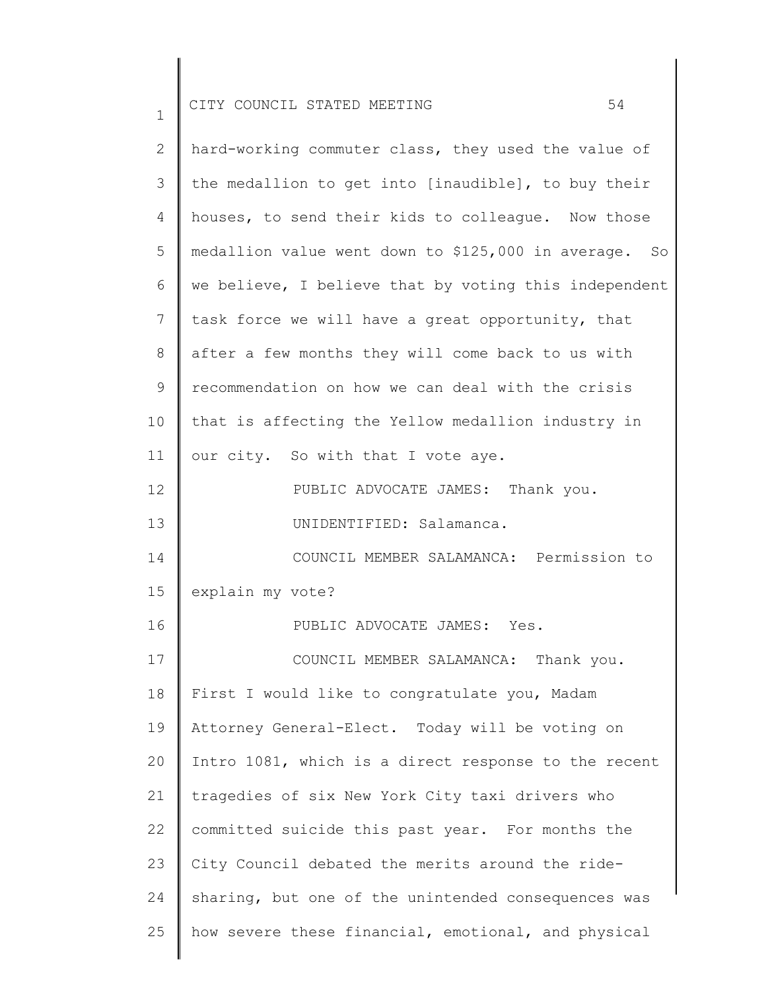| $\mathbf 1$     | 54<br>CITY COUNCIL STATED MEETING                     |
|-----------------|-------------------------------------------------------|
| $\mathbf{2}$    | hard-working commuter class, they used the value of   |
| 3               | the medallion to get into [inaudible], to buy their   |
| 4               | houses, to send their kids to colleague. Now those    |
| 5               | medallion value went down to \$125,000 in average. So |
| 6               | we believe, I believe that by voting this independent |
| $7\phantom{.0}$ | task force we will have a great opportunity, that     |
| $8\,$           | after a few months they will come back to us with     |
| 9               | recommendation on how we can deal with the crisis     |
| 10              | that is affecting the Yellow medallion industry in    |
| 11              | our city. So with that I vote aye.                    |
| 12              | PUBLIC ADVOCATE JAMES: Thank you.                     |
| 13              | UNIDENTIFIED: Salamanca.                              |
| 14              | COUNCIL MEMBER SALAMANCA: Permission to               |
| 15              | explain my vote?                                      |
| 16              | PUBLIC ADVOCATE JAMES: Yes.                           |
| 17              | COUNCIL MEMBER SALAMANCA: Thank you.                  |
| 18              | First I would like to congratulate you, Madam         |
| 19              | Attorney General-Elect. Today will be voting on       |
| 20              | Intro 1081, which is a direct response to the recent  |
| 21              | tragedies of six New York City taxi drivers who       |
| 22              | committed suicide this past year. For months the      |
| 23              | City Council debated the merits around the ride-      |
| 24              | sharing, but one of the unintended consequences was   |
| 25              | how severe these financial, emotional, and physical   |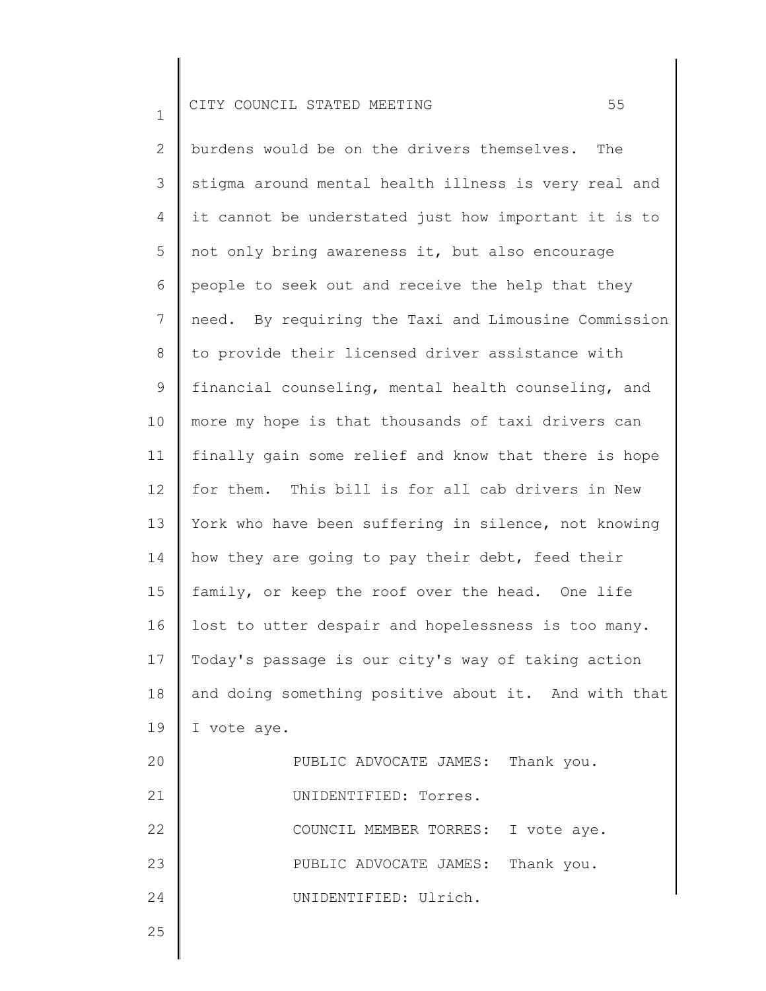1

2 3 4 5 6 7 8 9 10 11 12 13 14 15 16 17 18 19 20 21 22 23 24 burdens would be on the drivers themselves. The stigma around mental health illness is very real and it cannot be understated just how important it is to not only bring awareness it, but also encourage people to seek out and receive the help that they need. By requiring the Taxi and Limousine Commission to provide their licensed driver assistance with financial counseling, mental health counseling, and more my hope is that thousands of taxi drivers can finally gain some relief and know that there is hope for them. This bill is for all cab drivers in New York who have been suffering in silence, not knowing how they are going to pay their debt, feed their family, or keep the roof over the head. One life lost to utter despair and hopelessness is too many. Today's passage is our city's way of taking action and doing something positive about it. And with that I vote aye. PUBLIC ADVOCATE JAMES: Thank you. UNIDENTIFIED: Torres. COUNCIL MEMBER TORRES: I vote aye. PUBLIC ADVOCATE JAMES: Thank you. UNIDENTIFIED: Ulrich.

25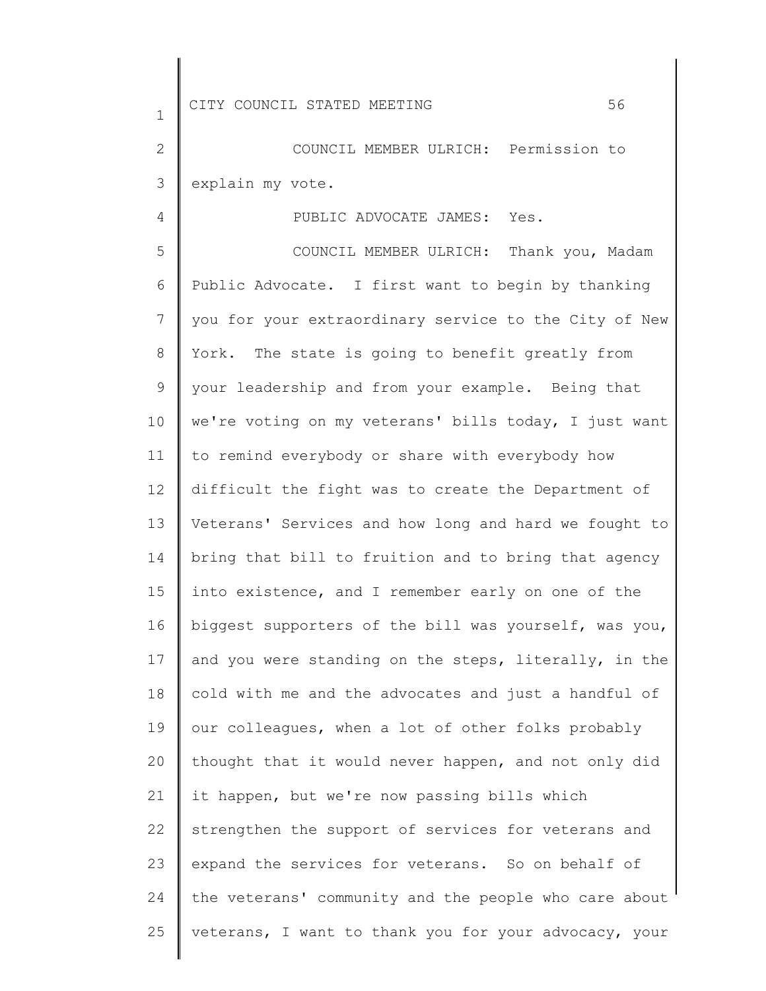3 explain my vote.

1

2

4

PUBLIC ADVOCATE JAMES: Yes.

5 6 7 8 9 10 11 12 13 14 15 16 17 18 19 20 21 22 23 24 25 COUNCIL MEMBER ULRICH: Thank you, Madam Public Advocate. I first want to begin by thanking you for your extraordinary service to the City of New York. The state is going to benefit greatly from your leadership and from your example. Being that we're voting on my veterans' bills today, I just want to remind everybody or share with everybody how difficult the fight was to create the Department of Veterans' Services and how long and hard we fought to bring that bill to fruition and to bring that agency into existence, and I remember early on one of the biggest supporters of the bill was yourself, was you, and you were standing on the steps, literally, in the cold with me and the advocates and just a handful of our colleagues, when a lot of other folks probably thought that it would never happen, and not only did it happen, but we're now passing bills which strengthen the support of services for veterans and expand the services for veterans. So on behalf of the veterans' community and the people who care about veterans, I want to thank you for your advocacy, your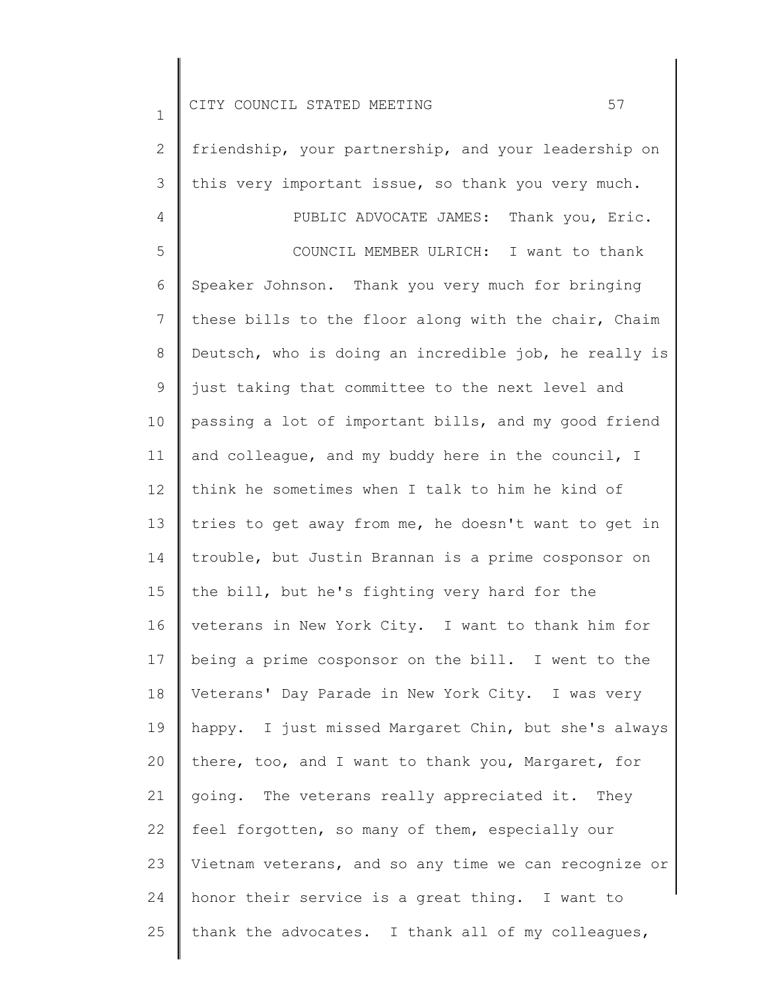| $\mathbf 1$    | 57<br>CITY COUNCIL STATED MEETING                     |
|----------------|-------------------------------------------------------|
| $\overline{2}$ | friendship, your partnership, and your leadership on  |
| 3              | this very important issue, so thank you very much.    |
| 4              | PUBLIC ADVOCATE JAMES: Thank you, Eric.               |
| 5              | COUNCIL MEMBER ULRICH: I want to thank                |
| 6              | Speaker Johnson. Thank you very much for bringing     |
| 7              | these bills to the floor along with the chair, Chaim  |
| $8\,$          | Deutsch, who is doing an incredible job, he really is |
| 9              | just taking that committee to the next level and      |
| 10             | passing a lot of important bills, and my good friend  |
| 11             | and colleague, and my buddy here in the council, I    |
| 12             | think he sometimes when I talk to him he kind of      |
| 13             | tries to get away from me, he doesn't want to get in  |
| 14             | trouble, but Justin Brannan is a prime cosponsor on   |
| 15             | the bill, but he's fighting very hard for the         |
| 16             | veterans in New York City. I want to thank him for    |
| 17             | being a prime cosponsor on the bill. I went to the    |
| 18             | Veterans' Day Parade in New York City. I was very     |
| 19             | happy. I just missed Margaret Chin, but she's always  |
| 20             | there, too, and I want to thank you, Margaret, for    |
| 21             | going. The veterans really appreciated it. They       |
| 22             | feel forgotten, so many of them, especially our       |
| 23             | Vietnam veterans, and so any time we can recognize or |
| 24             | honor their service is a great thing. I want to       |
| 25             | thank the advocates. I thank all of my colleagues,    |
|                |                                                       |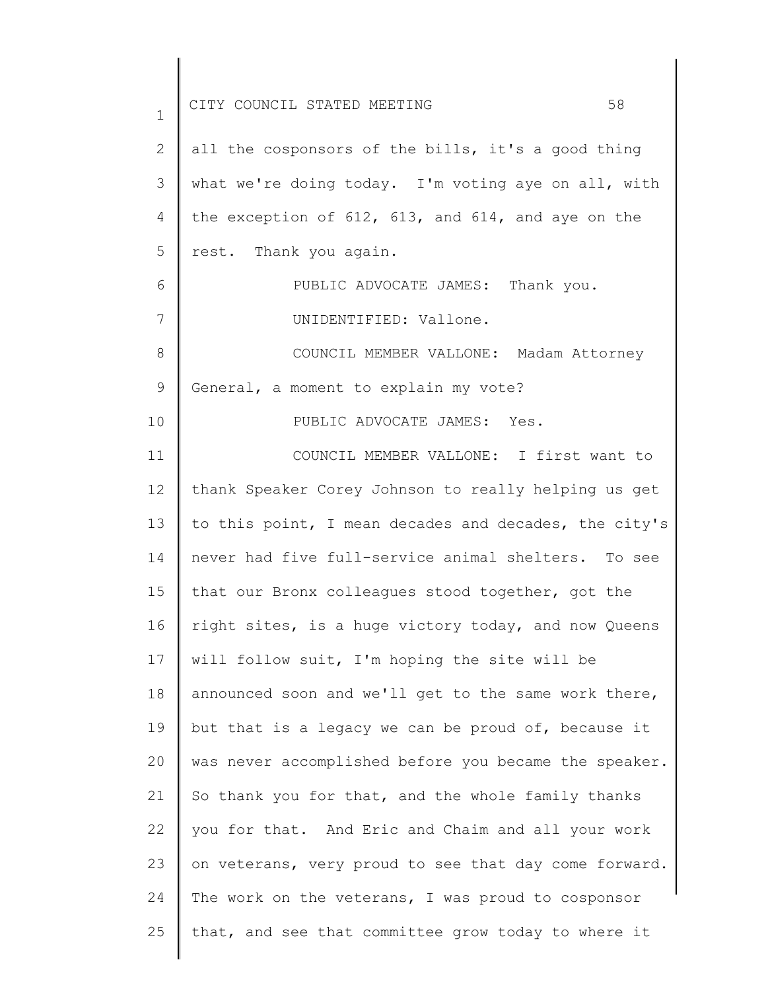| $\mathbf 1$ | 58<br>CITY COUNCIL STATED MEETING                     |
|-------------|-------------------------------------------------------|
| 2           | all the cosponsors of the bills, it's a good thing    |
| 3           | what we're doing today. I'm voting aye on all, with   |
| 4           | the exception of 612, 613, and 614, and aye on the    |
| 5           | rest. Thank you again.                                |
| 6           | PUBLIC ADVOCATE JAMES: Thank you.                     |
| 7           | UNIDENTIFIED: Vallone.                                |
| 8           | COUNCIL MEMBER VALLONE: Madam Attorney                |
| 9           | General, a moment to explain my vote?                 |
| 10          | PUBLIC ADVOCATE JAMES: Yes.                           |
| 11          | COUNCIL MEMBER VALLONE: I first want to               |
| 12          | thank Speaker Corey Johnson to really helping us get  |
| 13          | to this point, I mean decades and decades, the city's |
| 14          | never had five full-service animal shelters. To see   |
| 15          | that our Bronx colleagues stood together, got the     |
| 16          | right sites, is a huge victory today, and now Queens  |
| 17          | will follow suit, I'm hoping the site will be         |
| 18          | announced soon and we'll get to the same work there,  |
| 19          | but that is a legacy we can be proud of, because it   |
| 20          | was never accomplished before you became the speaker. |
| 21          | So thank you for that, and the whole family thanks    |
| 22          | you for that. And Eric and Chaim and all your work    |
| 23          | on veterans, very proud to see that day come forward. |
| 24          | The work on the veterans, I was proud to cosponsor    |
| 25          | that, and see that committee grow today to where it   |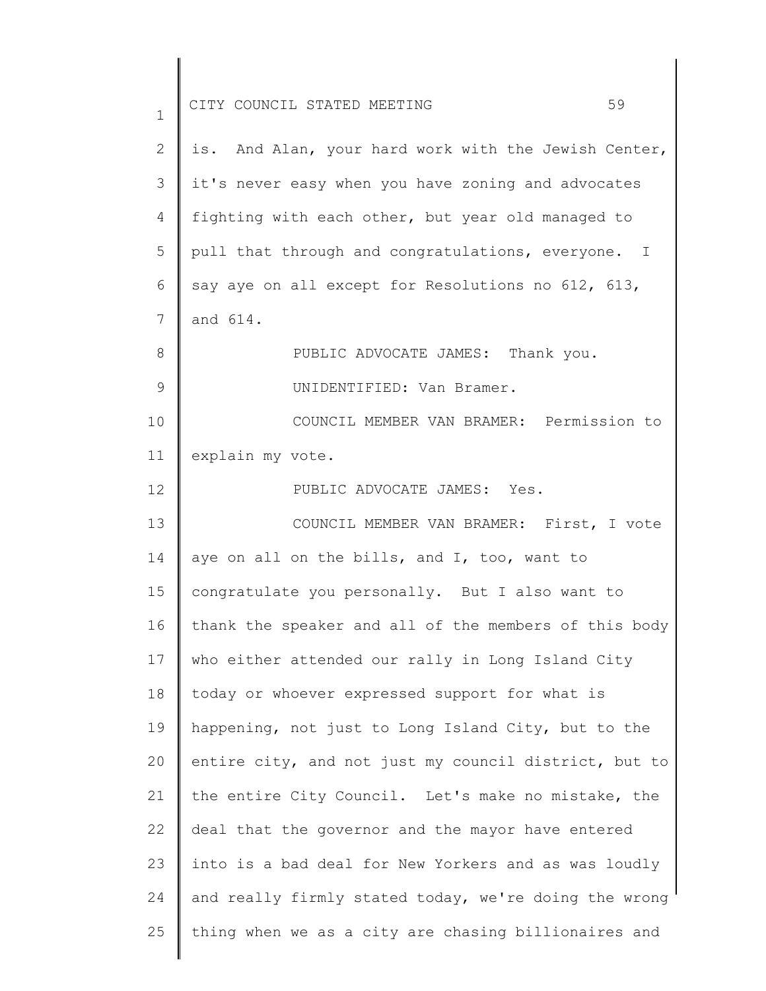| $\mathbf 1$ | 59<br>CITY COUNCIL STATED MEETING                     |
|-------------|-------------------------------------------------------|
| 2           | is. And Alan, your hard work with the Jewish Center,  |
| 3           | it's never easy when you have zoning and advocates    |
| 4           | fighting with each other, but year old managed to     |
| 5           | pull that through and congratulations, everyone. I    |
| 6           | say aye on all except for Resolutions no 612, 613,    |
| 7           | and 614.                                              |
| 8           | PUBLIC ADVOCATE JAMES: Thank you.                     |
| 9           | UNIDENTIFIED: Van Bramer.                             |
| 10          | COUNCIL MEMBER VAN BRAMER: Permission to              |
| 11          | explain my vote.                                      |
| 12          | PUBLIC ADVOCATE JAMES: Yes.                           |
| 13          | COUNCIL MEMBER VAN BRAMER: First, I vote              |
| 14          | aye on all on the bills, and I, too, want to          |
| 15          | congratulate you personally. But I also want to       |
| 16          | thank the speaker and all of the members of this body |
| 17          | who either attended our rally in Long Island City     |
| 18          | today or whoever expressed support for what is        |
| 19          | happening, not just to Long Island City, but to the   |
| 20          | entire city, and not just my council district, but to |
| 21          | the entire City Council. Let's make no mistake, the   |
| 22          | deal that the governor and the mayor have entered     |
| 23          | into is a bad deal for New Yorkers and as was loudly  |
| 24          | and really firmly stated today, we're doing the wrong |
| 25          | thing when we as a city are chasing billionaires and  |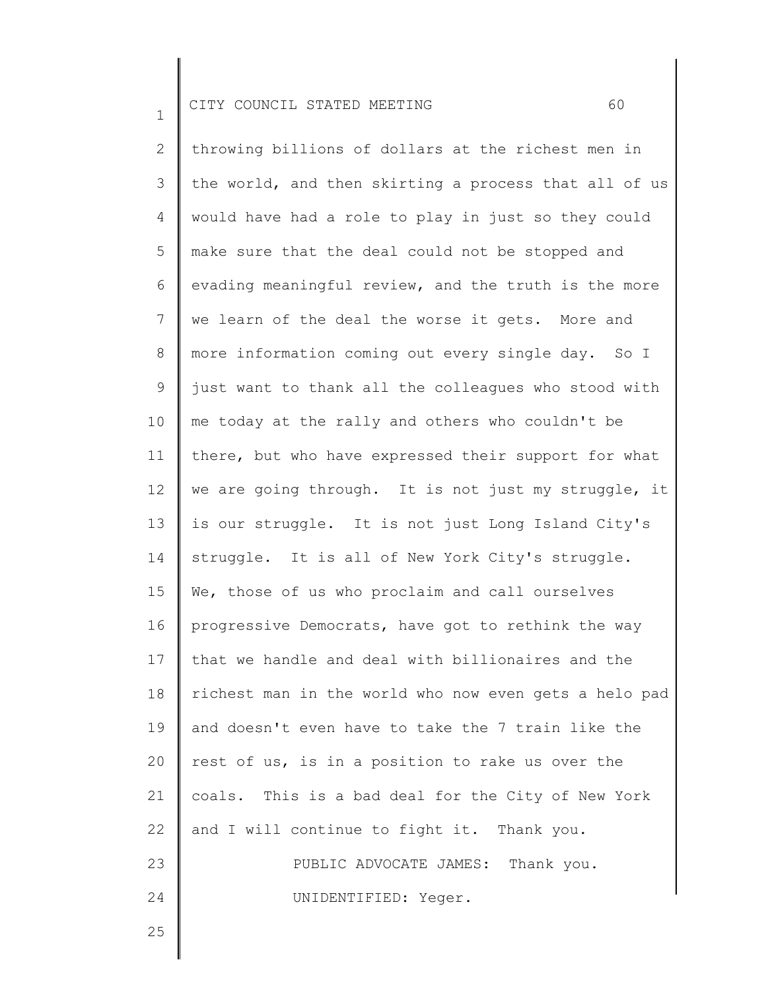2 3 4 5 6 7 8 9 10 11 12 13 14 15 16 17 18 19 20 21 22 23 24 throwing billions of dollars at the richest men in the world, and then skirting a process that all of us would have had a role to play in just so they could make sure that the deal could not be stopped and evading meaningful review, and the truth is the more we learn of the deal the worse it gets. More and more information coming out every single day. So I just want to thank all the colleagues who stood with me today at the rally and others who couldn't be there, but who have expressed their support for what we are going through. It is not just my struggle, it is our struggle. It is not just Long Island City's struggle. It is all of New York City's struggle. We, those of us who proclaim and call ourselves progressive Democrats, have got to rethink the way that we handle and deal with billionaires and the richest man in the world who now even gets a helo pad and doesn't even have to take the 7 train like the rest of us, is in a position to rake us over the coals. This is a bad deal for the City of New York and I will continue to fight it. Thank you. PUBLIC ADVOCATE JAMES: Thank you. UNIDENTIFIED: Yeger.

25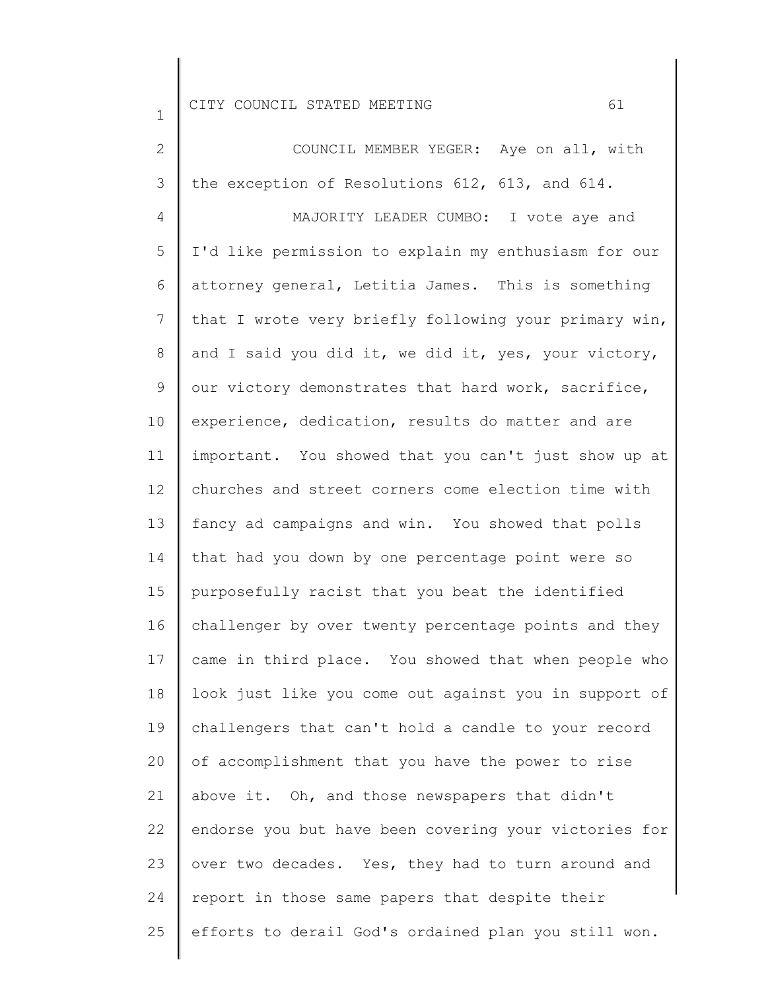1

2 3 4 5 6 7 8 9 10 11 12 13 14 15 16 17 18 19 20 21 22 23 24 25 COUNCIL MEMBER YEGER: Aye on all, with the exception of Resolutions 612, 613, and 614. MAJORITY LEADER CUMBO: I vote aye and I'd like permission to explain my enthusiasm for our attorney general, Letitia James. This is something that I wrote very briefly following your primary win, and I said you did it, we did it, yes, your victory, our victory demonstrates that hard work, sacrifice, experience, dedication, results do matter and are important. You showed that you can't just show up at churches and street corners come election time with fancy ad campaigns and win. You showed that polls that had you down by one percentage point were so purposefully racist that you beat the identified challenger by over twenty percentage points and they came in third place. You showed that when people who look just like you come out against you in support of challengers that can't hold a candle to your record of accomplishment that you have the power to rise above it. Oh, and those newspapers that didn't endorse you but have been covering your victories for over two decades. Yes, they had to turn around and report in those same papers that despite their efforts to derail God's ordained plan you still won.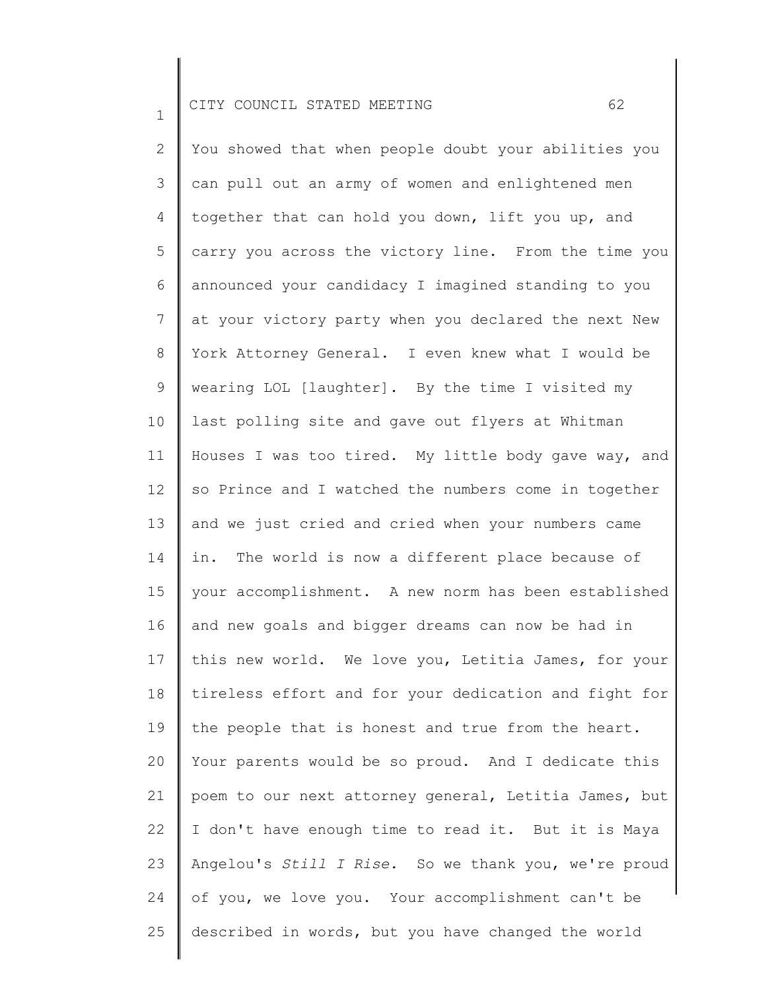2 3 4 5 6 7 8 9 10 11 12 13 14 15 16 17 18 19 20 21 22 23 24 25 You showed that when people doubt your abilities you can pull out an army of women and enlightened men together that can hold you down, lift you up, and carry you across the victory line. From the time you announced your candidacy I imagined standing to you at your victory party when you declared the next New York Attorney General. I even knew what I would be wearing LOL [laughter]. By the time I visited my last polling site and gave out flyers at Whitman Houses I was too tired. My little body gave way, and so Prince and I watched the numbers come in together and we just cried and cried when your numbers came in. The world is now a different place because of your accomplishment. A new norm has been established and new goals and bigger dreams can now be had in this new world. We love you, Letitia James, for your tireless effort and for your dedication and fight for the people that is honest and true from the heart. Your parents would be so proud. And I dedicate this poem to our next attorney general, Letitia James, but I don't have enough time to read it. But it is Maya Angelou's *Still I Rise.* So we thank you, we're proud of you, we love you. Your accomplishment can't be described in words, but you have changed the world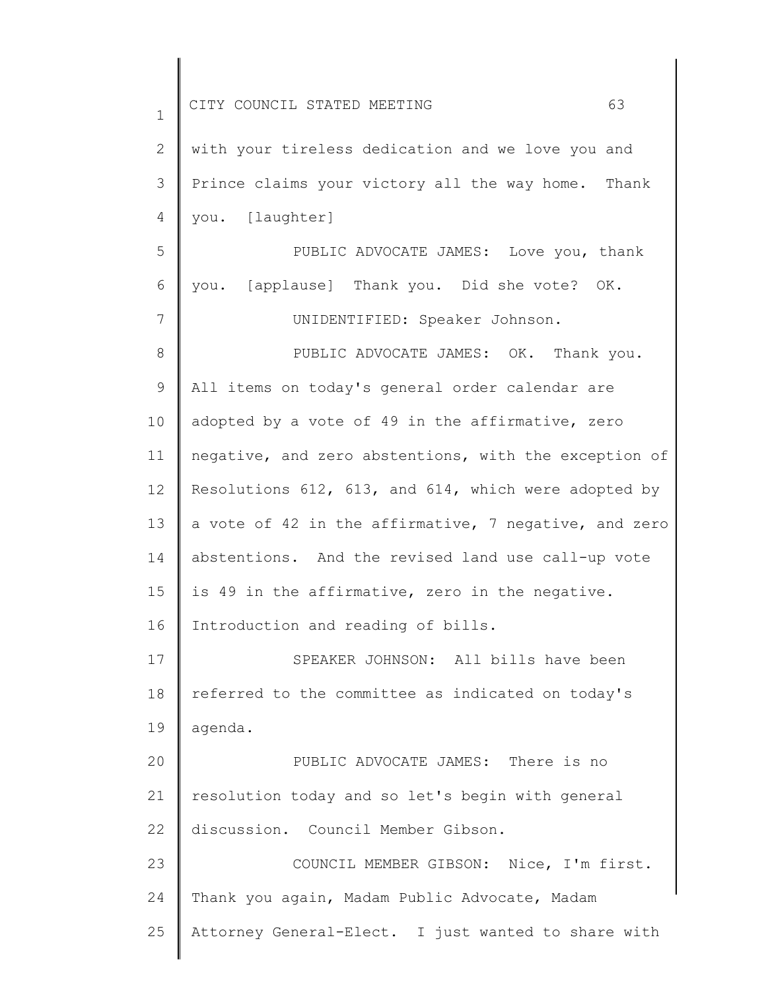| $1\,$          | 63<br>CITY COUNCIL STATED MEETING                     |
|----------------|-------------------------------------------------------|
| $\overline{2}$ | with your tireless dedication and we love you and     |
| 3              | Prince claims your victory all the way home. Thank    |
| 4              | you. [laughter]                                       |
| 5              | PUBLIC ADVOCATE JAMES: Love you, thank                |
| 6              | you. [applause] Thank you. Did she vote? OK.          |
| 7              | UNIDENTIFIED: Speaker Johnson.                        |
| $\,8\,$        | PUBLIC ADVOCATE JAMES: OK. Thank you.                 |
| 9              | All items on today's general order calendar are       |
| 10             | adopted by a vote of 49 in the affirmative, zero      |
| 11             | negative, and zero abstentions, with the exception of |
| 12             | Resolutions 612, 613, and 614, which were adopted by  |
| 13             | a vote of 42 in the affirmative, 7 negative, and zero |
| 14             | abstentions. And the revised land use call-up vote    |
| 15             | is 49 in the affirmative, zero in the negative.       |
| 16             | Introduction and reading of bills.                    |
| 17             | SPEAKER JOHNSON: All bills have been                  |
| 18             | referred to the committee as indicated on today's     |
| 19             | agenda.                                               |
| 20             | PUBLIC ADVOCATE JAMES: There is no                    |
| 21             | resolution today and so let's begin with general      |
| 22             | discussion. Council Member Gibson.                    |
| 23             | COUNCIL MEMBER GIBSON: Nice, I'm first.               |
| 24             | Thank you again, Madam Public Advocate, Madam         |
| 25             | Attorney General-Elect. I just wanted to share with   |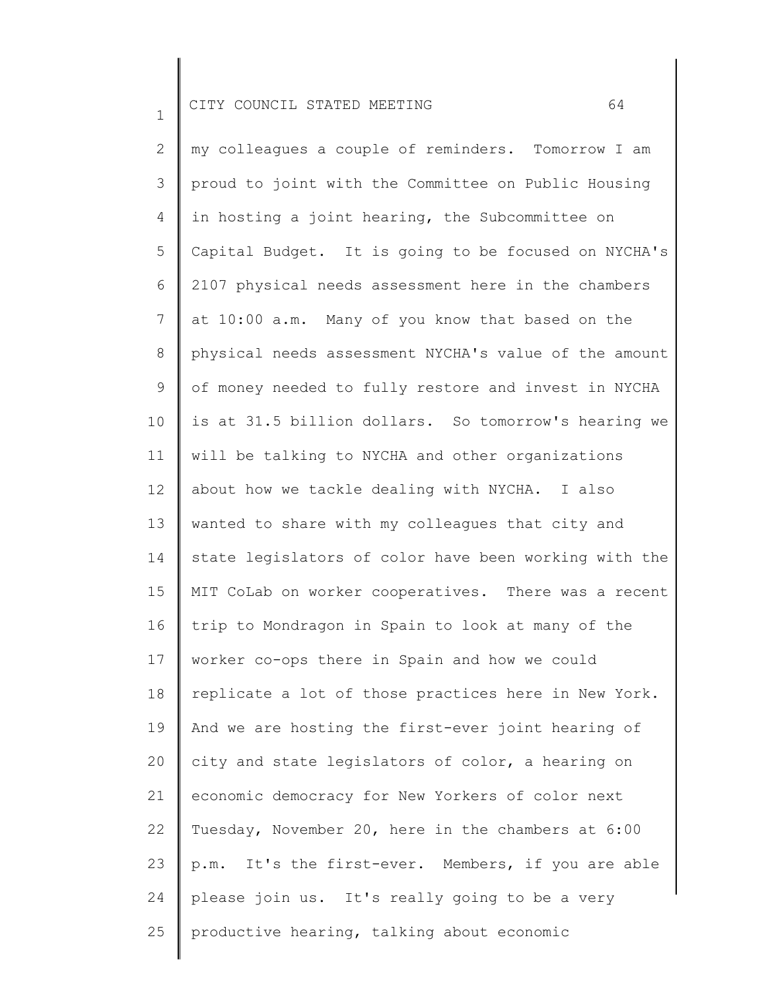2 3 4 5 6 7 8 9 10 11 12 13 14 15 16 17 18 19 20 21 22 23 24 25 my colleagues a couple of reminders. Tomorrow I am proud to joint with the Committee on Public Housing in hosting a joint hearing, the Subcommittee on Capital Budget. It is going to be focused on NYCHA's 2107 physical needs assessment here in the chambers at 10:00 a.m. Many of you know that based on the physical needs assessment NYCHA's value of the amount of money needed to fully restore and invest in NYCHA is at 31.5 billion dollars. So tomorrow's hearing we will be talking to NYCHA and other organizations about how we tackle dealing with NYCHA. I also wanted to share with my colleagues that city and state legislators of color have been working with the MIT CoLab on worker cooperatives. There was a recent trip to Mondragon in Spain to look at many of the worker co-ops there in Spain and how we could replicate a lot of those practices here in New York. And we are hosting the first-ever joint hearing of city and state legislators of color, a hearing on economic democracy for New Yorkers of color next Tuesday, November 20, here in the chambers at 6:00 p.m. It's the first-ever. Members, if you are able please join us. It's really going to be a very productive hearing, talking about economic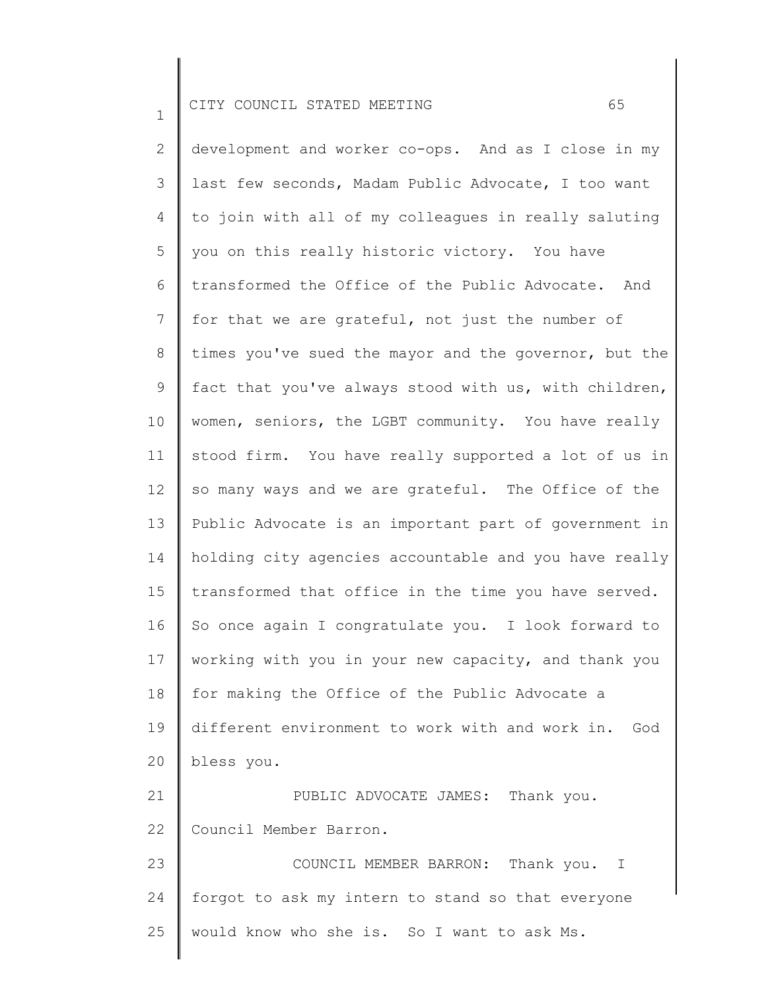1

25

2 3 4 5 6 7 8 9 10 11 12 13 14 15 16 17 18 19 20 21 22 23 24 development and worker co-ops. And as I close in my last few seconds, Madam Public Advocate, I too want to join with all of my colleagues in really saluting you on this really historic victory. You have transformed the Office of the Public Advocate. And for that we are grateful, not just the number of times you've sued the mayor and the governor, but the fact that you've always stood with us, with children, women, seniors, the LGBT community. You have really stood firm. You have really supported a lot of us in so many ways and we are grateful. The Office of the Public Advocate is an important part of government in holding city agencies accountable and you have really transformed that office in the time you have served. So once again I congratulate you. I look forward to working with you in your new capacity, and thank you for making the Office of the Public Advocate a different environment to work with and work in. God bless you. PUBLIC ADVOCATE JAMES: Thank you. Council Member Barron. COUNCIL MEMBER BARRON: Thank you. I forgot to ask my intern to stand so that everyone

would know who she is. So I want to ask Ms.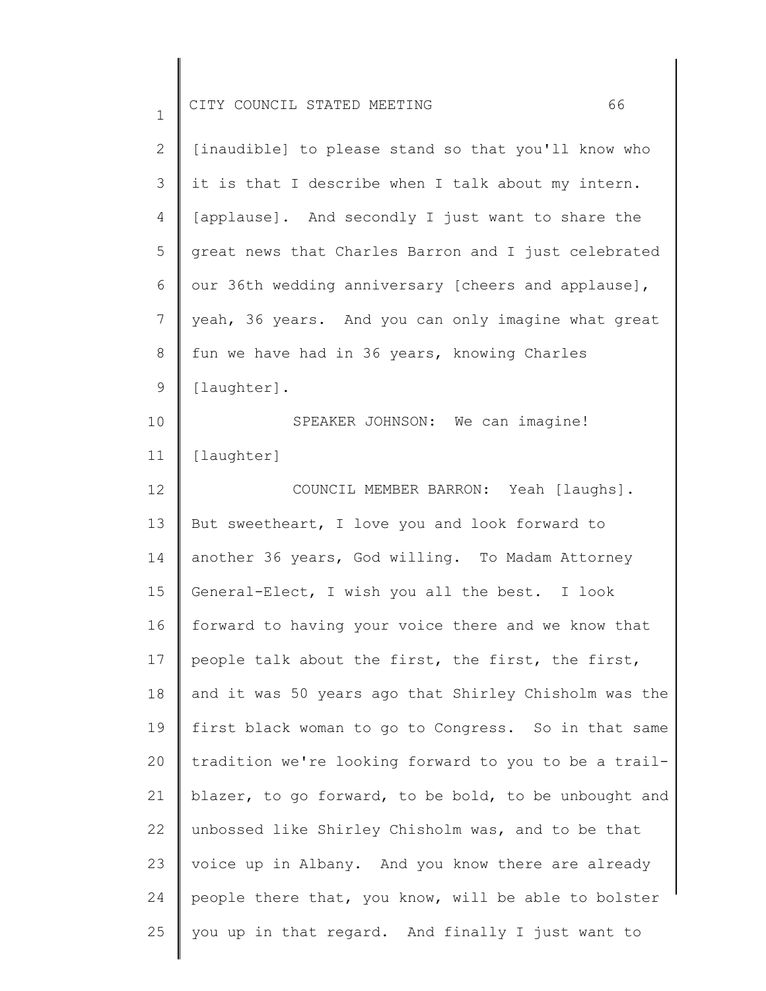| $\mathbf 1$ | 66<br>CITY COUNCIL STATED MEETING                     |
|-------------|-------------------------------------------------------|
| 2           | [inaudible] to please stand so that you'll know who   |
| 3           | it is that I describe when I talk about my intern.    |
| 4           | [applause]. And secondly I just want to share the     |
| 5           | great news that Charles Barron and I just celebrated  |
| 6           | our 36th wedding anniversary [cheers and applause],   |
| 7           | yeah, 36 years. And you can only imagine what great   |
| $8\,$       | fun we have had in 36 years, knowing Charles          |
| 9           | [laughter].                                           |
| 10          | SPEAKER JOHNSON: We can imagine!                      |
| 11          | [laughter]                                            |
| 12          | COUNCIL MEMBER BARRON: Yeah [laughs].                 |
| 13          | But sweetheart, I love you and look forward to        |
| 14          | another 36 years, God willing. To Madam Attorney      |
| 15          | General-Elect, I wish you all the best. I look        |
| 16          | forward to having your voice there and we know that   |
| 17          | people talk about the first, the first, the first,    |
| 18          | and it was 50 years ago that Shirley Chisholm was the |
| 19          | first black woman to go to Congress. So in that same  |
| 20          | tradition we're looking forward to you to be a trail- |
| 21          | blazer, to go forward, to be bold, to be unbought and |
| 22          | unbossed like Shirley Chisholm was, and to be that    |
| 23          | voice up in Albany. And you know there are already    |
| 24          | people there that, you know, will be able to bolster  |
| 25          | you up in that regard. And finally I just want to     |
|             |                                                       |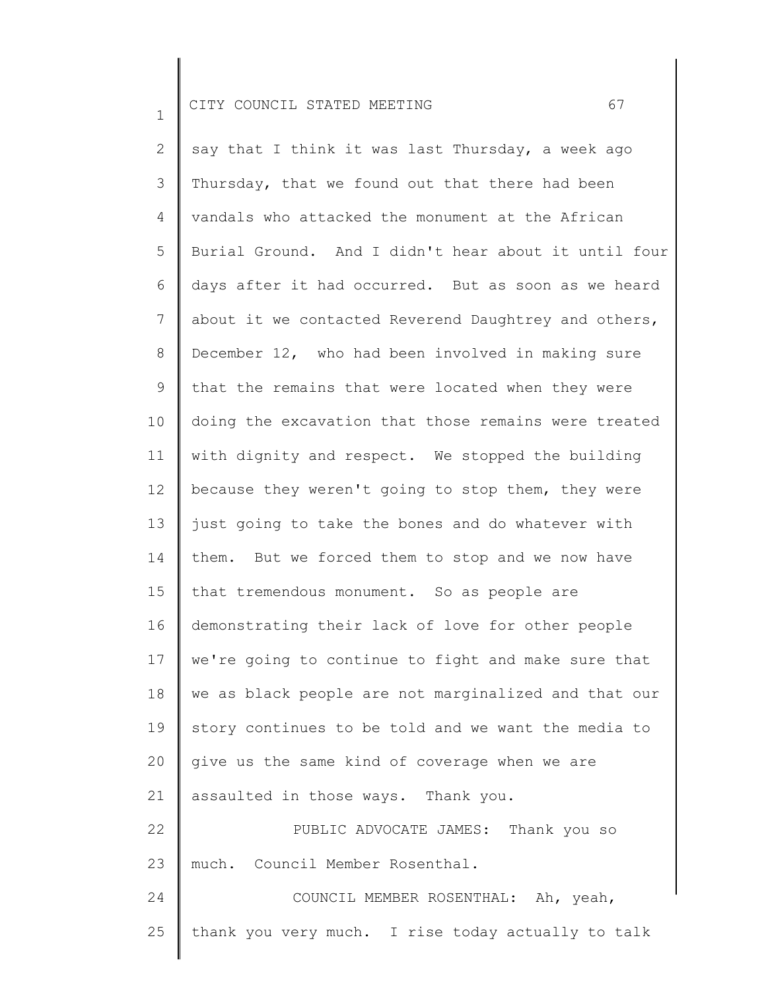2 3 4 5 6 7 8 9 10 11 12 13 14 15 16 17 18 19 20 21 22 23 24 25 say that I think it was last Thursday, a week ago Thursday, that we found out that there had been vandals who attacked the monument at the African Burial Ground. And I didn't hear about it until four days after it had occurred. But as soon as we heard about it we contacted Reverend Daughtrey and others, December 12, who had been involved in making sure that the remains that were located when they were doing the excavation that those remains were treated with dignity and respect. We stopped the building because they weren't going to stop them, they were just going to take the bones and do whatever with them. But we forced them to stop and we now have that tremendous monument. So as people are demonstrating their lack of love for other people we're going to continue to fight and make sure that we as black people are not marginalized and that our story continues to be told and we want the media to give us the same kind of coverage when we are assaulted in those ways. Thank you. PUBLIC ADVOCATE JAMES: Thank you so much. Council Member Rosenthal. COUNCIL MEMBER ROSENTHAL: Ah, yeah, thank you very much. I rise today actually to talk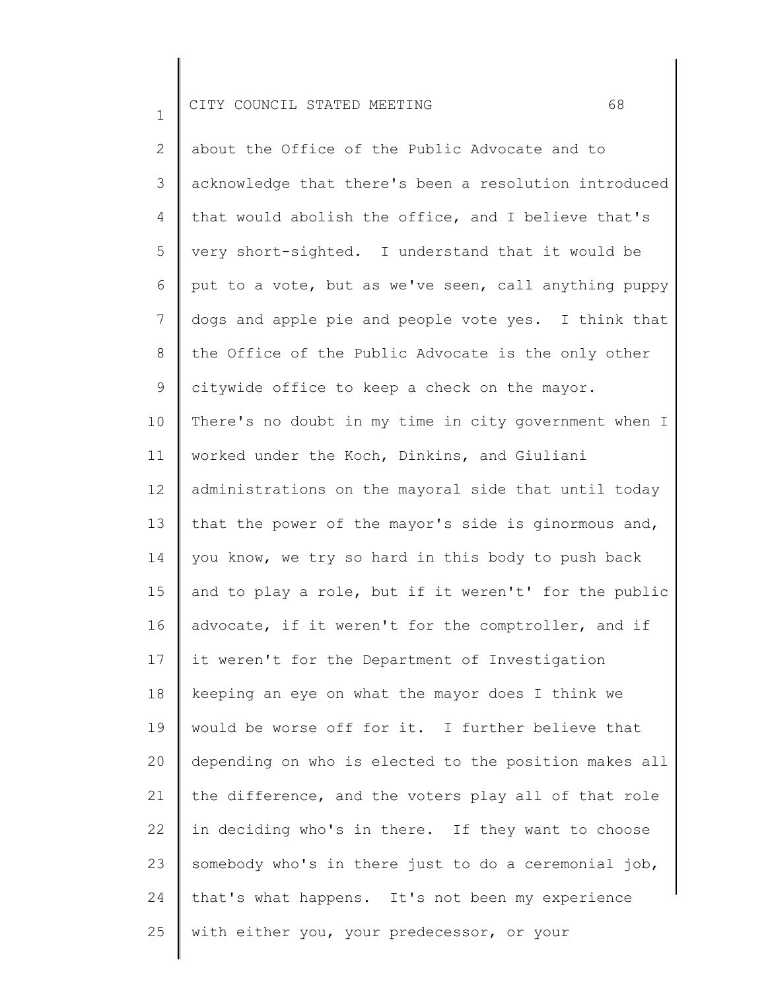2 3 4 5 6 7 8 9 10 11 12 13 14 15 16 17 18 19 20 21 22 23 24 25 about the Office of the Public Advocate and to acknowledge that there's been a resolution introduced that would abolish the office, and I believe that's very short-sighted. I understand that it would be put to a vote, but as we've seen, call anything puppy dogs and apple pie and people vote yes. I think that the Office of the Public Advocate is the only other citywide office to keep a check on the mayor. There's no doubt in my time in city government when I worked under the Koch, Dinkins, and Giuliani administrations on the mayoral side that until today that the power of the mayor's side is ginormous and, you know, we try so hard in this body to push back and to play a role, but if it weren't' for the public advocate, if it weren't for the comptroller, and if it weren't for the Department of Investigation keeping an eye on what the mayor does I think we would be worse off for it. I further believe that depending on who is elected to the position makes all the difference, and the voters play all of that role in deciding who's in there. If they want to choose somebody who's in there just to do a ceremonial job, that's what happens. It's not been my experience with either you, your predecessor, or your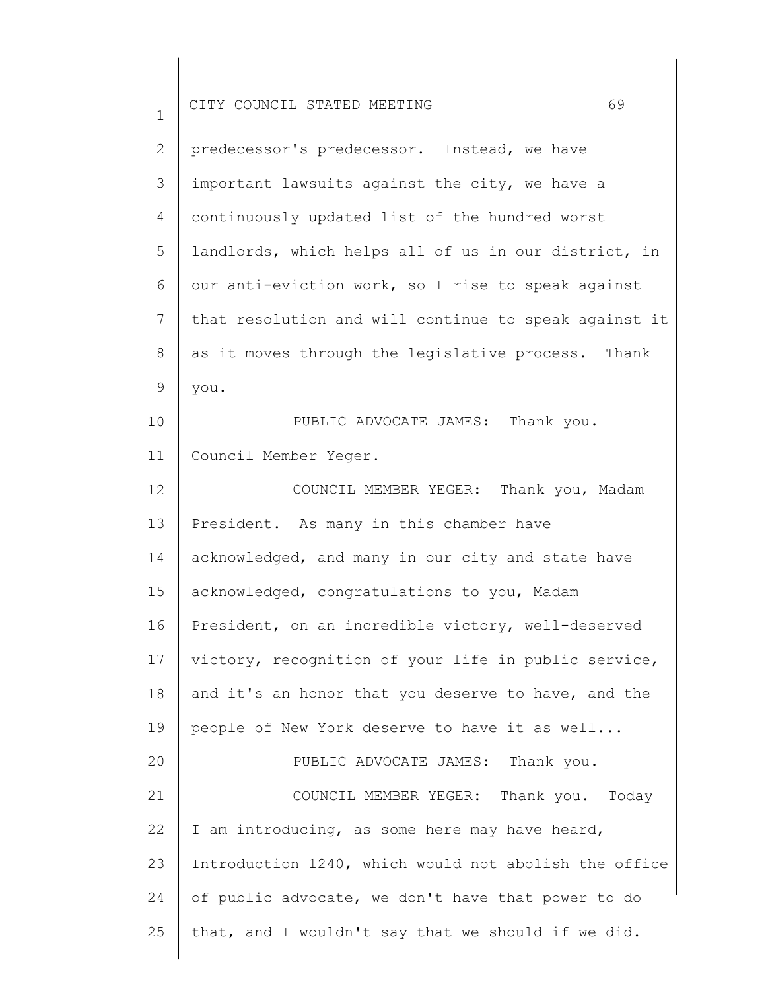| $1\,$          | 69<br>CITY COUNCIL STATED MEETING                     |
|----------------|-------------------------------------------------------|
| $\mathbf{2}$   | predecessor's predecessor. Instead, we have           |
| 3              | important lawsuits against the city, we have a        |
| $\overline{4}$ | continuously updated list of the hundred worst        |
| 5              | landlords, which helps all of us in our district, in  |
| 6              | our anti-eviction work, so I rise to speak against    |
| 7              | that resolution and will continue to speak against it |
| $8\,$          | as it moves through the legislative process. Thank    |
| 9              | you.                                                  |
| 10             | PUBLIC ADVOCATE JAMES: Thank you.                     |
| 11             | Council Member Yeger.                                 |
| 12             | COUNCIL MEMBER YEGER: Thank you, Madam                |
| 13             | President. As many in this chamber have               |
| 14             | acknowledged, and many in our city and state have     |
| 15             | acknowledged, congratulations to you, Madam           |
| 16             | President, on an incredible victory, well-deserved    |
| 17             | victory, recognition of your life in public service,  |
| 18             | and it's an honor that you deserve to have, and the   |
| 19             | people of New York deserve to have it as well         |
| 20             | PUBLIC ADVOCATE JAMES: Thank you.                     |
| 21             | COUNCIL MEMBER YEGER: Thank you. Today                |
| 22             | I am introducing, as some here may have heard,        |
| 23             | Introduction 1240, which would not abolish the office |
| 24             | of public advocate, we don't have that power to do    |
| 25             | that, and I wouldn't say that we should if we did.    |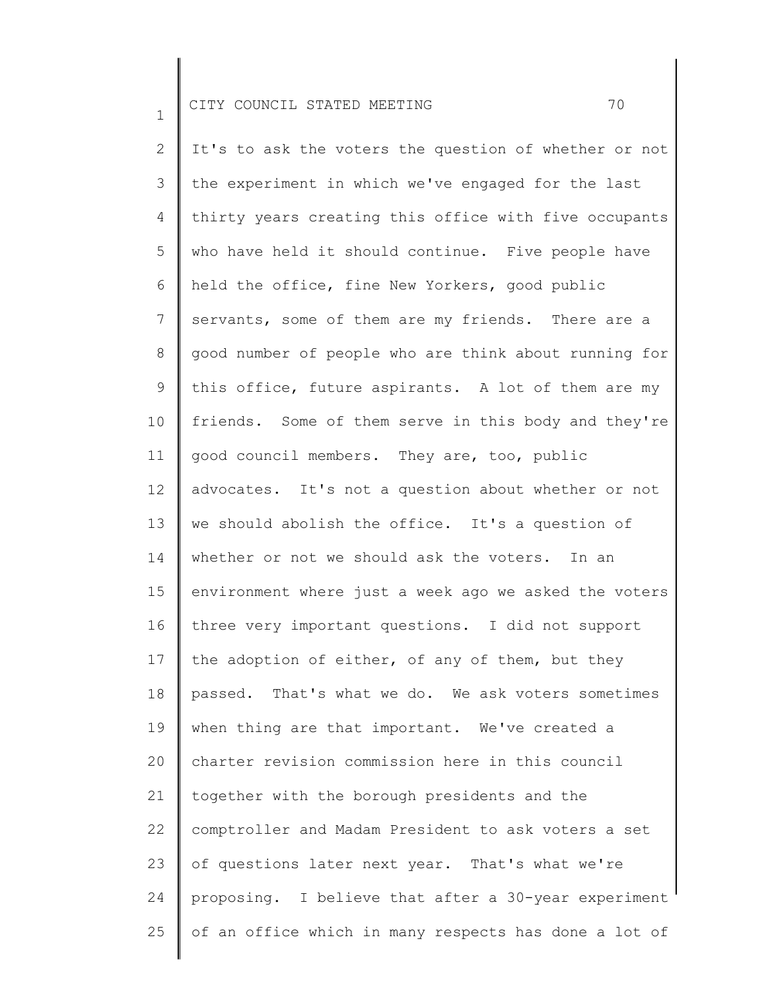2 3 4 5 6 7 8 9 10 11 12 13 14 15 16 17 18 19 20 21 22 23 24 25 It's to ask the voters the question of whether or not the experiment in which we've engaged for the last thirty years creating this office with five occupants who have held it should continue. Five people have held the office, fine New Yorkers, good public servants, some of them are my friends. There are a good number of people who are think about running for this office, future aspirants. A lot of them are my friends. Some of them serve in this body and they're good council members. They are, too, public advocates. It's not a question about whether or not we should abolish the office. It's a question of whether or not we should ask the voters. In an environment where just a week ago we asked the voters three very important questions. I did not support the adoption of either, of any of them, but they passed. That's what we do. We ask voters sometimes when thing are that important. We've created a charter revision commission here in this council together with the borough presidents and the comptroller and Madam President to ask voters a set of questions later next year. That's what we're proposing. I believe that after a 30-year experiment of an office which in many respects has done a lot of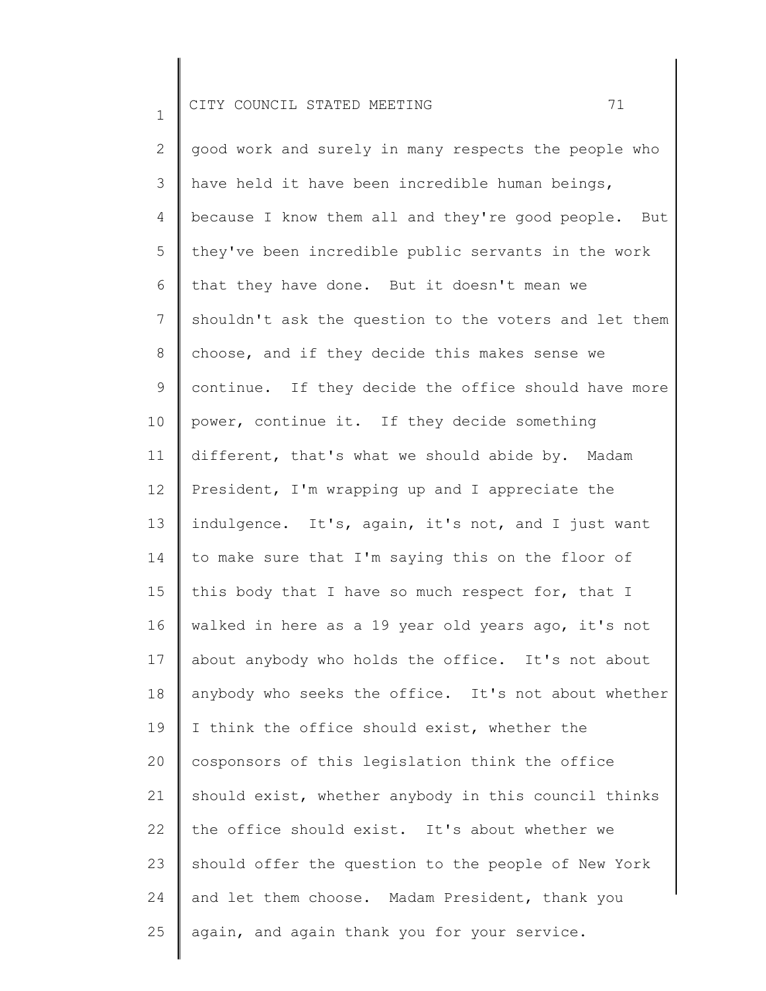2 3 4 5 6 7 8 9 10 11 12 13 14 15 16 17 18 19 20 21 22 23 24 25 good work and surely in many respects the people who have held it have been incredible human beings, because I know them all and they're good people. But they've been incredible public servants in the work that they have done. But it doesn't mean we shouldn't ask the question to the voters and let them choose, and if they decide this makes sense we continue. If they decide the office should have more power, continue it. If they decide something different, that's what we should abide by. Madam President, I'm wrapping up and I appreciate the indulgence. It's, again, it's not, and I just want to make sure that I'm saying this on the floor of this body that I have so much respect for, that I walked in here as a 19 year old years ago, it's not about anybody who holds the office. It's not about anybody who seeks the office. It's not about whether I think the office should exist, whether the cosponsors of this legislation think the office should exist, whether anybody in this council thinks the office should exist. It's about whether we should offer the question to the people of New York and let them choose. Madam President, thank you again, and again thank you for your service.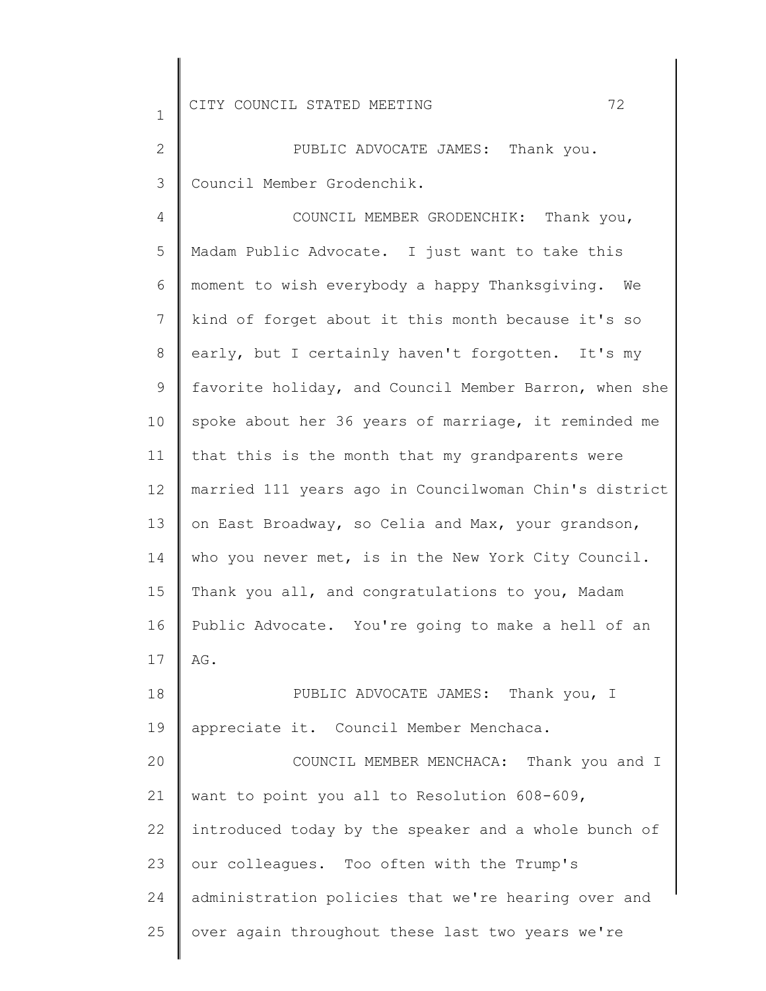1

2 3 PUBLIC ADVOCATE JAMES: Thank you. Council Member Grodenchik.

4 5 6 7 8 9 10 11 12 13 14 15 16 17 18 19 20 21 22 COUNCIL MEMBER GRODENCHIK: Thank you, Madam Public Advocate. I just want to take this moment to wish everybody a happy Thanksgiving. We kind of forget about it this month because it's so early, but I certainly haven't forgotten. It's my favorite holiday, and Council Member Barron, when she spoke about her 36 years of marriage, it reminded me that this is the month that my grandparents were married 111 years ago in Councilwoman Chin's district on East Broadway, so Celia and Max, your grandson, who you never met, is in the New York City Council. Thank you all, and congratulations to you, Madam Public Advocate. You're going to make a hell of an AG. PUBLIC ADVOCATE JAMES: Thank you, I appreciate it. Council Member Menchaca. COUNCIL MEMBER MENCHACA: Thank you and I want to point you all to Resolution 608-609, introduced today by the speaker and a whole bunch of

23 24 25 our colleagues. Too often with the Trump's administration policies that we're hearing over and over again throughout these last two years we're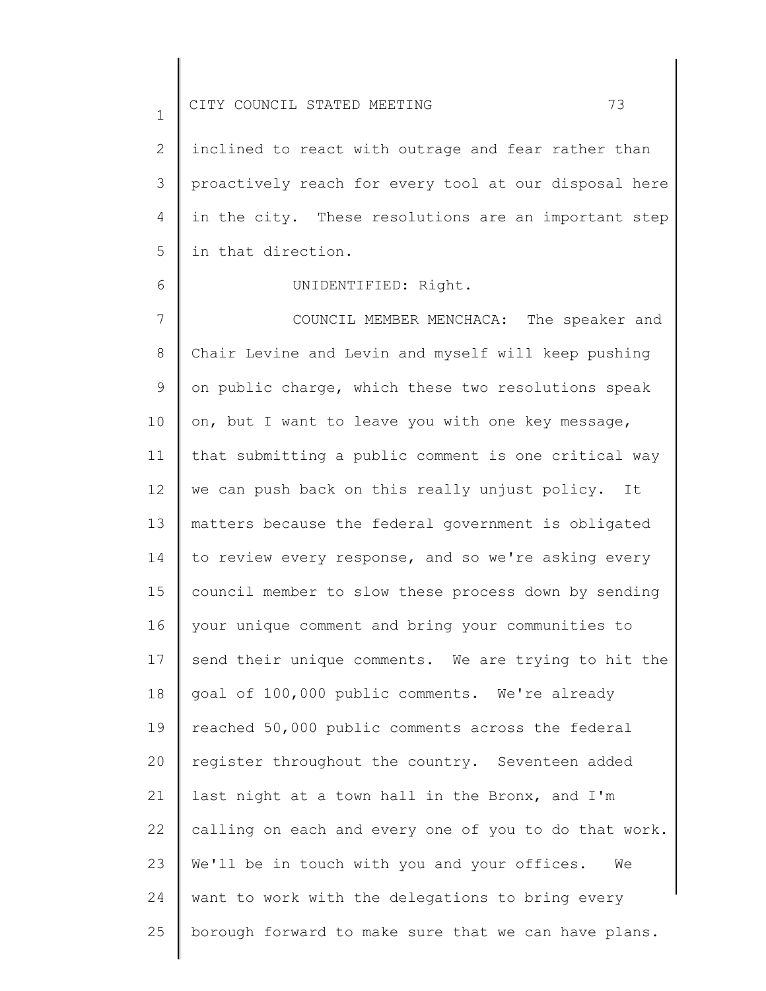1 2 3 4 5 6 7 8 9 10 11 12 13 CITY COUNCIL STATED MEETING 73 inclined to react with outrage and fear rather than proactively reach for every tool at our disposal here in the city. These resolutions are an important step in that direction. UNIDENTIFIED: Right. COUNCIL MEMBER MENCHACA: The speaker and Chair Levine and Levin and myself will keep pushing on public charge, which these two resolutions speak on, but I want to leave you with one key message, that submitting a public comment is one critical way we can push back on this really unjust policy. It matters because the federal government is obligated to review every response, and so we're asking every

14 15 16 17 18 19 20 21 22 23 24 25 council member to slow these process down by sending your unique comment and bring your communities to send their unique comments. We are trying to hit the goal of 100,000 public comments. We're already reached 50,000 public comments across the federal register throughout the country. Seventeen added last night at a town hall in the Bronx, and I'm calling on each and every one of you to do that work. We'll be in touch with you and your offices. We want to work with the delegations to bring every borough forward to make sure that we can have plans.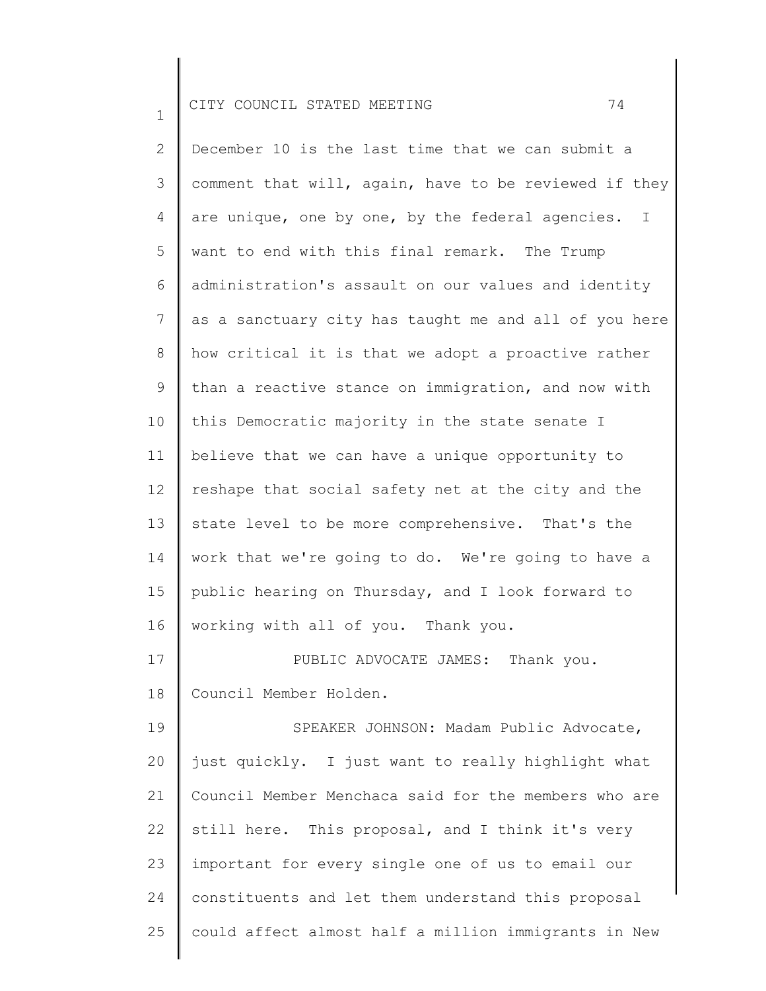2 3 4 5 6 7 8 9 10 11 12 13 14 15 16 17 18 19 20 21 22 23 24 25 December 10 is the last time that we can submit a comment that will, again, have to be reviewed if they are unique, one by one, by the federal agencies. I want to end with this final remark. The Trump administration's assault on our values and identity as a sanctuary city has taught me and all of you here how critical it is that we adopt a proactive rather than a reactive stance on immigration, and now with this Democratic majority in the state senate I believe that we can have a unique opportunity to reshape that social safety net at the city and the state level to be more comprehensive. That's the work that we're going to do. We're going to have a public hearing on Thursday, and I look forward to working with all of you. Thank you. PUBLIC ADVOCATE JAMES: Thank you. Council Member Holden. SPEAKER JOHNSON: Madam Public Advocate, just quickly. I just want to really highlight what Council Member Menchaca said for the members who are still here. This proposal, and I think it's very important for every single one of us to email our constituents and let them understand this proposal could affect almost half a million immigrants in New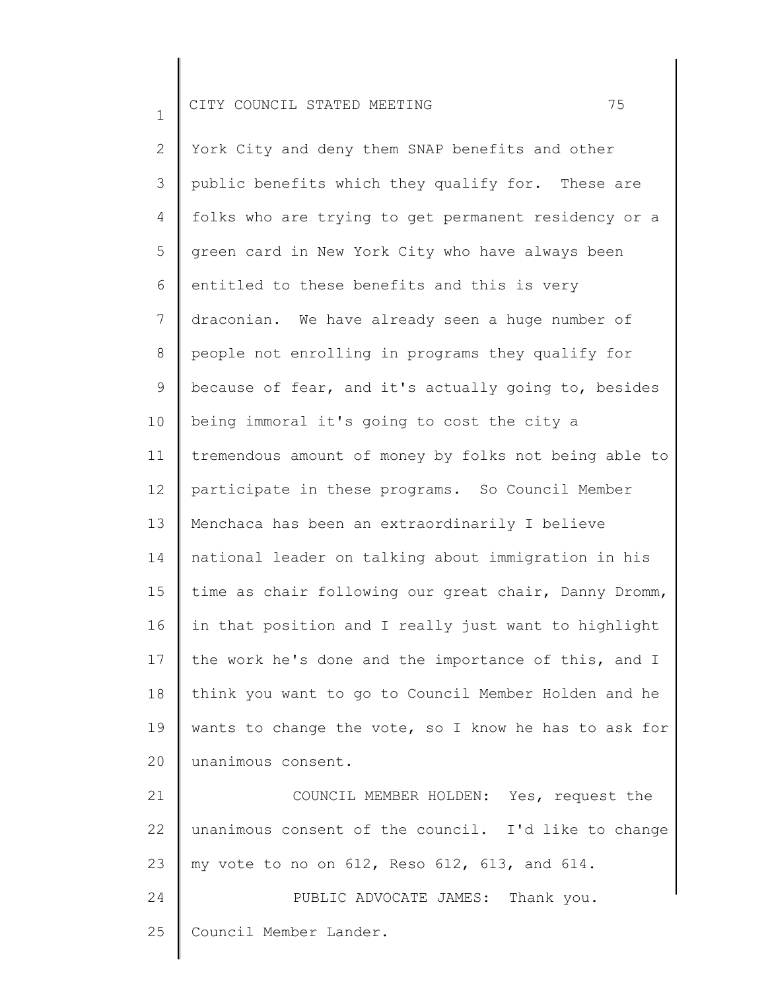1

2 3 4 5 6 7 8 9 10 11 12 13 14 15 16 17 18 19 20 York City and deny them SNAP benefits and other public benefits which they qualify for. These are folks who are trying to get permanent residency or a green card in New York City who have always been entitled to these benefits and this is very draconian. We have already seen a huge number of people not enrolling in programs they qualify for because of fear, and it's actually going to, besides being immoral it's going to cost the city a tremendous amount of money by folks not being able to participate in these programs. So Council Member Menchaca has been an extraordinarily I believe national leader on talking about immigration in his time as chair following our great chair, Danny Dromm, in that position and I really just want to highlight the work he's done and the importance of this, and I think you want to go to Council Member Holden and he wants to change the vote, so I know he has to ask for unanimous consent.

21 22 23 24 25 COUNCIL MEMBER HOLDEN: Yes, request the unanimous consent of the council. I'd like to change my vote to no on 612, Reso 612, 613, and 614. PUBLIC ADVOCATE JAMES: Thank you. Council Member Lander.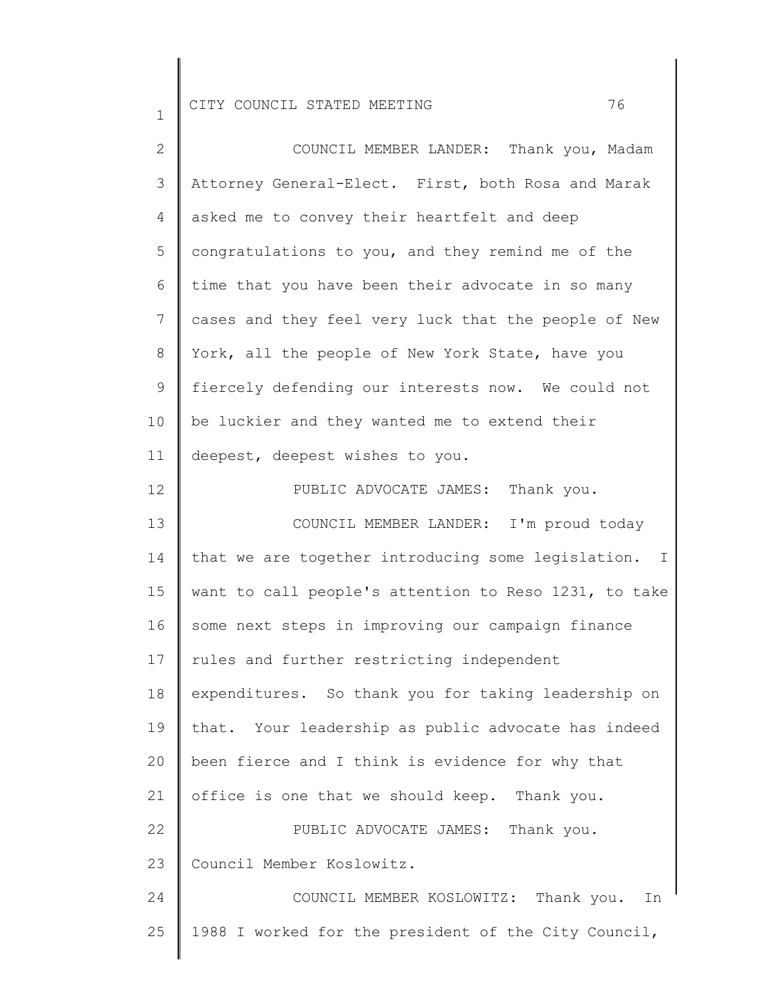| $\overline{2}$ | COUNCIL MEMBER LANDER: Thank you, Madam               |
|----------------|-------------------------------------------------------|
| 3              | Attorney General-Elect. First, both Rosa and Marak    |
| 4              | asked me to convey their heartfelt and deep           |
| 5              | congratulations to you, and they remind me of the     |
| 6              | time that you have been their advocate in so many     |
| 7              | cases and they feel very luck that the people of New  |
| 8              | York, all the people of New York State, have you      |
| $\mathsf 9$    | fiercely defending our interests now. We could not    |
| 10             | be luckier and they wanted me to extend their         |
| 11             | deepest, deepest wishes to you.                       |
| 12             | PUBLIC ADVOCATE JAMES: Thank you.                     |
| 13             | COUNCIL MEMBER LANDER: I'm proud today                |
| 14             | that we are together introducing some legislation. I  |
| 15             | want to call people's attention to Reso 1231, to take |
| 16             | some next steps in improving our campaign finance     |
| 17             | rules and further restricting independent             |
| 18             | expenditures. So thank you for taking leadership on   |
| 19             | that. Your leadership as public advocate has indeed   |
| 20             | been fierce and I think is evidence for why that      |
| 21             | office is one that we should keep. Thank you.         |
| 22             | PUBLIC ADVOCATE JAMES: Thank you.                     |
| 23             | Council Member Koslowitz.                             |
| 24             | COUNCIL MEMBER KOSLOWITZ: Thank you.<br>In            |
| 25             | 1988 I worked for the president of the City Council,  |
|                |                                                       |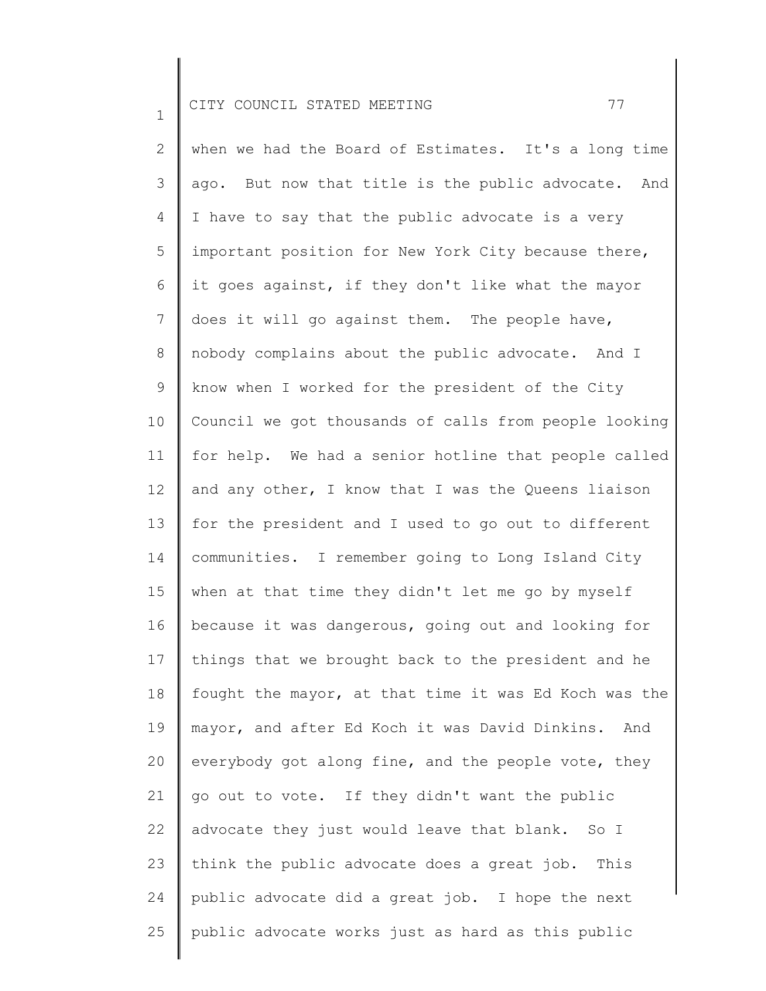2 3 4 5 6 7 8 9 10 11 12 13 14 15 16 17 18 19 20 21 22 23 24 25 when we had the Board of Estimates. It's a long time ago. But now that title is the public advocate. And I have to say that the public advocate is a very important position for New York City because there, it goes against, if they don't like what the mayor does it will go against them. The people have, nobody complains about the public advocate. And I know when I worked for the president of the City Council we got thousands of calls from people looking for help. We had a senior hotline that people called and any other, I know that I was the Queens liaison for the president and I used to go out to different communities. I remember going to Long Island City when at that time they didn't let me go by myself because it was dangerous, going out and looking for things that we brought back to the president and he fought the mayor, at that time it was Ed Koch was the mayor, and after Ed Koch it was David Dinkins. And everybody got along fine, and the people vote, they go out to vote. If they didn't want the public advocate they just would leave that blank. So I think the public advocate does a great job. This public advocate did a great job. I hope the next public advocate works just as hard as this public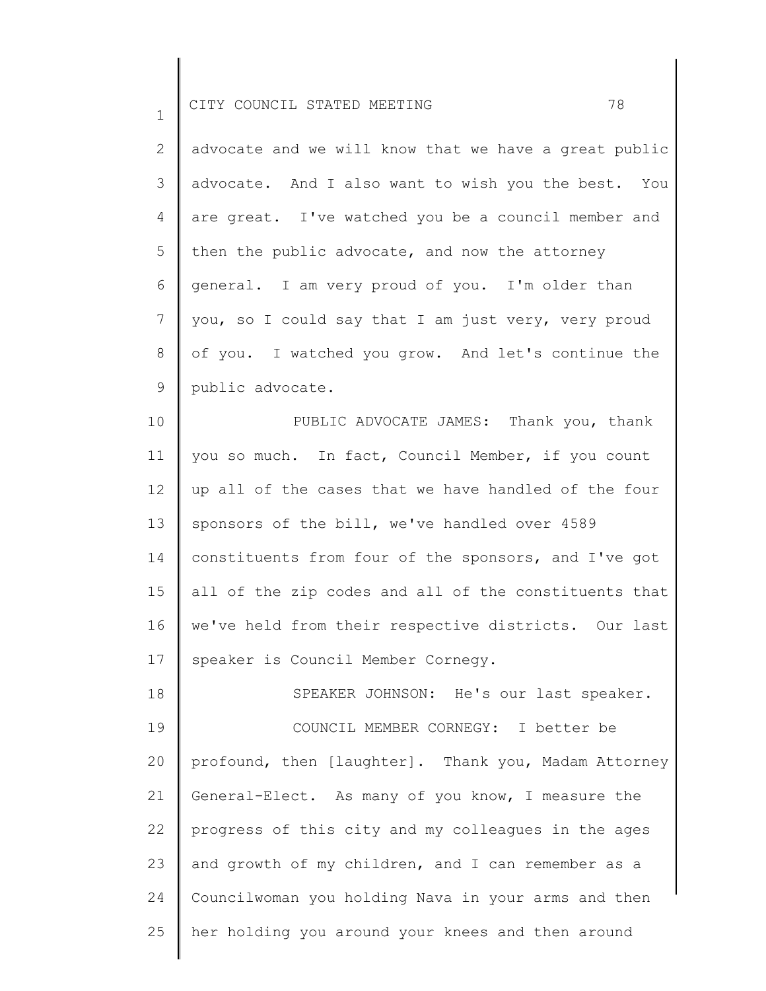| $\mathbf{2}$    | advocate and we will know that we have a great public |
|-----------------|-------------------------------------------------------|
| 3               | advocate. And I also want to wish you the best. You   |
| 4               | are great. I've watched you be a council member and   |
| 5               | then the public advocate, and now the attorney        |
| 6               | general. I am very proud of you. I'm older than       |
| $7\overline{ }$ | you, so I could say that I am just very, very proud   |
| 8               | of you. I watched you grow. And let's continue the    |
| 9               | public advocate.                                      |
| 10              | PUBLIC ADVOCATE JAMES: Thank you, thank               |
| 11              | you so much. In fact, Council Member, if you count    |
| 12 <sup>°</sup> | up all of the cases that we have handled of the four  |
| 13              | sponsors of the bill, we've handled over 4589         |
| 14              | constituents from four of the sponsors, and I've got  |

15 16 17 all of the zip codes and all of the constituents that we've held from their respective districts. Our last speaker is Council Member Cornegy.

18 19 20 21 22 23 24 25 SPEAKER JOHNSON: He's our last speaker. COUNCIL MEMBER CORNEGY: I better be profound, then [laughter]. Thank you, Madam Attorney General-Elect. As many of you know, I measure the progress of this city and my colleagues in the ages and growth of my children, and I can remember as a Councilwoman you holding Nava in your arms and then her holding you around your knees and then around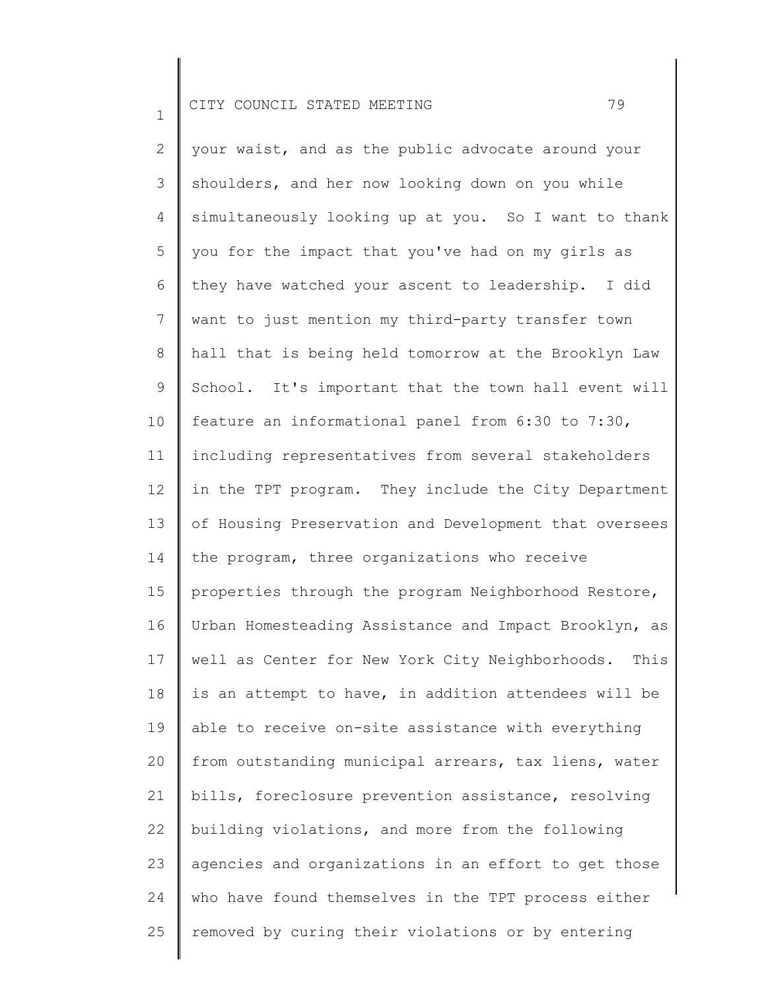| $\mathbf 1$    | CITY COUNCIL STATED MEETING<br>79                     |
|----------------|-------------------------------------------------------|
| $\overline{2}$ | your waist, and as the public advocate around your    |
| 3              | shoulders, and her now looking down on you while      |
| 4              | simultaneously looking up at you. So I want to thank  |
| 5              | you for the impact that you've had on my girls as     |
| 6              | they have watched your ascent to leadership. I did    |
| 7              | want to just mention my third-party transfer town     |
| $8\,$          | hall that is being held tomorrow at the Brooklyn Law  |
| $\mathsf 9$    | School. It's important that the town hall event will  |
| 10             | feature an informational panel from 6:30 to 7:30,     |
| 11             | including representatives from several stakeholders   |
| 12             | in the TPT program. They include the City Department  |
| 13             | of Housing Preservation and Development that oversees |
| 14             | the program, three organizations who receive          |
| 15             | properties through the program Neighborhood Restore,  |
| 16             | Urban Homesteading Assistance and Impact Brooklyn, as |
| 17             | well as Center for New York City Neighborhoods. This  |
| 18             | is an attempt to have, in addition attendees will be  |
| 19             | able to receive on-site assistance with everything    |
| 20             | from outstanding municipal arrears, tax liens, water  |
| 21             | bills, foreclosure prevention assistance, resolving   |
| 22             | building violations, and more from the following      |
| 23             | agencies and organizations in an effort to get those  |
| 24             | who have found themselves in the TPT process either   |

removed by curing their violations or by entering

25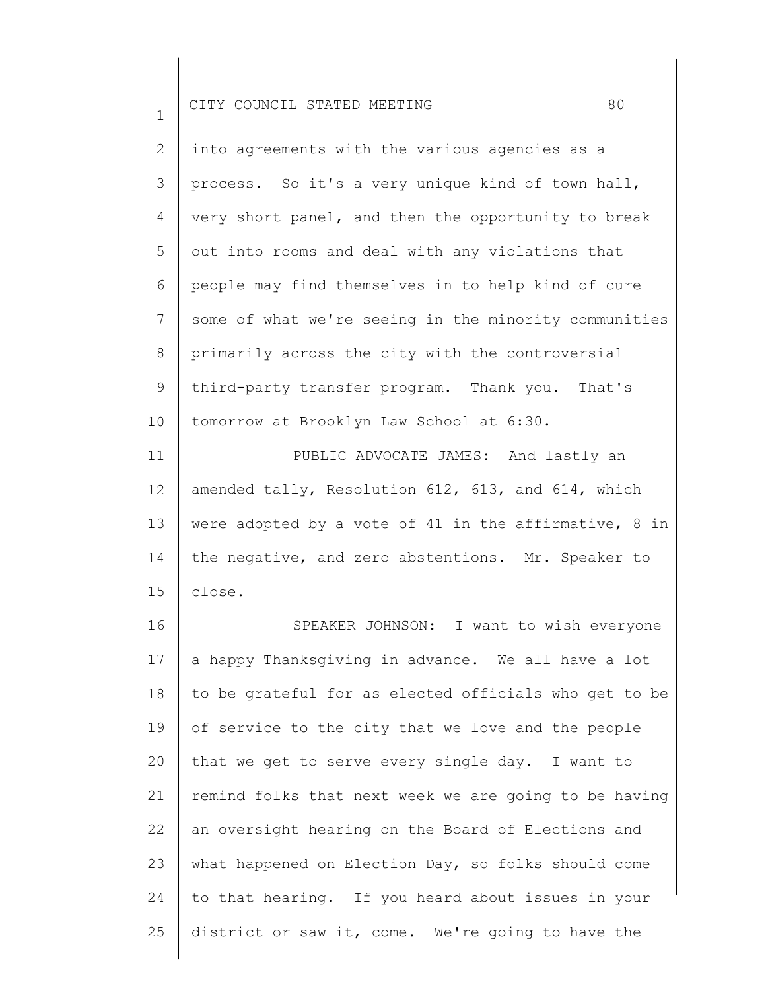2 3 4 5 6 7 8 9 10 into agreements with the various agencies as a process. So it's a very unique kind of town hall, very short panel, and then the opportunity to break out into rooms and deal with any violations that people may find themselves in to help kind of cure some of what we're seeing in the minority communities primarily across the city with the controversial third-party transfer program. Thank you. That's tomorrow at Brooklyn Law School at 6:30.

11 12 13 14 15 PUBLIC ADVOCATE JAMES: And lastly an amended tally, Resolution 612, 613, and 614, which were adopted by a vote of 41 in the affirmative, 8 in the negative, and zero abstentions. Mr. Speaker to close.

16 17 18 19 20 21 22 23 24 25 SPEAKER JOHNSON: I want to wish everyone a happy Thanksgiving in advance. We all have a lot to be grateful for as elected officials who get to be of service to the city that we love and the people that we get to serve every single day. I want to remind folks that next week we are going to be having an oversight hearing on the Board of Elections and what happened on Election Day, so folks should come to that hearing. If you heard about issues in your district or saw it, come. We're going to have the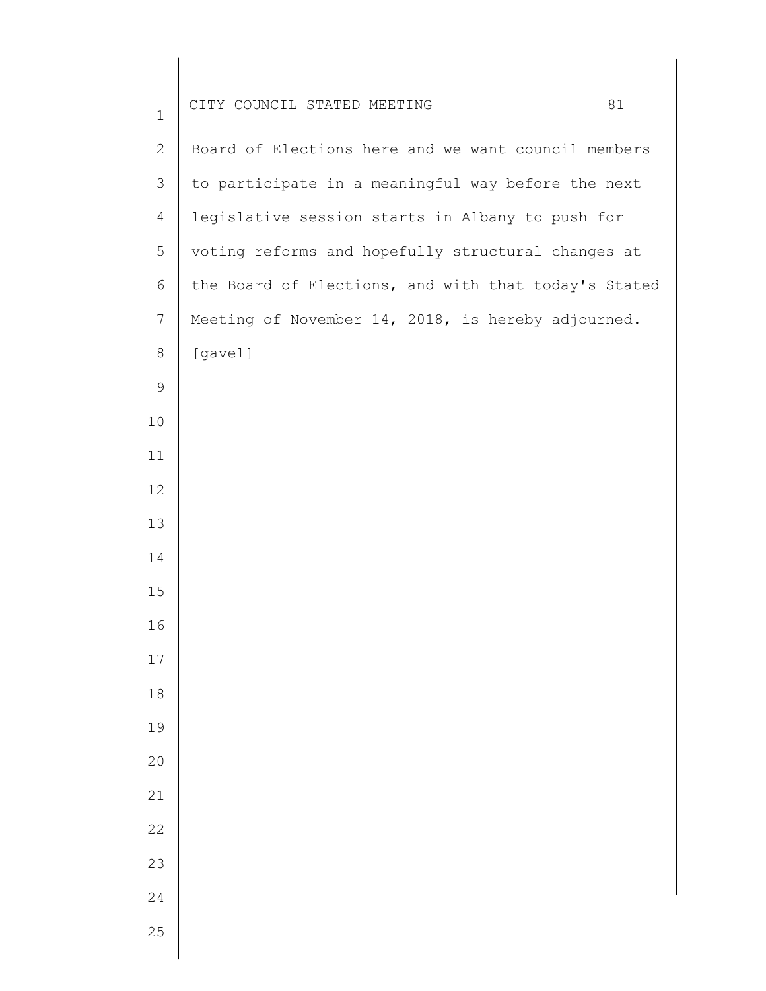| $\mathbf 1$     | 81<br>CITY COUNCIL STATED MEETING                    |
|-----------------|------------------------------------------------------|
| $\mathbf{2}$    | Board of Elections here and we want council members  |
| $\mathcal{S}$   | to participate in a meaningful way before the next   |
| 4               | legislative session starts in Albany to push for     |
| 5               | voting reforms and hopefully structural changes at   |
| 6               | the Board of Elections, and with that today's Stated |
| $7\phantom{.0}$ | Meeting of November 14, 2018, is hereby adjourned.   |
| $\,8\,$         | [gavel]                                              |
| $\mathsf 9$     |                                                      |
| 10              |                                                      |
| 11              |                                                      |
| 12              |                                                      |
| 13              |                                                      |
| 14              |                                                      |
| 15              |                                                      |
| 16              |                                                      |
| 17              |                                                      |
| $18\,$          |                                                      |
| 19              |                                                      |
| 20              |                                                      |
| 21              |                                                      |
| 22              |                                                      |
| 23              |                                                      |
| 24              |                                                      |
| 25              |                                                      |
|                 |                                                      |